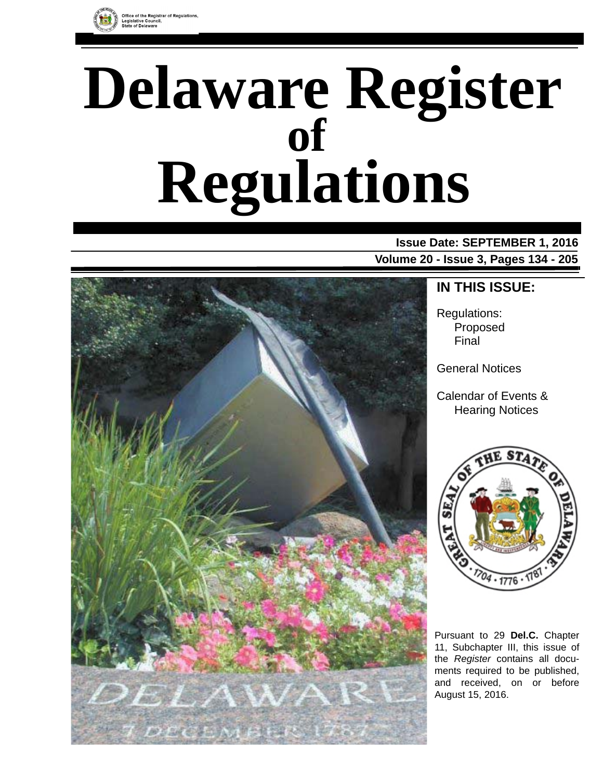

# **Delaware Register Regulations of**

# **Issue Date: SEPTEMBER 1, 2016 Volume 20 - Issue 3, Pages 134 - 205**



# **IN THIS ISSUE:**

Regulations: Proposed Final

General Notices

Calendar of Events & Hearing Notices



Pursuant to 29 **Del.C.** Chapter 11, Subchapter III, this issue of the *Register* contains all documents required to be published, and received, on or before August 15, 2016.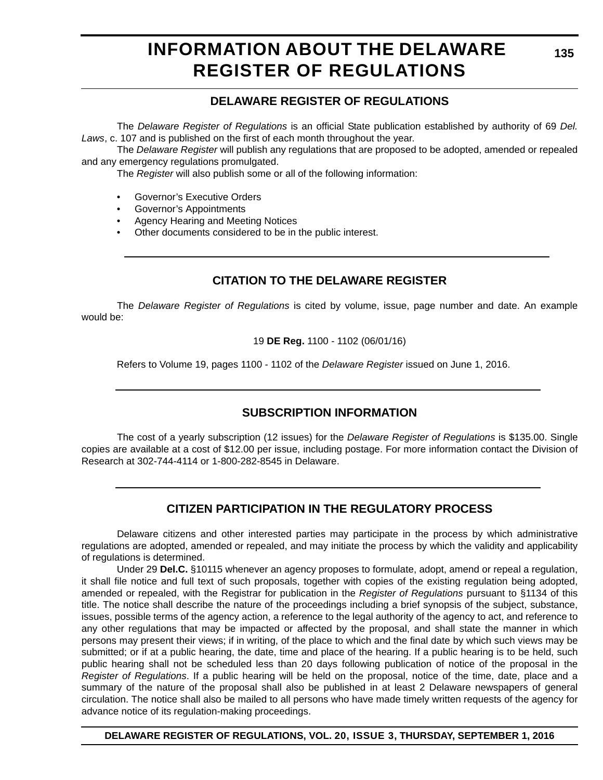# **INFORMATION ABOUT THE DELAWARE REGISTER OF REGULATIONS**

# **DELAWARE REGISTER OF REGULATIONS**

The *Delaware Register of Regulations* is an official State publication established by authority of 69 *Del. Laws*, c. 107 and is published on the first of each month throughout the year.

The *Delaware Register* will publish any regulations that are proposed to be adopted, amended or repealed and any emergency regulations promulgated.

The *Register* will also publish some or all of the following information:

- Governor's Executive Orders
- Governor's Appointments
- Agency Hearing and Meeting Notices
- Other documents considered to be in the public interest.

# **CITATION TO THE DELAWARE REGISTER**

The *Delaware Register of Regulations* is cited by volume, issue, page number and date. An example would be:

19 **DE Reg.** 1100 - 1102 (06/01/16)

Refers to Volume 19, pages 1100 - 1102 of the *Delaware Register* issued on June 1, 2016.

# **SUBSCRIPTION INFORMATION**

The cost of a yearly subscription (12 issues) for the *Delaware Register of Regulations* is \$135.00. Single copies are available at a cost of \$12.00 per issue, including postage. For more information contact the Division of Research at 302-744-4114 or 1-800-282-8545 in Delaware.

# **CITIZEN PARTICIPATION IN THE REGULATORY PROCESS**

Delaware citizens and other interested parties may participate in the process by which administrative regulations are adopted, amended or repealed, and may initiate the process by which the validity and applicability of regulations is determined.

Under 29 **Del.C.** §10115 whenever an agency proposes to formulate, adopt, amend or repeal a regulation, it shall file notice and full text of such proposals, together with copies of the existing regulation being adopted, amended or repealed, with the Registrar for publication in the *Register of Regulations* pursuant to §1134 of this title. The notice shall describe the nature of the proceedings including a brief synopsis of the subject, substance, issues, possible terms of the agency action, a reference to the legal authority of the agency to act, and reference to any other regulations that may be impacted or affected by the proposal, and shall state the manner in which persons may present their views; if in writing, of the place to which and the final date by which such views may be submitted; or if at a public hearing, the date, time and place of the hearing. If a public hearing is to be held, such public hearing shall not be scheduled less than 20 days following publication of notice of the proposal in the *Register of Regulations*. If a public hearing will be held on the proposal, notice of the time, date, place and a summary of the nature of the proposal shall also be published in at least 2 Delaware newspapers of general circulation. The notice shall also be mailed to all persons who have made timely written requests of the agency for advance notice of its regulation-making proceedings.

**DELAWARE REGISTER OF REGULATIONS, VOL. 20, ISSUE 3, THURSDAY, SEPTEMBER 1, 2016**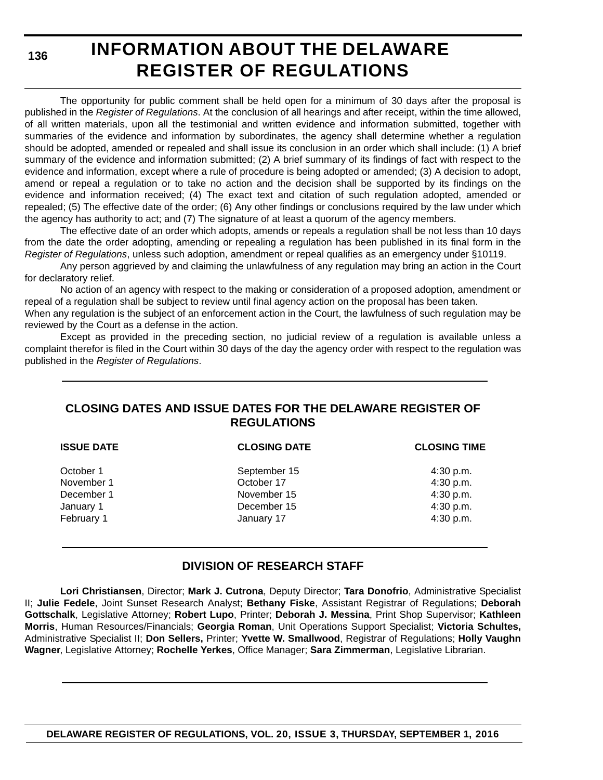**136**

# **INFORMATION ABOUT THE DELAWARE REGISTER OF REGULATIONS**

The opportunity for public comment shall be held open for a minimum of 30 days after the proposal is published in the *Register of Regulations*. At the conclusion of all hearings and after receipt, within the time allowed, of all written materials, upon all the testimonial and written evidence and information submitted, together with summaries of the evidence and information by subordinates, the agency shall determine whether a regulation should be adopted, amended or repealed and shall issue its conclusion in an order which shall include: (1) A brief summary of the evidence and information submitted; (2) A brief summary of its findings of fact with respect to the evidence and information, except where a rule of procedure is being adopted or amended; (3) A decision to adopt, amend or repeal a regulation or to take no action and the decision shall be supported by its findings on the evidence and information received; (4) The exact text and citation of such regulation adopted, amended or repealed; (5) The effective date of the order; (6) Any other findings or conclusions required by the law under which the agency has authority to act; and (7) The signature of at least a quorum of the agency members.

The effective date of an order which adopts, amends or repeals a regulation shall be not less than 10 days from the date the order adopting, amending or repealing a regulation has been published in its final form in the *Register of Regulations*, unless such adoption, amendment or repeal qualifies as an emergency under §10119.

Any person aggrieved by and claiming the unlawfulness of any regulation may bring an action in the Court for declaratory relief.

No action of an agency with respect to the making or consideration of a proposed adoption, amendment or repeal of a regulation shall be subject to review until final agency action on the proposal has been taken.

When any regulation is the subject of an enforcement action in the Court, the lawfulness of such regulation may be reviewed by the Court as a defense in the action.

Except as provided in the preceding section, no judicial review of a regulation is available unless a complaint therefor is filed in the Court within 30 days of the day the agency order with respect to the regulation was published in the *Register of Regulations*.

# **CLOSING DATES AND ISSUE DATES FOR THE DELAWARE REGISTER OF REGULATIONS**

| <b>ISSUE DATE</b> | <b>CLOSING DATE</b> | <b>CLOSING TIME</b> |
|-------------------|---------------------|---------------------|
| October 1         | September 15        | 4:30 p.m.           |
| November 1        | October 17          | 4:30 p.m.           |
| December 1        | November 15         | 4:30 p.m.           |
| January 1         | December 15         | 4:30 p.m.           |
| February 1        | January 17          | 4:30 p.m.           |
|                   |                     |                     |

# **DIVISION OF RESEARCH STAFF**

**Lori Christiansen**, Director; **Mark J. Cutrona**, Deputy Director; **Tara Donofrio**, Administrative Specialist II; **Julie Fedele**, Joint Sunset Research Analyst; **Bethany Fiske**, Assistant Registrar of Regulations; **Deborah Gottschalk**, Legislative Attorney; **Robert Lupo**, Printer; **Deborah J. Messina**, Print Shop Supervisor; **Kathleen Morris**, Human Resources/Financials; **Georgia Roman**, Unit Operations Support Specialist; **Victoria Schultes,** Administrative Specialist II; **Don Sellers,** Printer; **Yvette W. Smallwood**, Registrar of Regulations; **Holly Vaughn Wagner**, Legislative Attorney; **Rochelle Yerkes**, Office Manager; **Sara Zimmerman**, Legislative Librarian.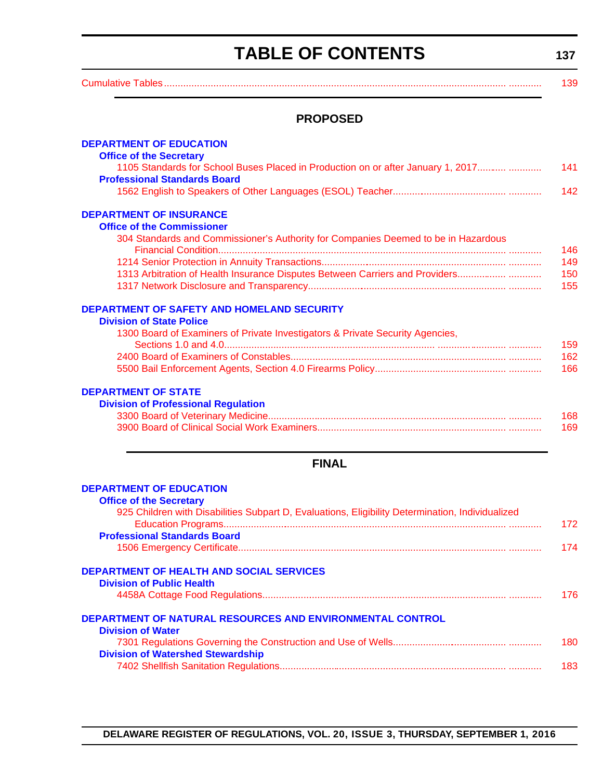# **TABLE OF CONTENTS**

**137**

<span id="page-3-0"></span>

# **PROPOSED**

| <b>DEPARTMENT OF EDUCATION</b>                                                                   |     |
|--------------------------------------------------------------------------------------------------|-----|
| <b>Office of the Secretary</b>                                                                   |     |
| 1105 Standards for School Buses Placed in Production on or after January 1, 2017                 | 141 |
| <b>Professional Standards Board</b>                                                              | 142 |
|                                                                                                  |     |
| <b>DEPARTMENT OF INSURANCE</b>                                                                   |     |
| <b>Office of the Commissioner</b>                                                                |     |
| 304 Standards and Commissioner's Authority for Companies Deemed to be in Hazardous               | 146 |
|                                                                                                  | 149 |
| 1313 Arbitration of Health Insurance Disputes Between Carriers and Providers                     | 150 |
|                                                                                                  | 155 |
|                                                                                                  |     |
| DEPARTMENT OF SAFETY AND HOMELAND SECURITY                                                       |     |
| <b>Division of State Police</b>                                                                  |     |
| 1300 Board of Examiners of Private Investigators & Private Security Agencies,                    | 159 |
|                                                                                                  | 162 |
|                                                                                                  | 166 |
|                                                                                                  |     |
| <b>DEPARTMENT OF STATE</b>                                                                       |     |
| <b>Division of Professional Regulation</b>                                                       |     |
|                                                                                                  | 168 |
|                                                                                                  | 169 |
|                                                                                                  |     |
| <b>FINAL</b>                                                                                     |     |
| <b>DEPARTMENT OF EDUCATION</b>                                                                   |     |
| <b>Office of the Secretary</b>                                                                   |     |
| 925 Children with Disabilities Subpart D, Evaluations, Eligibility Determination, Individualized |     |
|                                                                                                  | 172 |
| <b>Professional Standards Board</b>                                                              |     |
|                                                                                                  | 174 |
| <b>DEPARTMENT OF HEALTH AND SOCIAL SERVICES</b>                                                  |     |
| <b>Division of Public Health</b>                                                                 |     |
|                                                                                                  | 176 |
| DEPARTMENT OF NATURAL RESOURCES AND ENVIRONMENTAL CONTROL                                        |     |
| <b>Division of Water</b>                                                                         |     |
|                                                                                                  | 180 |
| <b>Division of Watershed Stewardship</b>                                                         |     |
|                                                                                                  | 183 |
|                                                                                                  |     |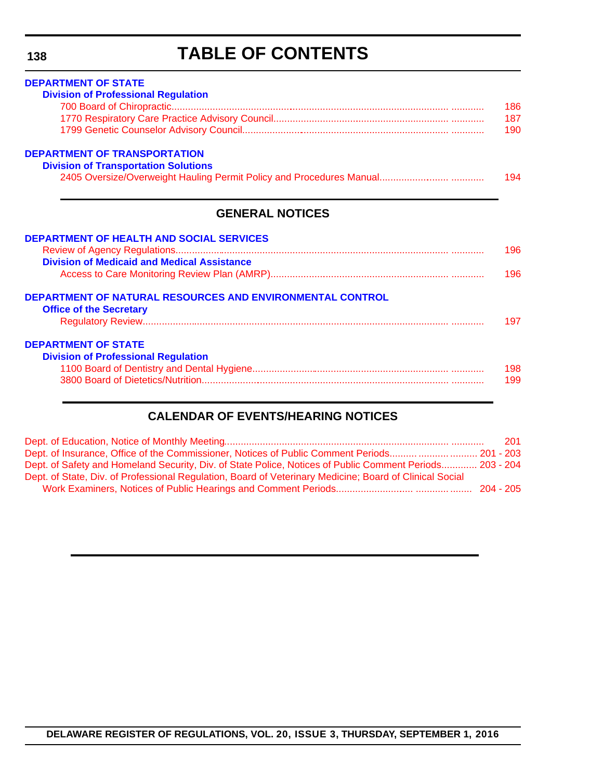# **TABLE OF CONTENTS**

| <b>DEPARTMENT OF STATE</b><br><b>Division of Professional Regulation</b>                           |     |
|----------------------------------------------------------------------------------------------------|-----|
|                                                                                                    | 186 |
|                                                                                                    |     |
|                                                                                                    | 190 |
| <b>DEPARTMENT OF TRANSPORTATION</b><br><b>Division of Transportation Solutions</b>                 |     |
|                                                                                                    | 194 |
| <b>GENERAL NOTICES</b>                                                                             |     |
| <b>DEPARTMENT OF HEALTH AND SOCIAL SERVICES</b>                                                    | 196 |
| <b>Division of Medicaid and Medical Assistance</b>                                                 |     |
|                                                                                                    | 196 |
| <b>DEPARTMENT OF NATURAL RESOURCES AND ENVIRONMENTAL CONTROL</b><br><b>Office of the Secretary</b> |     |
|                                                                                                    | 197 |
| <b>DEPARTMENT OF STATE</b><br><b>Division of Professional Regulation</b>                           |     |
|                                                                                                    | 198 |
|                                                                                                    | 199 |

# **CALENDAR OF EVENTS/HEARING NOTICES**

|                                                                                                          | 201 |
|----------------------------------------------------------------------------------------------------------|-----|
| Dept. of Insurance, Office of the Commissioner, Notices of Public Comment Periods   201 - 203            |     |
| Dept. of Safety and Homeland Security, Div. of State Police, Notices of Public Comment Periods 203 - 204 |     |
| Dept. of State, Div. of Professional Regulation, Board of Veterinary Medicine; Board of Clinical Social  |     |
|                                                                                                          |     |

# **DELAWARE REGISTER OF REGULATIONS, VOL. 20, ISSUE 3, THURSDAY, SEPTEMBER 1, 2016**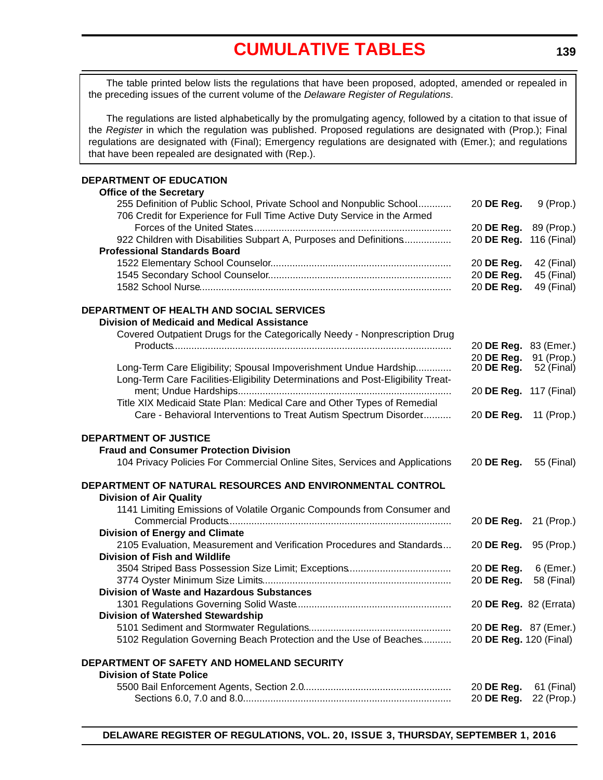# **[CUMULATIVE TABLES](#page-3-0)**

<span id="page-5-0"></span>The table printed below lists the regulations that have been proposed, adopted, amended or repealed in the preceding issues of the current volume of the *Delaware Register of Regulations*.

The regulations are listed alphabetically by the promulgating agency, followed by a citation to that issue of the *Register* in which the regulation was published. Proposed regulations are designated with (Prop.); Final regulations are designated with (Final); Emergency regulations are designated with (Emer.); and regulations that have been repealed are designated with (Rep.).

### **DEPARTMENT OF EDUCATION**

| <b>Office of the Secretary</b>                                                   |                        |             |
|----------------------------------------------------------------------------------|------------------------|-------------|
| 255 Definition of Public School, Private School and Nonpublic School             | 20 DE Reg.             | 9 (Prop.)   |
| 706 Credit for Experience for Full Time Active Duty Service in the Armed         |                        |             |
|                                                                                  | 20 DE Reg.             | 89 (Prop.)  |
| 922 Children with Disabilities Subpart A, Purposes and Definitions               | 20 DE Reg.             | 116 (Final) |
| <b>Professional Standards Board</b>                                              |                        |             |
|                                                                                  | 20 DE Reg.             | 42 (Final)  |
|                                                                                  | 20 DE Reg.             | 45 (Final)  |
|                                                                                  | 20 DE Reg.             | 49 (Final)  |
| DEPARTMENT OF HEALTH AND SOCIAL SERVICES                                         |                        |             |
| <b>Division of Medicaid and Medical Assistance</b>                               |                        |             |
| Covered Outpatient Drugs for the Categorically Needy - Nonprescription Drug      |                        |             |
|                                                                                  | 20 DE Reg. 83 (Emer.)  |             |
|                                                                                  | 20 DE Reg.             | 91 (Prop.)  |
| Long-Term Care Eligibility; Spousal Impoverishment Undue Hardship                | 20 DE Reg.             | 52 (Final)  |
| Long-Term Care Facilities-Eligibility Determinations and Post-Eligibility Treat- |                        |             |
|                                                                                  | 20 DE Reg. 117 (Final) |             |
| Title XIX Medicaid State Plan: Medical Care and Other Types of Remedial          |                        |             |
| Care - Behavioral Interventions to Treat Autism Spectrum Disorder                | 20 DE Reg.             | 11 (Prop.)  |
|                                                                                  |                        |             |
| <b>DEPARTMENT OF JUSTICE</b>                                                     |                        |             |
| <b>Fraud and Consumer Protection Division</b>                                    |                        |             |
| 104 Privacy Policies For Commercial Online Sites, Services and Applications      | 20 DE Reg.             | 55 (Final)  |
| DEPARTMENT OF NATURAL RESOURCES AND ENVIRONMENTAL CONTROL                        |                        |             |
| <b>Division of Air Quality</b>                                                   |                        |             |
| 1141 Limiting Emissions of Volatile Organic Compounds from Consumer and          |                        |             |
|                                                                                  | 20 DE Reg.             | 21 (Prop.)  |
| <b>Division of Energy and Climate</b>                                            |                        |             |
| 2105 Evaluation, Measurement and Verification Procedures and Standards           | 20 DE Reg.             | 95 (Prop.)  |
| <b>Division of Fish and Wildlife</b>                                             |                        |             |
|                                                                                  | 20 DE Reg.             | 6 (Emer.)   |
|                                                                                  | 20 DE Reg.             | 58 (Final)  |
| <b>Division of Waste and Hazardous Substances</b>                                |                        |             |
|                                                                                  | 20 DE Reg. 82 (Errata) |             |
| <b>Division of Watershed Stewardship</b>                                         |                        |             |
|                                                                                  | 20 DE Reg. 87 (Emer.)  |             |
| 5102 Regulation Governing Beach Protection and the Use of Beaches                | 20 DE Reg. 120 (Final) |             |
|                                                                                  |                        |             |
| DEPARTMENT OF SAFETY AND HOMELAND SECURITY                                       |                        |             |
| <b>Division of State Police</b>                                                  |                        |             |
|                                                                                  | 20 DE Reg.             | 61 (Final)  |
|                                                                                  | 20 DE Reg.             | 22 (Prop.)  |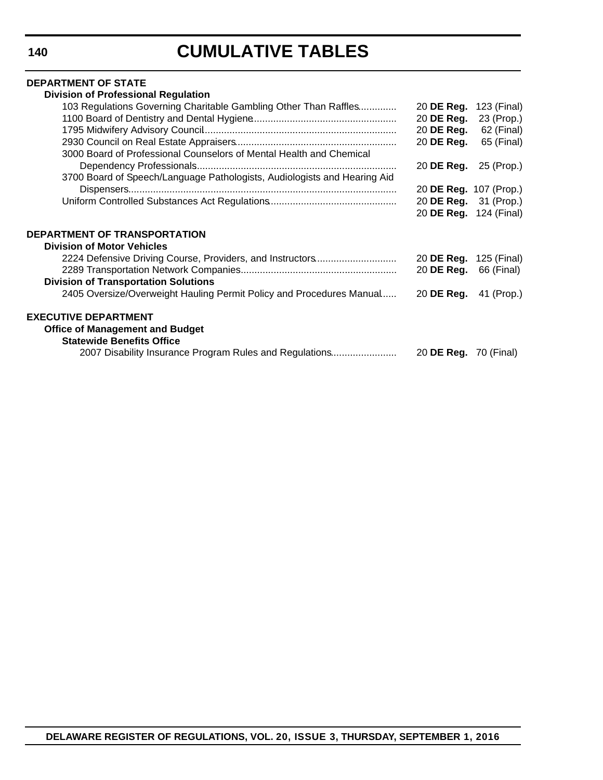# **CUMULATIVE TABLES**

#### **DEPARTMENT OF STATE Division of Professional Regulation**

| Division of Professional Requiation                                      |                               |             |
|--------------------------------------------------------------------------|-------------------------------|-------------|
| 103 Regulations Governing Charitable Gambling Other Than Raffles         | 20 DE Reg.                    | 123 (Final) |
|                                                                          | 20 DE Reg.                    | 23 (Prop.)  |
|                                                                          | 20 DE Reg.                    | 62 (Final)  |
|                                                                          | 20 DE Reg.                    | 65 (Final)  |
| 3000 Board of Professional Counselors of Mental Health and Chemical      |                               |             |
|                                                                          | 20 DE Reg.                    | 25 (Prop.)  |
| 3700 Board of Speech/Language Pathologists, Audiologists and Hearing Aid |                               |             |
|                                                                          | 20 <b>DE Reg.</b> 107 (Prop.) |             |
|                                                                          | 20 DE Reg.                    | 31 (Prop.)  |
|                                                                          | 20 <b>DE Reg.</b> 124 (Final) |             |
|                                                                          |                               |             |
| DEPARTMENT OF TRANSPORTATION                                             |                               |             |
| <b>Division of Motor Vehicles</b>                                        |                               |             |
| 2224 Defensive Driving Course, Providers, and Instructors                | 20 DE Reg.                    | 125 (Final) |
|                                                                          | 20 DE Reg.                    | 66 (Final)  |
| <b>Division of Transportation Solutions</b>                              |                               |             |
| 2405 Oversize/Overweight Hauling Permit Policy and Procedures Manual     | 20 DE Reg.                    | 41 (Prop.)  |
|                                                                          |                               |             |
| <b>EXECUTIVE DEPARTMENT</b>                                              |                               |             |
| <b>Office of Management and Budget</b>                                   |                               |             |
| <b>Statewide Benefits Office</b>                                         |                               |             |
| 2007 Disability Insurance Program Rules and Regulations                  | 20 <b>DE Reg.</b> 70 (Final)  |             |
|                                                                          |                               |             |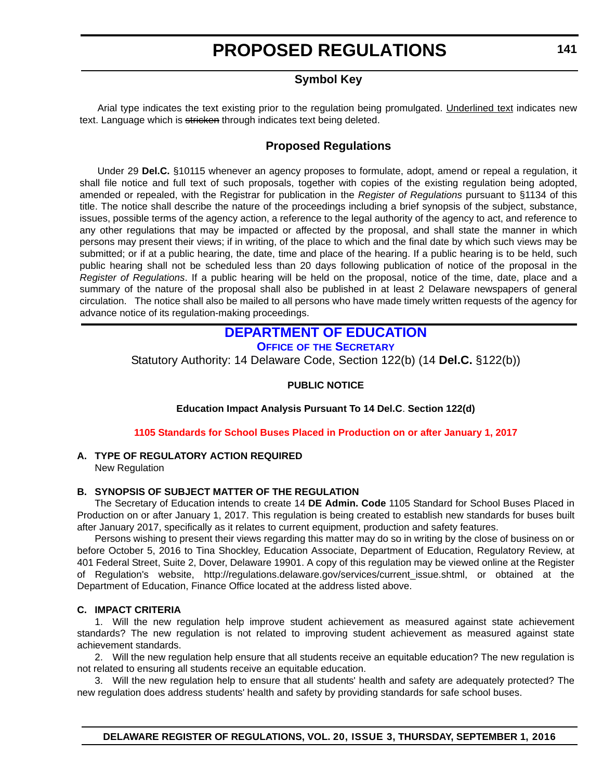# **Symbol Key**

<span id="page-7-0"></span>Arial type indicates the text existing prior to the regulation being promulgated. Underlined text indicates new text. Language which is stricken through indicates text being deleted.

# **Proposed Regulations**

Under 29 **Del.C.** §10115 whenever an agency proposes to formulate, adopt, amend or repeal a regulation, it shall file notice and full text of such proposals, together with copies of the existing regulation being adopted, amended or repealed, with the Registrar for publication in the *Register of Regulations* pursuant to §1134 of this title. The notice shall describe the nature of the proceedings including a brief synopsis of the subject, substance, issues, possible terms of the agency action, a reference to the legal authority of the agency to act, and reference to any other regulations that may be impacted or affected by the proposal, and shall state the manner in which persons may present their views; if in writing, of the place to which and the final date by which such views may be submitted; or if at a public hearing, the date, time and place of the hearing. If a public hearing is to be held, such public hearing shall not be scheduled less than 20 days following publication of notice of the proposal in the *Register of Regulations*. If a public hearing will be held on the proposal, notice of the time, date, place and a summary of the nature of the proposal shall also be published in at least 2 Delaware newspapers of general circulation. The notice shall also be mailed to all persons who have made timely written requests of the agency for advance notice of its regulation-making proceedings.

# **[DEPARTMENT OF EDUCATION](http://www.doe.k12.de.us/)**

**OFFICE OF THE SECRETARY**

Statutory Authority: 14 Delaware Code, Section 122(b) (14 **Del.C.** §122(b))

### **PUBLIC NOTICE**

**Education Impact Analysis Pursuant To 14 Del.C**. **Section 122(d)**

### **[1105 Standards for School Buses Placed in Production on or after January 1, 2017](#page-3-0)**

# **A. TYPE OF REGULATORY ACTION REQUIRED**

New Regulation

### **B. SYNOPSIS OF SUBJECT MATTER OF THE REGULATION**

The Secretary of Education intends to create 14 **DE Admin. Code** 1105 Standard for School Buses Placed in Production on or after January 1, 2017. This regulation is being created to establish new standards for buses built after January 2017, specifically as it relates to current equipment, production and safety features.

Persons wishing to present their views regarding this matter may do so in writing by the close of business on or [before October 5, 2016 to Tina Shockley, Education Associate, Department of Education, Regulatory Review, at](http://regulations.delaware.gov/services/current_issue.shtml) 401 Federal Street, Suite 2, Dover, Delaware 19901. A copy of this regulation may be viewed online at the Register of Regulation's website, http://regulations.delaware.gov/services/current\_issue.shtml, or obtained at the Department of Education, Finance Office located at the address listed above.

### **C. IMPACT CRITERIA**

1. Will the new regulation help improve student achievement as measured against state achievement standards? The new regulation is not related to improving student achievement as measured against state achievement standards.

2. Will the new regulation help ensure that all students receive an equitable education? The new regulation is not related to ensuring all students receive an equitable education.

3. Will the new regulation help to ensure that all students' health and safety are adequately protected? The new regulation does address students' health and safety by providing standards for safe school buses.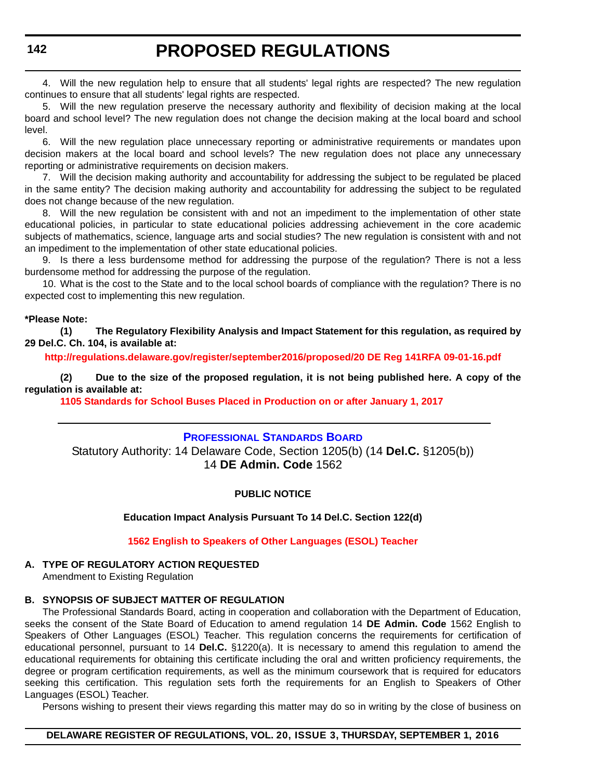<span id="page-8-0"></span>4. Will the new regulation help to ensure that all students' legal rights are respected? The new regulation continues to ensure that all students' legal rights are respected.

5. Will the new regulation preserve the necessary authority and flexibility of decision making at the local board and school level? The new regulation does not change the decision making at the local board and school level.

6. Will the new regulation place unnecessary reporting or administrative requirements or mandates upon decision makers at the local board and school levels? The new regulation does not place any unnecessary reporting or administrative requirements on decision makers.

7. Will the decision making authority and accountability for addressing the subject to be regulated be placed in the same entity? The decision making authority and accountability for addressing the subject to be regulated does not change because of the new regulation.

8. Will the new regulation be consistent with and not an impediment to the implementation of other state educational policies, in particular to state educational policies addressing achievement in the core academic subjects of mathematics, science, language arts and social studies? The new regulation is consistent with and not an impediment to the implementation of other state educational policies.

9. Is there a less burdensome method for addressing the purpose of the regulation? There is not a less burdensome method for addressing the purpose of the regulation.

10. What is the cost to the State and to the local school boards of compliance with the regulation? There is no expected cost to implementing this new regulation.

#### **\*Please Note:**

**(1) The Regulatory Flexibility Analysis and Impact Statement for this regulation, as required by 29 Del.C. Ch. 104, is available at:**

**<http://regulations.delaware.gov/register/september2016/proposed/20 DE Reg 141RFA 09-01-16.pdf>**

**(2) Due to the size of the proposed regulation, it is not being published here. A copy of the regulation is available at:**

**[1105 Standards for School Buses Placed in Production on or after January 1, 2017](http://regulations.delaware.gov/register/september2016/proposed/20 DE Reg 141 09-01-16.htm)**

### **[PROFESSIONAL STANDARDS BOARD](http://www.doe.k12.de.us/domain/172)**

Statutory Authority: 14 Delaware Code, Section 1205(b) (14 **Del.C.** §1205(b)) 14 **DE Admin. Code** 1562

### **PUBLIC NOTICE**

**Education Impact Analysis Pursuant To 14 Del.C. Section 122(d)**

#### **[1562 English to Speakers of Other Languages \(ESOL\) Teacher](#page-3-0)**

#### **A. TYPE OF REGULATORY ACTION REQUESTED**

Amendment to Existing Regulation

#### **B. SYNOPSIS OF SUBJECT MATTER OF REGULATION**

The Professional Standards Board, acting in cooperation and collaboration with the Department of Education, seeks the consent of the State Board of Education to amend regulation 14 **DE Admin. Code** 1562 English to Speakers of Other Languages (ESOL) Teacher. This regulation concerns the requirements for certification of educational personnel, pursuant to 14 **Del.C.** §1220(a). It is necessary to amend this regulation to amend the educational requirements for obtaining this certificate including the oral and written proficiency requirements, the degree or program certification requirements, as well as the minimum coursework that is required for educators seeking this certification. This regulation sets forth the requirements for an English to Speakers of Other Languages (ESOL) Teacher.

Persons wishing to present their views regarding this matter may do so in writing by the close of business on

#### **DELAWARE REGISTER OF REGULATIONS, VOL. 20, ISSUE 3, THURSDAY, SEPTEMBER 1, 2016**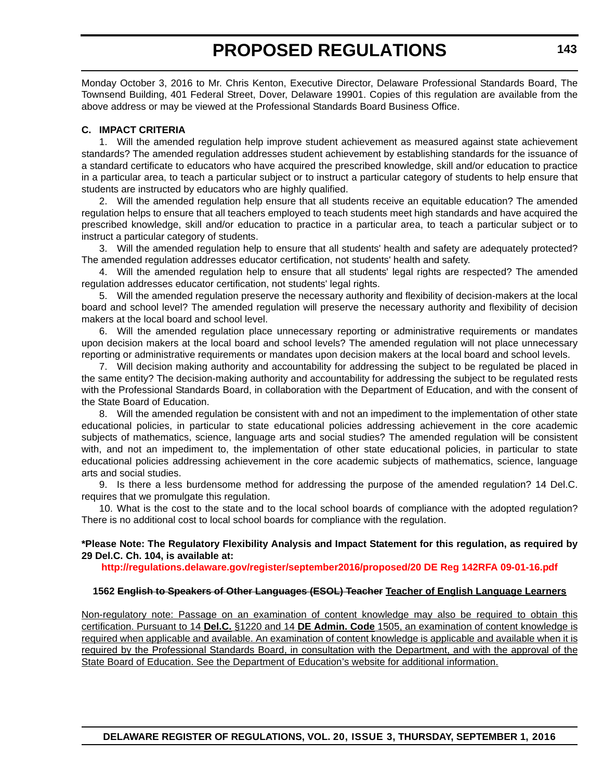Monday October 3, 2016 to Mr. Chris Kenton, Executive Director, Delaware Professional Standards Board, The Townsend Building, 401 Federal Street, Dover, Delaware 19901. Copies of this regulation are available from the above address or may be viewed at the Professional Standards Board Business Office.

#### **C. IMPACT CRITERIA**

1. Will the amended regulation help improve student achievement as measured against state achievement standards? The amended regulation addresses student achievement by establishing standards for the issuance of a standard certificate to educators who have acquired the prescribed knowledge, skill and/or education to practice in a particular area, to teach a particular subject or to instruct a particular category of students to help ensure that students are instructed by educators who are highly qualified.

2. Will the amended regulation help ensure that all students receive an equitable education? The amended regulation helps to ensure that all teachers employed to teach students meet high standards and have acquired the prescribed knowledge, skill and/or education to practice in a particular area, to teach a particular subject or to instruct a particular category of students.

3. Will the amended regulation help to ensure that all students' health and safety are adequately protected? The amended regulation addresses educator certification, not students' health and safety.

4. Will the amended regulation help to ensure that all students' legal rights are respected? The amended regulation addresses educator certification, not students' legal rights.

5. Will the amended regulation preserve the necessary authority and flexibility of decision-makers at the local board and school level? The amended regulation will preserve the necessary authority and flexibility of decision makers at the local board and school level.

6. Will the amended regulation place unnecessary reporting or administrative requirements or mandates upon decision makers at the local board and school levels? The amended regulation will not place unnecessary reporting or administrative requirements or mandates upon decision makers at the local board and school levels.

7. Will decision making authority and accountability for addressing the subject to be regulated be placed in the same entity? The decision-making authority and accountability for addressing the subject to be regulated rests with the Professional Standards Board, in collaboration with the Department of Education, and with the consent of the State Board of Education.

8. Will the amended regulation be consistent with and not an impediment to the implementation of other state educational policies, in particular to state educational policies addressing achievement in the core academic subjects of mathematics, science, language arts and social studies? The amended regulation will be consistent with, and not an impediment to, the implementation of other state educational policies, in particular to state educational policies addressing achievement in the core academic subjects of mathematics, science, language arts and social studies.

9. Is there a less burdensome method for addressing the purpose of the amended regulation? 14 Del.C. requires that we promulgate this regulation.

10. What is the cost to the state and to the local school boards of compliance with the adopted regulation? There is no additional cost to local school boards for compliance with the regulation.

#### **\*Please Note: The Regulatory Flexibility Analysis and Impact Statement for this regulation, as required by 29 Del.C. Ch. 104, is available at:**

**<http://regulations.delaware.gov/register/september2016/proposed/20 DE Reg 142RFA 09-01-16.pdf>**

#### **1562 English to Speakers of Other Languages (ESOL) Teacher Teacher of English Language Learners**

Non-regulatory note: Passage on an examination of content knowledge may also be required to obtain this certification. Pursuant to 14 **Del.C.** §1220 and 14 **DE Admin. Code** 1505, an examination of content knowledge is required when applicable and available. An examination of content knowledge is applicable and available when it is required by the Professional Standards Board, in consultation with the Department, and with the approval of the State Board of Education. See the Department of Education's website for additional information.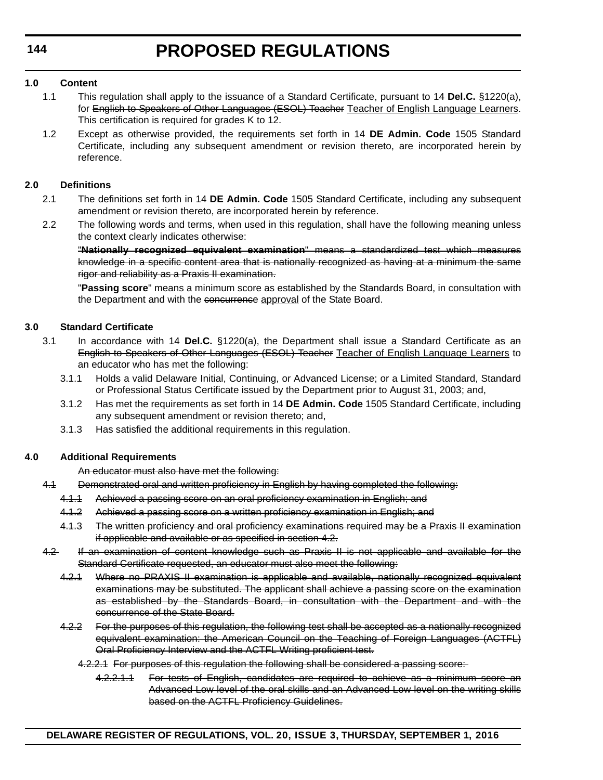### **1.0 Content**

- 1.1 This regulation shall apply to the issuance of a Standard Certificate, pursuant to 14 **Del.C.** §1220(a), for English to Speakers of Other Languages (ESOL) Teacher Teacher of English Language Learners. This certification is required for grades K to 12.
- 1.2 Except as otherwise provided, the requirements set forth in 14 **DE Admin. Code** 1505 Standard Certificate, including any subsequent amendment or revision thereto, are incorporated herein by reference.

### **2.0 Definitions**

- 2.1 The definitions set forth in 14 **DE Admin. Code** 1505 Standard Certificate, including any subsequent amendment or revision thereto, are incorporated herein by reference.
- 2.2 The following words and terms, when used in this regulation, shall have the following meaning unless the context clearly indicates otherwise:

"**Nationally recognized equivalent examination**" means a standardized test which measures knowledge in a specific content area that is nationally recognized as having at a minimum the same rigor and reliability as a Praxis II examination.

"**Passing score**" means a minimum score as established by the Standards Board, in consultation with the Department and with the concurrence approval of the State Board.

### **3.0 Standard Certificate**

- 3.1 In accordance with 14 **Del.C.** §1220(a), the Department shall issue a Standard Certificate as an English to Speakers of Other Languages (ESOL) Teacher Teacher of English Language Learners to an educator who has met the following:
	- 3.1.1 Holds a valid Delaware Initial, Continuing, or Advanced License; or a Limited Standard, Standard or Professional Status Certificate issued by the Department prior to August 31, 2003; and,
	- 3.1.2 Has met the requirements as set forth in 14 **DE Admin. Code** 1505 Standard Certificate, including any subsequent amendment or revision thereto; and,
	- 3.1.3 Has satisfied the additional requirements in this regulation.

### **4.0 Additional Requirements**

An educator must also have met the following:

- 4.1 Demonstrated oral and written proficiency in English by having completed the following:
	- 4.1.1 Achieved a passing score on an oral proficiency examination in English; and
	- 4.1.2 Achieved a passing score on a written proficiency examination in English; and
	- 4.1.3 The written proficiency and oral proficiency examinations required may be a Praxis II examination if applicable and available or as specified in section 4.2.
- 4.2 If an examination of content knowledge such as Praxis II is not applicable and available for the Standard Certificate requested, an educator must also meet the following:
	- 4.2.1 Where no PRAXIS II examination is applicable and available, nationally recognized equivalent examinations may be substituted. The applicant shall achieve a passing score on the examination as established by the Standards Board, in consultation with the Department and with the concurrence of the State Board.
	- 4.2.2 For the purposes of this regulation, the following test shall be accepted as a nationally recognized equivalent examination: the American Council on the Teaching of Foreign Languages (ACTFL) Oral Proficiency Interview and the ACTFL Writing proficient test.
		- 4.2.2.1 For purposes of this regulation the following shall be considered a passing score:
			- 4.2.2.1.1 For tests of English, candidates are required to achieve as a minimum score an Advanced Low level of the oral skills and an Advanced Low level on the writing skills based on the ACTFL Proficiency Guidelines.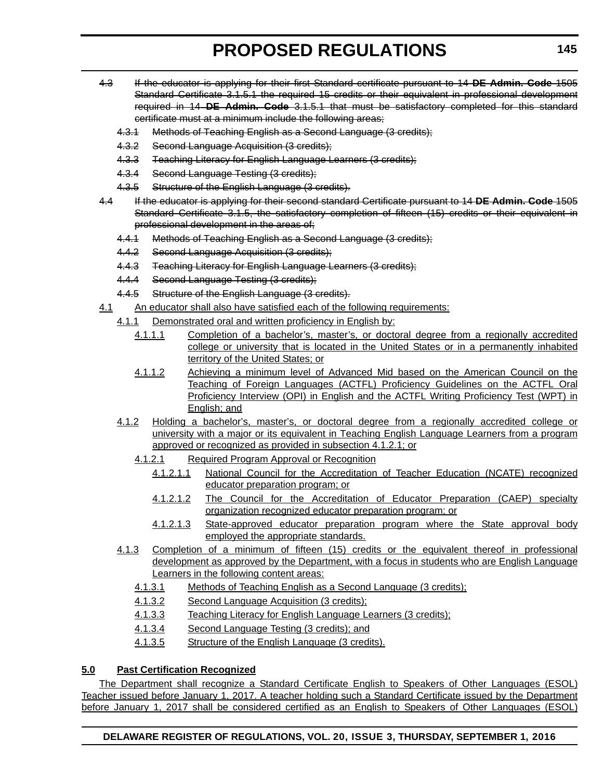- 4.3 If the educator is applying for their first Standard certificate pursuant to 14 **DE Admin. Code** 1505 Standard Certificate 3.1.5.1 the required 15 credits or their equivalent in professional development required in 14 **DE Admin. Code** 3.1.5.1 that must be satisfactory completed for this standard certificate must at a minimum include the following areas;
	- 4.3.1 Methods of Teaching English as a Second Language (3 credits);
	- 4.3.2 Second Language Acquisition (3 credits);
	- 4.3.3 Teaching Literacy for English Language Learners (3 credits);
	- 4.3.4 Second Language Testing (3 credits);
	- 4.3.5 Structure of the English Language (3 credits).
- 4.4 If the educator is applying for their second standard Certificate pursuant to 14 **DE Admin. Code** 1505 Standard Certificate 3.1.5, the satisfactory completion of fifteen (15) credits or their equivalent in professional development in the areas of;
	- 4.4.1 Methods of Teaching English as a Second Language (3 credits);
	- 4.4.2 Second Language Acquisition (3 credits);
	- 4.4.3 Teaching Literacy for English Language Learners (3 credits);
	- 4.4.4 Second Language Testing (3 credits);
	- 4.4.5 Structure of the English Language (3 credits).
- 4.1 An educator shall also have satisfied each of the following requirements:
	- 4.1.1 Demonstrated oral and written proficiency in English by:
		- 4.1.1.1 Completion of a bachelor's, master's, or doctoral degree from a regionally accredited college or university that is located in the United States or in a permanently inhabited territory of the United States; or
		- 4.1.1.2 Achieving a minimum level of Advanced Mid based on the American Council on the Teaching of Foreign Languages (ACTFL) Proficiency Guidelines on the ACTFL Oral Proficiency Interview (OPI) in English and the ACTFL Writing Proficiency Test (WPT) in English; and
	- 4.1.2 Holding a bachelor's, master's, or doctoral degree from a regionally accredited college or university with a major or its equivalent in Teaching English Language Learners from a program approved or recognized as provided in subsection 4.1.2.1; or
		- 4.1.2.1 Required Program Approval or Recognition
			- 4.1.2.1.1 National Council for the Accreditation of Teacher Education (NCATE) recognized educator preparation program; or
			- 4.1.2.1.2 The Council for the Accreditation of Educator Preparation (CAEP) specialty organization recognized educator preparation program; or
			- 4.1.2.1.3 State-approved educator preparation program where the State approval body employed the appropriate standards.
	- 4.1.3 Completion of a minimum of fifteen (15) credits or the equivalent thereof in professional development as approved by the Department, with a focus in students who are English Language Learners in the following content areas:
		- 4.1.3.1 Methods of Teaching English as a Second Language (3 credits);
		- 4.1.3.2 Second Language Acquisition (3 credits);
		- 4.1.3.3 Teaching Literacy for English Language Learners (3 credits);
		- 4.1.3.4 Second Language Testing (3 credits); and
		- 4.1.3.5 Structure of the English Language (3 credits).

# **5.0 Past Certification Recognized**

The Department shall recognize a Standard Certificate English to Speakers of Other Languages (ESOL) Teacher issued before January 1, 2017. A teacher holding such a Standard Certificate issued by the Department before January 1, 2017 shall be considered certified as an English to Speakers of Other Languages (ESOL)

# **DELAWARE REGISTER OF REGULATIONS, VOL. 20, ISSUE 3, THURSDAY, SEPTEMBER 1, 2016**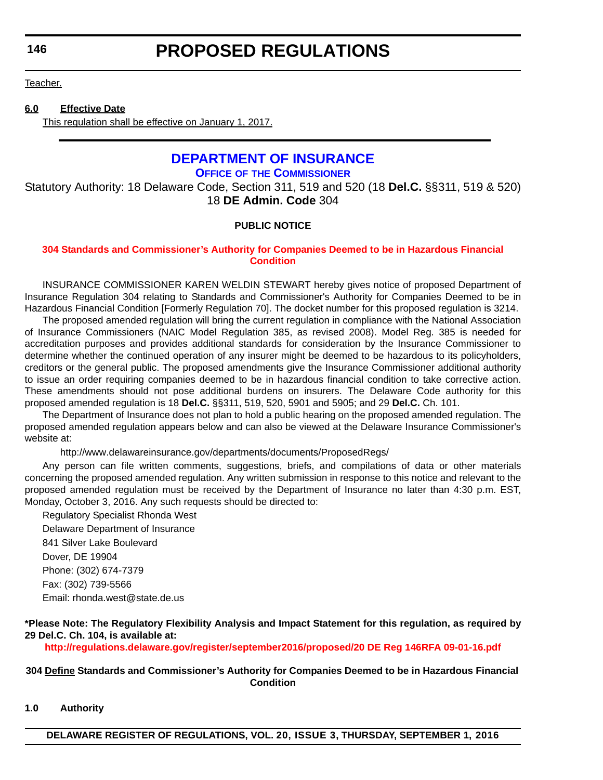<span id="page-12-0"></span>**146**

# **PROPOSED REGULATIONS**

Teacher.

#### **6.0 Effective Date**

This regulation shall be effective on January 1, 2017.

# **[DEPARTMENT OF INSURANCE](http://www.delawareinsurance.gov/)**

**OFFICE OF THE COMMISSIONER**

Statutory Authority: 18 Delaware Code, Section 311, 519 and 520 (18 **Del.C.** §§311, 519 & 520) 18 **DE Admin. Code** 304

### **PUBLIC NOTICE**

### **[304 Standards and Commissioner's Authority for Companies Deemed to be in Hazardous Financial](#page-3-0)  Condition**

INSURANCE COMMISSIONER KAREN WELDIN STEWART hereby gives notice of proposed Department of Insurance Regulation 304 relating to Standards and Commissioner's Authority for Companies Deemed to be in Hazardous Financial Condition [Formerly Regulation 70]. The docket number for this proposed regulation is 3214.

The proposed amended regulation will bring the current regulation in compliance with the National Association of Insurance Commissioners (NAIC Model Regulation 385, as revised 2008). Model Reg. 385 is needed for accreditation purposes and provides additional standards for consideration by the Insurance Commissioner to determine whether the continued operation of any insurer might be deemed to be hazardous to its policyholders, creditors or the general public. The proposed amendments give the Insurance Commissioner additional authority to issue an order requiring companies deemed to be in hazardous financial condition to take corrective action. These amendments should not pose additional burdens on insurers. The Delaware Code authority for this proposed amended regulation is 18 **Del.C.** §§311, 519, 520, 5901 and 5905; and 29 **Del.C.** Ch. 101.

The Department of Insurance does not plan to hold a public hearing on the proposed amended regulation. The proposed amended regulation appears below and can also be viewed at the Delaware Insurance Commissioner's website at:

<http://www.delawareinsurance.gov/departments/documents/ProposedRegs/>

Any person can file written comments, suggestions, briefs, and compilations of data or other materials concerning the proposed amended regulation. Any written submission in response to this notice and relevant to the proposed amended regulation must be received by the Department of Insurance no later than 4:30 p.m. EST, Monday, October 3, 2016. Any such requests should be directed to:

Regulatory Specialist Rhonda West Delaware Department of Insurance 841 Silver Lake Boulevard Dover, DE 19904 Phone: (302) 674-7379 Fax: (302) 739-5566 Email: rhonda.west@state.de.us

### **\*Please Note: The Regulatory Flexibility Analysis and Impact Statement for this regulation, as required by 29 Del.C. Ch. 104, is available at:**

**<http://regulations.delaware.gov/register/september2016/proposed/20 DE Reg 146RFA 09-01-16.pdf>**

#### **304 Define Standards and Commissioner's Authority for Companies Deemed to be in Hazardous Financial Condition**

**1.0 Authority**

**DELAWARE REGISTER OF REGULATIONS, VOL. 20, ISSUE 3, THURSDAY, SEPTEMBER 1, 2016**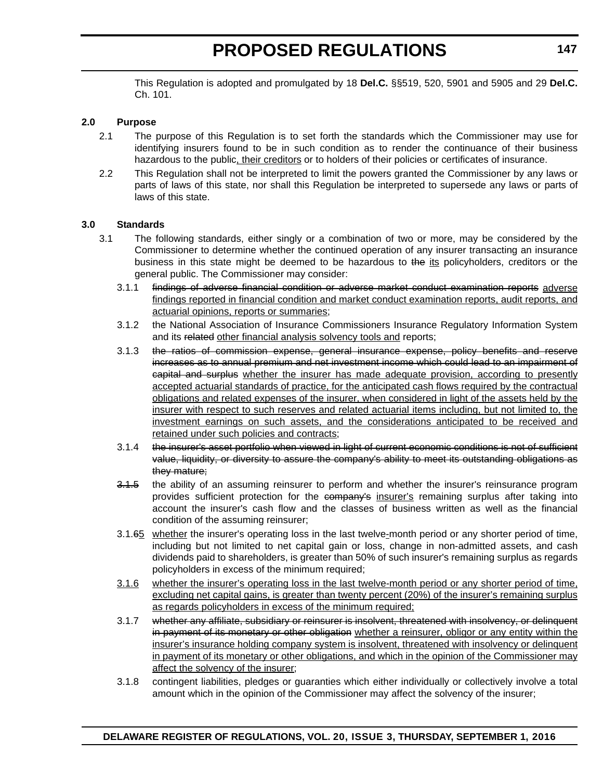This Regulation is adopted and promulgated by 18 **Del.C.** §§519, 520, 5901 and 5905 and 29 **Del.C.** Ch. 101.

#### **2.0 Purpose**

- 2.1 The purpose of this Regulation is to set forth the standards which the Commissioner may use for identifying insurers found to be in such condition as to render the continuance of their business hazardous to the public, their creditors or to holders of their policies or certificates of insurance.
- 2.2 This Regulation shall not be interpreted to limit the powers granted the Commissioner by any laws or parts of laws of this state, nor shall this Regulation be interpreted to supersede any laws or parts of laws of this state.

#### **3.0 Standards**

- 3.1 The following standards, either singly or a combination of two or more, may be considered by the Commissioner to determine whether the continued operation of any insurer transacting an insurance business in this state might be deemed to be hazardous to the its policyholders, creditors or the general public. The Commissioner may consider:
	- 3.1.1 findings of adverse financial condition or adverse market conduct examination reports adverse findings reported in financial condition and market conduct examination reports, audit reports, and actuarial opinions, reports or summaries;
	- 3.1.2 the National Association of Insurance Commissioners Insurance Regulatory Information System and its related other financial analysis solvency tools and reports;
	- 3.1.3 the ratios of commission expense, general insurance expense, policy benefits and reserve increases as to annual premium and net investment income which could lead to an impairment of capital and surplus whether the insurer has made adequate provision, according to presently accepted actuarial standards of practice, for the anticipated cash flows required by the contractual obligations and related expenses of the insurer, when considered in light of the assets held by the insurer with respect to such reserves and related actuarial items including, but not limited to, the investment earnings on such assets, and the considerations anticipated to be received and retained under such policies and contracts;
	- 3.1.4 the insurer's asset portfolio when viewed in light of current economic conditions is not of sufficient value, liquidity, or diversity to assure the company's ability to meet its outstanding obligations as they mature;
	- 3.1.5 the ability of an assuming reinsurer to perform and whether the insurer's reinsurance program provides sufficient protection for the company's insurer's remaining surplus after taking into account the insurer's cash flow and the classes of business written as well as the financial condition of the assuming reinsurer;
	- 3.1.65 whether the insurer's operating loss in the last twelve-month period or any shorter period of time, including but not limited to net capital gain or loss, change in non-admitted assets, and cash dividends paid to shareholders, is greater than 50% of such insurer's remaining surplus as regards policyholders in excess of the minimum required;
	- 3.1.6 whether the insurer's operating loss in the last twelve-month period or any shorter period of time, excluding net capital gains, is greater than twenty percent (20%) of the insurer's remaining surplus as regards policyholders in excess of the minimum required;
	- 3.1.7 whether any affiliate, subsidiary or reinsurer is insolvent, threatened with insolvency, or delinquent in payment of its monetary or other obligation whether a reinsurer, obligor or any entity within the insurer's insurance holding company system is insolvent, threatened with insolvency or delinquent in payment of its monetary or other obligations, and which in the opinion of the Commissioner may affect the solvency of the insurer;
	- 3.1.8 contingent liabilities, pledges or guaranties which either individually or collectively involve a total amount which in the opinion of the Commissioner may affect the solvency of the insurer;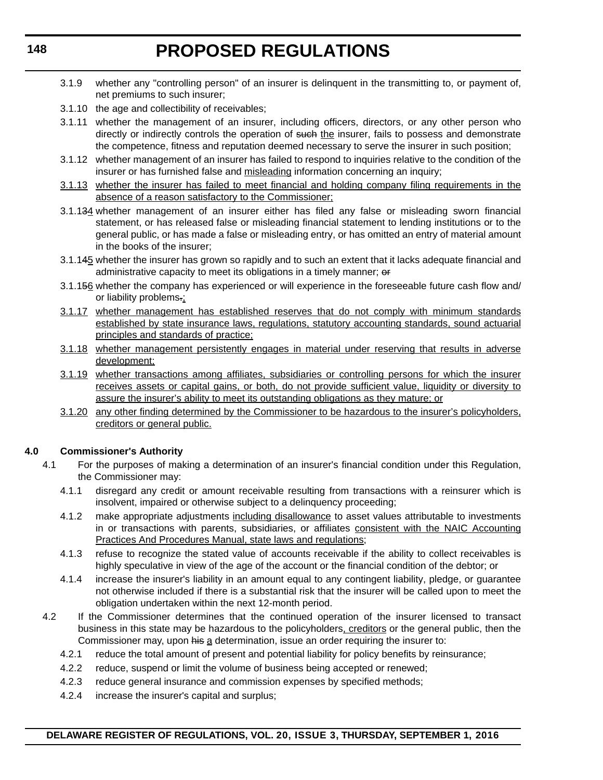- 3.1.9 whether any "controlling person" of an insurer is delinquent in the transmitting to, or payment of, net premiums to such insurer;
- 3.1.10 the age and collectibility of receivables;
- 3.1.11 whether the management of an insurer, including officers, directors, or any other person who directly or indirectly controls the operation of such the insurer, fails to possess and demonstrate the competence, fitness and reputation deemed necessary to serve the insurer in such position;
- 3.1.12 whether management of an insurer has failed to respond to inquiries relative to the condition of the insurer or has furnished false and misleading information concerning an inquiry;
- 3.1.13 whether the insurer has failed to meet financial and holding company filing requirements in the absence of a reason satisfactory to the Commissioner;
- 3.1.134 whether management of an insurer either has filed any false or misleading sworn financial statement, or has released false or misleading financial statement to lending institutions or to the general public, or has made a false or misleading entry, or has omitted an entry of material amount in the books of the insurer;
- 3.1.145 whether the insurer has grown so rapidly and to such an extent that it lacks adequate financial and administrative capacity to meet its obligations in a timely manner; or
- 3.1.156 whether the company has experienced or will experience in the foreseeable future cash flow and/ or liability problems.;
- 3.1.17 whether management has established reserves that do not comply with minimum standards established by state insurance laws, regulations, statutory accounting standards, sound actuarial principles and standards of practice;
- 3.1.18 whether management persistently engages in material under reserving that results in adverse development;
- 3.1.19 whether transactions among affiliates, subsidiaries or controlling persons for which the insurer receives assets or capital gains, or both, do not provide sufficient value, liquidity or diversity to assure the insurer's ability to meet its outstanding obligations as they mature; or
- 3.1.20 any other finding determined by the Commissioner to be hazardous to the insurer's policyholders, creditors or general public.

### **4.0 Commissioner's Authority**

- 4.1 For the purposes of making a determination of an insurer's financial condition under this Regulation, the Commissioner may:
	- 4.1.1 disregard any credit or amount receivable resulting from transactions with a reinsurer which is insolvent, impaired or otherwise subject to a delinquency proceeding;
	- 4.1.2 make appropriate adjustments including disallowance to asset values attributable to investments in or transactions with parents, subsidiaries, or affiliates consistent with the NAIC Accounting Practices And Procedures Manual, state laws and regulations;
	- 4.1.3 refuse to recognize the stated value of accounts receivable if the ability to collect receivables is highly speculative in view of the age of the account or the financial condition of the debtor; or
	- 4.1.4 increase the insurer's liability in an amount equal to any contingent liability, pledge, or guarantee not otherwise included if there is a substantial risk that the insurer will be called upon to meet the obligation undertaken within the next 12-month period.
- 4.2 If the Commissioner determines that the continued operation of the insurer licensed to transact business in this state may be hazardous to the policyholders, creditors or the general public, then the Commissioner may, upon his a determination, issue an order requiring the insurer to:
	- 4.2.1 reduce the total amount of present and potential liability for policy benefits by reinsurance;
	- 4.2.2 reduce, suspend or limit the volume of business being accepted or renewed;
	- 4.2.3 reduce general insurance and commission expenses by specified methods;
	- 4.2.4 increase the insurer's capital and surplus;

#### **DELAWARE REGISTER OF REGULATIONS, VOL. 20, ISSUE 3, THURSDAY, SEPTEMBER 1, 2016**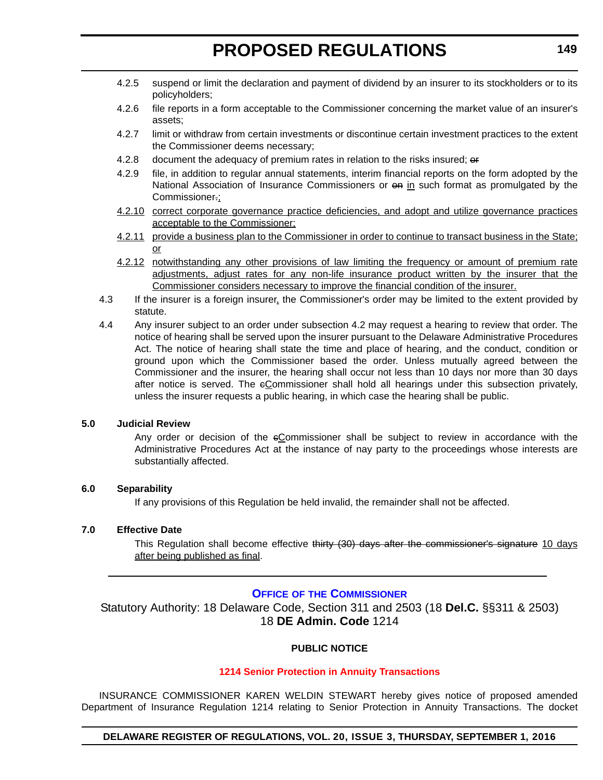- <span id="page-15-0"></span>4.2.5 suspend or limit the declaration and payment of dividend by an insurer to its stockholders or to its policyholders;
- 4.2.6 file reports in a form acceptable to the Commissioner concerning the market value of an insurer's assets;
- 4.2.7 limit or withdraw from certain investments or discontinue certain investment practices to the extent the Commissioner deems necessary;
- 4.2.8 document the adequacy of premium rates in relation to the risks insured; or
- 4.2.9 file, in addition to regular annual statements, interim financial reports on the form adopted by the National Association of Insurance Commissioners or  $\Theta$  in such format as promulgated by the Commissioner.;
- 4.2.10 correct corporate governance practice deficiencies, and adopt and utilize governance practices acceptable to the Commissioner;
- 4.2.11 provide a business plan to the Commissioner in order to continue to transact business in the State; or
- 4.2.12 notwithstanding any other provisions of law limiting the frequency or amount of premium rate adjustments, adjust rates for any non-life insurance product written by the insurer that the Commissioner considers necessary to improve the financial condition of the insurer.
- 4.3 If the insurer is a foreign insurer, the Commissioner's order may be limited to the extent provided by statute.
- 4.4 Any insurer subject to an order under subsection 4.2 may request a hearing to review that order. The notice of hearing shall be served upon the insurer pursuant to the Delaware Administrative Procedures Act. The notice of hearing shall state the time and place of hearing, and the conduct, condition or ground upon which the Commissioner based the order. Unless mutually agreed between the Commissioner and the insurer, the hearing shall occur not less than 10 days nor more than 30 days after notice is served. The eCommissioner shall hold all hearings under this subsection privately, unless the insurer requests a public hearing, in which case the hearing shall be public.

#### **5.0 Judicial Review**

Any order or decision of the eCommissioner shall be subject to review in accordance with the Administrative Procedures Act at the instance of nay party to the proceedings whose interests are substantially affected.

#### **6.0 Separability**

If any provisions of this Regulation be held invalid, the remainder shall not be affected.

#### **7.0 Effective Date**

This Regulation shall become effective thirty (30) days after the commissioner's signature 10 days after being published as final.

### **OFFICE OF [THE COMMISSIONER](http://www.delawareinsurance.gov/)**

Statutory Authority: 18 Delaware Code, Section 311 and 2503 (18 **Del.C.** §§311 & 2503) 18 **DE Admin. Code** 1214

#### **PUBLIC NOTICE**

#### **[1214 Senior Protection in Annuity Transactions](#page-3-0)**

INSURANCE COMMISSIONER KAREN WELDIN STEWART hereby gives notice of proposed amended Department of Insurance Regulation 1214 relating to Senior Protection in Annuity Transactions. The docket

### **DELAWARE REGISTER OF REGULATIONS, VOL. 20, ISSUE 3, THURSDAY, SEPTEMBER 1, 2016**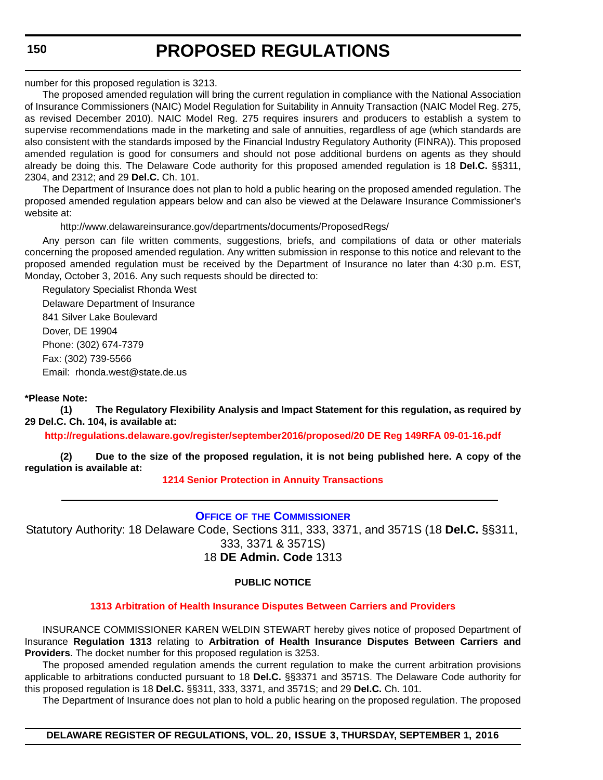<span id="page-16-0"></span>number for this proposed regulation is 3213.

The proposed amended regulation will bring the current regulation in compliance with the National Association of Insurance Commissioners (NAIC) Model Regulation for Suitability in Annuity Transaction (NAIC Model Reg. 275, as revised December 2010). NAIC Model Reg. 275 requires insurers and producers to establish a system to supervise recommendations made in the marketing and sale of annuities, regardless of age (which standards are also consistent with the standards imposed by the Financial Industry Regulatory Authority (FINRA)). This proposed amended regulation is good for consumers and should not pose additional burdens on agents as they should already be doing this. The Delaware Code authority for this proposed amended regulation is 18 **Del.C.** §§311, 2304, and 2312; and 29 **Del.C.** Ch. 101.

The Department of Insurance does not plan to hold a public hearing on the proposed amended regulation. The proposed amended regulation appears below and can also be viewed at the Delaware Insurance Commissioner's website at:

http://www.delawareinsurance.gov/departments/documents/ProposedRegs/

Any person can file written comments, suggestions, briefs, and compilations of data or other materials concerning the proposed amended regulation. Any written submission in response to this notice and relevant to the proposed amended regulation must be received by the Department of Insurance no later than 4:30 p.m. EST, Monday, October 3, 2016. Any such requests should be directed to:

Regulatory Specialist Rhonda West Delaware Department of Insurance 841 Silver Lake Boulevard Dover, DE 19904 Phone: (302) 674-7379 Fax: (302) 739-5566 Email: rhonda.west@state.de.us

### **\*Please Note:**

**(1) The Regulatory Flexibility Analysis and Impact Statement for this regulation, as required by 29 Del.C. Ch. 104, is available at:**

**<http://regulations.delaware.gov/register/september2016/proposed/20 DE Reg 149RFA 09-01-16.pdf>**

**(2) Due to the size of the proposed regulation, it is not being published here. A copy of the regulation is available at:**

### **[1214 Senior Protection in Annuity Transactions](http://regulations.delaware.gov/register/september2016/proposed/20 DE Reg 149 09-01-16.htm)**

# **OFFICE OF [THE COMMISSIONER](http://www.delawareinsurance.gov/)**

Statutory Authority: 18 Delaware Code, Sections 311, 333, 3371, and 3571S (18 **Del.C.** §§311, 333, 3371 & 3571S) 18 **DE Admin. Code** 1313

### **PUBLIC NOTICE**

### **[1313 Arbitration of Health Insurance Disputes Between Carriers and Providers](#page-3-0)**

INSURANCE COMMISSIONER KAREN WELDIN STEWART hereby gives notice of proposed Department of Insurance **Regulation 1313** relating to **Arbitration of Health Insurance Disputes Between Carriers and Providers**. The docket number for this proposed regulation is 3253.

The proposed amended regulation amends the current regulation to make the current arbitration provisions applicable to arbitrations conducted pursuant to 18 **Del.C.** §§3371 and 3571S. The Delaware Code authority for this proposed regulation is 18 **Del.C.** §§311, 333, 3371, and 3571S; and 29 **Del.C.** Ch. 101.

The Department of Insurance does not plan to hold a public hearing on the proposed regulation. The proposed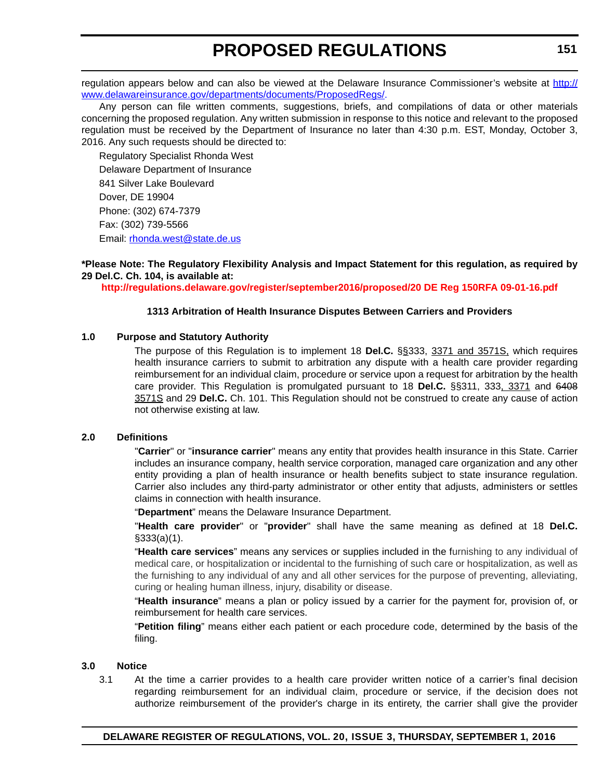regulation appears below and can also be viewed at the Delaware Insurance Commissioner's website at [http://](http://www.delawareinsurance.gov/departments/documents/ProposedRegs/) [www.delawareinsurance.gov/departments/documents/ProposedRegs/.](http://www.delawareinsurance.gov/departments/documents/ProposedRegs/)

Any person can file written comments, suggestions, briefs, and compilations of data or other materials concerning the proposed regulation. Any written submission in response to this notice and relevant to the proposed regulation must be received by the Department of Insurance no later than 4:30 p.m. EST, Monday, October 3, 2016. Any such requests should be directed to:

Regulatory Specialist Rhonda West Delaware Department of Insurance 841 Silver Lake Boulevard Dover, DE 19904 Phone: (302) 674-7379 Fax: (302) 739-5566 Email: rhonda.west@state.de.us

**\*Please Note: The Regulatory Flexibility Analysis and Impact Statement for this regulation, as required by 29 Del.C. Ch. 104, is available at:**

**<http://regulations.delaware.gov/register/september2016/proposed/20 DE Reg 150RFA 09-01-16.pdf>**

#### **1313 Arbitration of Health Insurance Disputes Between Carriers and Providers**

### **1.0 Purpose and Statutory Authority**

The purpose of this Regulation is to implement 18 **Del.C.** §§333, 3371 and 3571S, which requires health insurance carriers to submit to arbitration any dispute with a health care provider regarding reimbursement for an individual claim, procedure or service upon a request for arbitration by the health care provider. This Regulation is promulgated pursuant to 18 **Del.C.** §§311, 333, 3371 and 6408 3571S and 29 **Del.C.** Ch. 101. This Regulation should not be construed to create any cause of action not otherwise existing at law.

#### **2.0 Definitions**

"**Carrier**" or "**insurance carrier**" means any entity that provides health insurance in this State. Carrier includes an insurance company, health service corporation, managed care organization and any other entity providing a plan of health insurance or health benefits subject to state insurance regulation. Carrier also includes any third-party administrator or other entity that adjusts, administers or settles claims in connection with health insurance.

"**Department**" means the Delaware Insurance Department.

"**Health care provider**" or "**provider**" shall have the same meaning as defined at 18 **Del.C.** §333(a)(1).

"**Health care services**" means any services or supplies included in the furnishing to any individual of medical care, or hospitalization or incidental to the furnishing of such care or hospitalization, as well as the furnishing to any individual of any and all other services for the purpose of preventing, alleviating, curing or healing human illness, injury, disability or disease.

"**Health insurance**" means a plan or policy issued by a carrier for the payment for, provision of, or reimbursement for health care services.

"**Petition filing**" means either each patient or each procedure code, determined by the basis of the filing.

#### **3.0 Notice**

3.1 At the time a carrier provides to a health care provider written notice of a carrier's final decision regarding reimbursement for an individual claim, procedure or service, if the decision does not authorize reimbursement of the provider's charge in its entirety, the carrier shall give the provider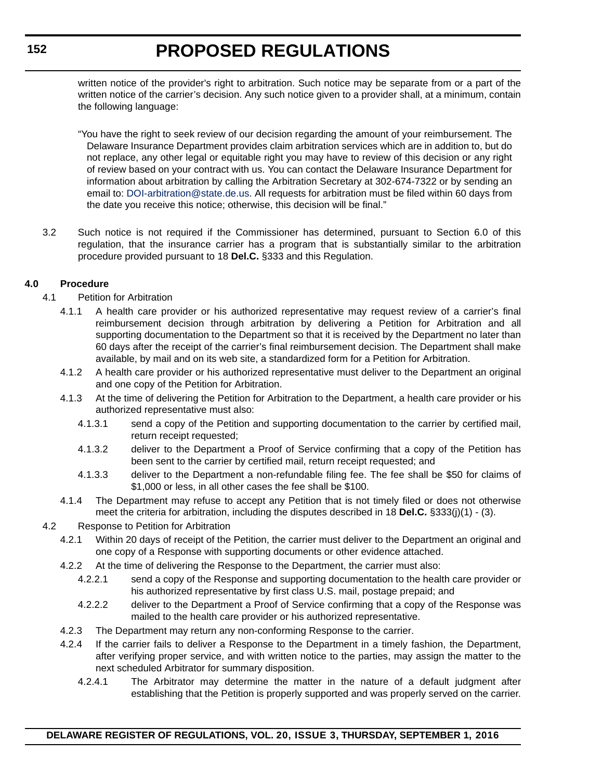written notice of the provider's right to arbitration. Such notice may be separate from or a part of the written notice of the carrier's decision. Any such notice given to a provider shall, at a minimum, contain the following language:

"You have the right to seek review of our decision regarding the amount of your reimbursement. The Delaware Insurance Department provides claim arbitration services which are in addition to, but do not replace, any other legal or equitable right you may have to review of this decision or any right of review based on your contract with us. You can contact the Delaware Insurance Department for information about arbitration by calling the Arbitration Secretary at 302-674-7322 or by sending an email to: [DOI-arbitration@state.de.us](mailto:DOI-arbitration@state.de.us). All requests for arbitration must be filed within 60 days from the date you receive this notice; otherwise, this decision will be final."

3.2 Such notice is not required if the Commissioner has determined, pursuant to Section 6.0 of this regulation, that the insurance carrier has a program that is substantially similar to the arbitration procedure provided pursuant to 18 **Del.C.** §333 and this Regulation.

### **4.0 Procedure**

- 4.1 Petition for Arbitration
	- 4.1.1 A health care provider or his authorized representative may request review of a carrier's final reimbursement decision through arbitration by delivering a Petition for Arbitration and all supporting documentation to the Department so that it is received by the Department no later than 60 days after the receipt of the carrier's final reimbursement decision. The Department shall make available, by mail and on its web site, a standardized form for a Petition for Arbitration.
	- 4.1.2 A health care provider or his authorized representative must deliver to the Department an original and one copy of the Petition for Arbitration.
	- 4.1.3 At the time of delivering the Petition for Arbitration to the Department, a health care provider or his authorized representative must also:
		- 4.1.3.1 send a copy of the Petition and supporting documentation to the carrier by certified mail, return receipt requested;
		- 4.1.3.2 deliver to the Department a Proof of Service confirming that a copy of the Petition has been sent to the carrier by certified mail, return receipt requested; and
		- 4.1.3.3 deliver to the Department a non-refundable filing fee. The fee shall be \$50 for claims of \$1,000 or less, in all other cases the fee shall be \$100.
	- 4.1.4 The Department may refuse to accept any Petition that is not timely filed or does not otherwise meet the criteria for arbitration, including the disputes described in 18 **Del.C.** §333(j)(1) - (3).
- 4.2 Response to Petition for Arbitration
	- 4.2.1 Within 20 days of receipt of the Petition, the carrier must deliver to the Department an original and one copy of a Response with supporting documents or other evidence attached.
	- 4.2.2 At the time of delivering the Response to the Department, the carrier must also:
		- 4.2.2.1 send a copy of the Response and supporting documentation to the health care provider or his authorized representative by first class U.S. mail, postage prepaid; and
		- 4.2.2.2 deliver to the Department a Proof of Service confirming that a copy of the Response was mailed to the health care provider or his authorized representative.
	- 4.2.3 The Department may return any non-conforming Response to the carrier.
	- 4.2.4 If the carrier fails to deliver a Response to the Department in a timely fashion, the Department, after verifying proper service, and with written notice to the parties, may assign the matter to the next scheduled Arbitrator for summary disposition.
		- 4.2.4.1 The Arbitrator may determine the matter in the nature of a default judgment after establishing that the Petition is properly supported and was properly served on the carrier.

# **DELAWARE REGISTER OF REGULATIONS, VOL. 20, ISSUE 3, THURSDAY, SEPTEMBER 1, 2016**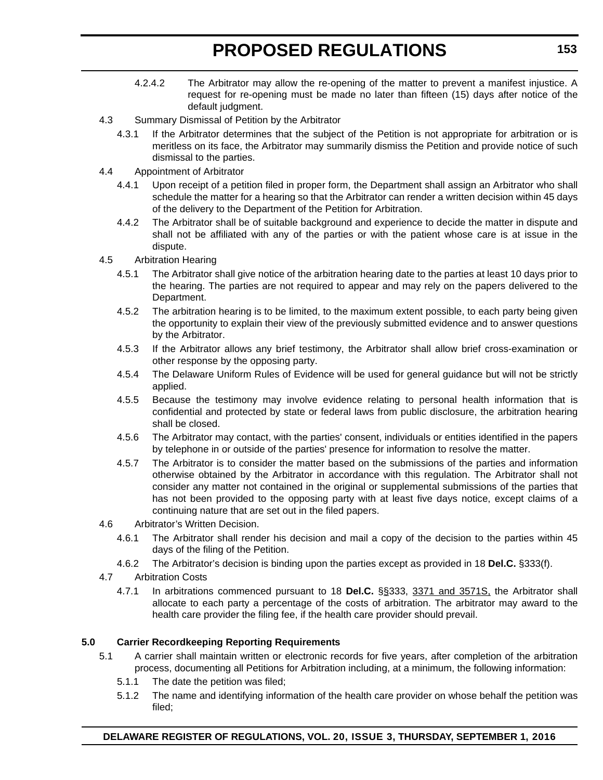- 4.2.4.2 The Arbitrator may allow the re-opening of the matter to prevent a manifest injustice. A request for re-opening must be made no later than fifteen (15) days after notice of the default judgment.
- 4.3 Summary Dismissal of Petition by the Arbitrator
	- 4.3.1 If the Arbitrator determines that the subject of the Petition is not appropriate for arbitration or is meritless on its face, the Arbitrator may summarily dismiss the Petition and provide notice of such dismissal to the parties.
- 4.4 Appointment of Arbitrator
	- 4.4.1 Upon receipt of a petition filed in proper form, the Department shall assign an Arbitrator who shall schedule the matter for a hearing so that the Arbitrator can render a written decision within 45 days of the delivery to the Department of the Petition for Arbitration.
	- 4.4.2 The Arbitrator shall be of suitable background and experience to decide the matter in dispute and shall not be affiliated with any of the parties or with the patient whose care is at issue in the dispute.
- 4.5 Arbitration Hearing
	- 4.5.1 The Arbitrator shall give notice of the arbitration hearing date to the parties at least 10 days prior to the hearing. The parties are not required to appear and may rely on the papers delivered to the Department.
	- 4.5.2 The arbitration hearing is to be limited, to the maximum extent possible, to each party being given the opportunity to explain their view of the previously submitted evidence and to answer questions by the Arbitrator.
	- 4.5.3 If the Arbitrator allows any brief testimony, the Arbitrator shall allow brief cross-examination or other response by the opposing party.
	- 4.5.4 The Delaware Uniform Rules of Evidence will be used for general guidance but will not be strictly applied.
	- 4.5.5 Because the testimony may involve evidence relating to personal health information that is confidential and protected by state or federal laws from public disclosure, the arbitration hearing shall be closed.
	- 4.5.6 The Arbitrator may contact, with the parties' consent, individuals or entities identified in the papers by telephone in or outside of the parties' presence for information to resolve the matter.
	- 4.5.7 The Arbitrator is to consider the matter based on the submissions of the parties and information otherwise obtained by the Arbitrator in accordance with this regulation. The Arbitrator shall not consider any matter not contained in the original or supplemental submissions of the parties that has not been provided to the opposing party with at least five days notice, except claims of a continuing nature that are set out in the filed papers.
- 4.6 Arbitrator's Written Decision.
	- 4.6.1 The Arbitrator shall render his decision and mail a copy of the decision to the parties within 45 days of the filing of the Petition.
	- 4.6.2 The Arbitrator's decision is binding upon the parties except as provided in 18 **Del.C.** §333(f).
- 4.7 Arbitration Costs
	- 4.7.1 In arbitrations commenced pursuant to 18 **Del.C.** §§333, 3371 and 3571S, the Arbitrator shall allocate to each party a percentage of the costs of arbitration. The arbitrator may award to the health care provider the filing fee, if the health care provider should prevail.

# **5.0 Carrier Recordkeeping Reporting Requirements**

- 5.1 A carrier shall maintain written or electronic records for five years, after completion of the arbitration process, documenting all Petitions for Arbitration including, at a minimum, the following information:
	- 5.1.1 The date the petition was filed;
	- 5.1.2 The name and identifying information of the health care provider on whose behalf the petition was filed;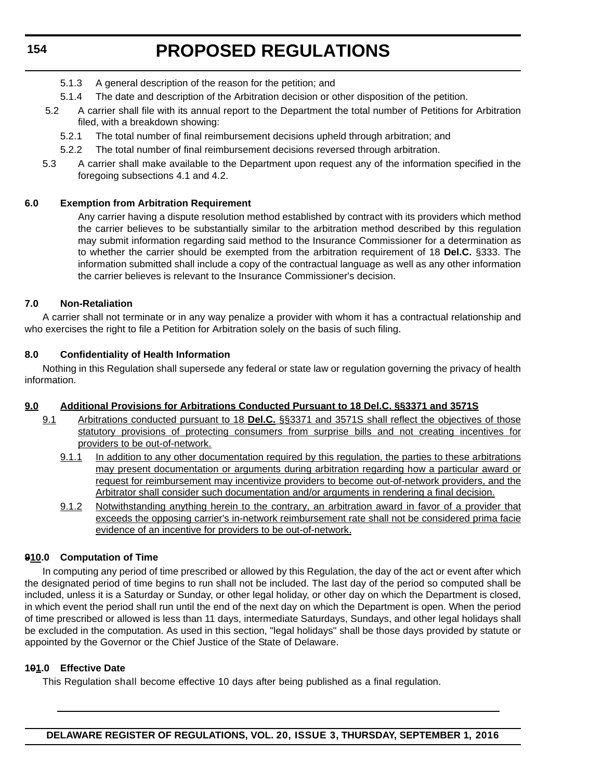# **154**

# **PROPOSED REGULATIONS**

- 5.1.3 A general description of the reason for the petition; and
- 5.1.4 The date and description of the Arbitration decision or other disposition of the petition.
- 5.2 A carrier shall file with its annual report to the Department the total number of Petitions for Arbitration filed, with a breakdown showing:
	- 5.2.1 The total number of final reimbursement decisions upheld through arbitration; and
	- 5.2.2 The total number of final reimbursement decisions reversed through arbitration.
- 5.3 A carrier shall make available to the Department upon request any of the information specified in the foregoing subsections 4.1 and 4.2.

### **6.0 Exemption from Arbitration Requirement**

Any carrier having a dispute resolution method established by contract with its providers which method the carrier believes to be substantially similar to the arbitration method described by this regulation may submit information regarding said method to the Insurance Commissioner for a determination as to whether the carrier should be exempted from the arbitration requirement of 18 **Del.C.** §333. The information submitted shall include a copy of the contractual language as well as any other information the carrier believes is relevant to the Insurance Commissioner's decision.

### **7.0 Non-Retaliation**

A carrier shall not terminate or in any way penalize a provider with whom it has a contractual relationship and who exercises the right to file a Petition for Arbitration solely on the basis of such filing.

### **8.0 Confidentiality of Health Information**

Nothing in this Regulation shall supersede any federal or state law or regulation governing the privacy of health information.

# **9.0 Additional Provisions for Arbitrations Conducted Pursuant to 18 Del.C. §§3371 and 3571S**

- 9.1 Arbitrations conducted pursuant to 18 **Del.C.** §§3371 and 3571S shall reflect the objectives of those statutory provisions of protecting consumers from surprise bills and not creating incentives for providers to be out-of-network.
	- 9.1.1 In addition to any other documentation required by this regulation, the parties to these arbitrations may present documentation or arguments during arbitration regarding how a particular award or request for reimbursement may incentivize providers to become out-of-network providers, and the Arbitrator shall consider such documentation and/or arguments in rendering a final decision.
	- 9.1.2 Notwithstanding anything herein to the contrary, an arbitration award in favor of a provider that exceeds the opposing carrier's in-network reimbursement rate shall not be considered prima facie evidence of an incentive for providers to be out-of-network.

# **910.0 Computation of Time**

In computing any period of time prescribed or allowed by this Regulation, the day of the act or event after which the designated period of time begins to run shall not be included. The last day of the period so computed shall be included, unless it is a Saturday or Sunday, or other legal holiday, or other day on which the Department is closed, in which event the period shall run until the end of the next day on which the Department is open. When the period of time prescribed or allowed is less than 11 days, intermediate Saturdays, Sundays, and other legal holidays shall be excluded in the computation. As used in this section, "legal holidays" shall be those days provided by statute or appointed by the Governor or the Chief Justice of the State of Delaware.

### **101.0 Effective Date**

This Regulation shall become effective 10 days after being published as a final regulation.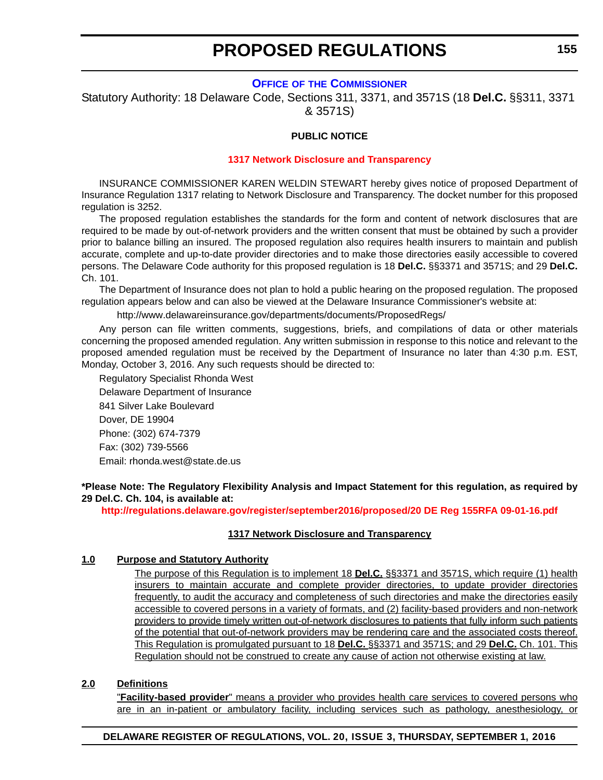#### **OFFICE OF [THE COMMISSIONER](http://www.delawareinsurance.gov/)**

<span id="page-21-0"></span>Statutory Authority: 18 Delaware Code, Sections 311, 3371, and 3571S (18 **Del.C.** §§311, 3371 & 3571S)

#### **PUBLIC NOTICE**

#### **[1317 Network Disclosure and Transparency](#page-3-0)**

INSURANCE COMMISSIONER KAREN WELDIN STEWART hereby gives notice of proposed Department of Insurance Regulation 1317 relating to Network Disclosure and Transparency. The docket number for this proposed regulation is 3252.

The proposed regulation establishes the standards for the form and content of network disclosures that are required to be made by out-of-network providers and the written consent that must be obtained by such a provider prior to balance billing an insured. The proposed regulation also requires health insurers to maintain and publish accurate, complete and up-to-date provider directories and to make those directories easily accessible to covered persons. The Delaware Code authority for this proposed regulation is 18 **Del.C.** §§3371 and 3571S; and 29 **Del.C.** Ch. 101.

The Department of Insurance does not plan to hold a public hearing on the proposed regulation. The proposed regulation appears below and can also be viewed at the Delaware Insurance Commissioner's website at:

<http://www.delawareinsurance.gov/departments/documents/ProposedRegs/>

Any person can file written comments, suggestions, briefs, and compilations of data or other materials concerning the proposed amended regulation. Any written submission in response to this notice and relevant to the proposed amended regulation must be received by the Department of Insurance no later than 4:30 p.m. EST, Monday, October 3, 2016. Any such requests should be directed to:

Regulatory Specialist Rhonda West Delaware Department of Insurance 841 Silver Lake Boulevard Dover, DE 19904 Phone: (302) 674-7379 Fax: (302) 739-5566 Email: rhonda.west@state.de.us

**\*Please Note: The Regulatory Flexibility Analysis and Impact Statement for this regulation, as required by 29 Del.C. Ch. 104, is available at:**

**<http://regulations.delaware.gov/register/september2016/proposed/20 DE Reg 155RFA 09-01-16.pdf>**

#### **1317 Network Disclosure and Transparency**

#### **1.0 Purpose and Statutory Authority**

The purpose of this Regulation is to implement 18 **Del.C.** §§3371 and 3571S, which require (1) health insurers to maintain accurate and complete provider directories, to update provider directories frequently, to audit the accuracy and completeness of such directories and make the directories easily accessible to covered persons in a variety of formats, and (2) facility-based providers and non-network providers to provide timely written out-of-network disclosures to patients that fully inform such patients of the potential that out-of-network providers may be rendering care and the associated costs thereof. This Regulation is promulgated pursuant to 18 **Del.C.** §§3371 and 3571S; and 29 **Del.C.** Ch. 101. This Regulation should not be construed to create any cause of action not otherwise existing at law.

### **2.0 Definitions**

"**Facility-based provider**" means a provider who provides health care services to covered persons who are in an in-patient or ambulatory facility, including services such as pathology, anesthesiology, or

#### **DELAWARE REGISTER OF REGULATIONS, VOL. 20, ISSUE 3, THURSDAY, SEPTEMBER 1, 2016**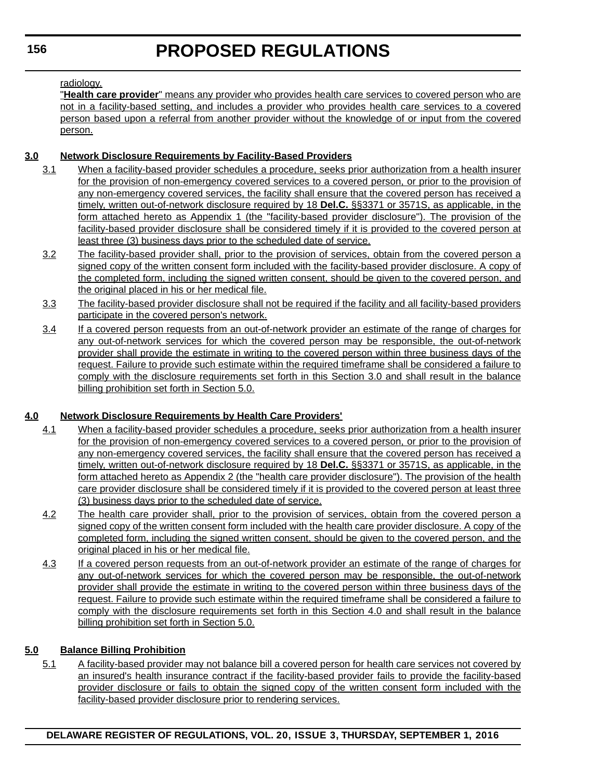### radiology.

"**Health care provider**" means any provider who provides health care services to covered person who are not in a facility-based setting, and includes a provider who provides health care services to a covered person based upon a referral from another provider without the knowledge of or input from the covered person.

# **3.0 Network Disclosure Requirements by Facility-Based Providers**

- 3.1 When a facility-based provider schedules a procedure, seeks prior authorization from a health insurer for the provision of non-emergency covered services to a covered person, or prior to the provision of any non-emergency covered services, the facility shall ensure that the covered person has received a timely, written out-of-network disclosure required by 18 **Del.C.** §§3371 or 3571S, as applicable, in the form attached hereto as Appendix 1 (the "facility-based provider disclosure"). The provision of the facility-based provider disclosure shall be considered timely if it is provided to the covered person at least three (3) business days prior to the scheduled date of service.
- 3.2 The facility-based provider shall, prior to the provision of services, obtain from the covered person a signed copy of the written consent form included with the facility-based provider disclosure. A copy of the completed form, including the signed written consent, should be given to the covered person, and the original placed in his or her medical file.
- 3.3 The facility-based provider disclosure shall not be required if the facility and all facility-based providers participate in the covered person's network.
- 3.4 If a covered person requests from an out-of-network provider an estimate of the range of charges for any out-of-network services for which the covered person may be responsible, the out-of-network provider shall provide the estimate in writing to the covered person within three business days of the request. Failure to provide such estimate within the required timeframe shall be considered a failure to comply with the disclosure requirements set forth in this Section 3.0 and shall result in the balance billing prohibition set forth in Section 5.0.

# **4.0 Network Disclosure Requirements by Health Care Providers'**

- 4.1 When a facility-based provider schedules a procedure, seeks prior authorization from a health insurer for the provision of non-emergency covered services to a covered person, or prior to the provision of any non-emergency covered services, the facility shall ensure that the covered person has received a timely, written out-of-network disclosure required by 18 **Del.C.** §§3371 or 3571S, as applicable, in the form attached hereto as Appendix 2 (the "health care provider disclosure"). The provision of the health care provider disclosure shall be considered timely if it is provided to the covered person at least three (3) business days prior to the scheduled date of service.
- 4.2 The health care provider shall, prior to the provision of services, obtain from the covered person a signed copy of the written consent form included with the health care provider disclosure. A copy of the completed form, including the signed written consent, should be given to the covered person, and the original placed in his or her medical file.
- 4.3 If a covered person requests from an out-of-network provider an estimate of the range of charges for any out-of-network services for which the covered person may be responsible, the out-of-network provider shall provide the estimate in writing to the covered person within three business days of the request. Failure to provide such estimate within the required timeframe shall be considered a failure to comply with the disclosure requirements set forth in this Section 4.0 and shall result in the balance billing prohibition set forth in Section 5.0.

# **5.0 Balance Billing Prohibition**

5.1 A facility-based provider may not balance bill a covered person for health care services not covered by an insured's health insurance contract if the facility-based provider fails to provide the facility-based provider disclosure or fails to obtain the signed copy of the written consent form included with the facility-based provider disclosure prior to rendering services.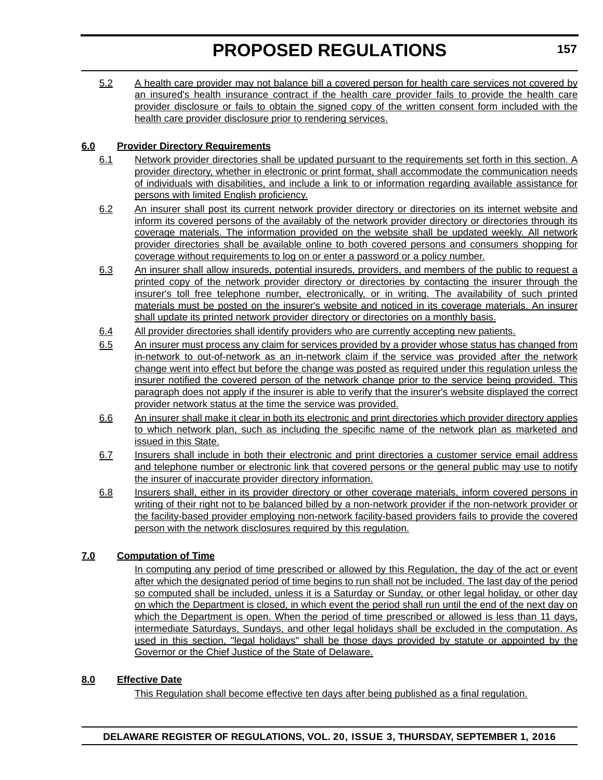5.2 A health care provider may not balance bill a covered person for health care services not covered by an insured's health insurance contract if the health care provider fails to provide the health care provider disclosure or fails to obtain the signed copy of the written consent form included with the health care provider disclosure prior to rendering services.

# **6.0 Provider Directory Requirements**

- 6.1 Network provider directories shall be updated pursuant to the requirements set forth in this section. A provider directory, whether in electronic or print format, shall accommodate the communication needs of individuals with disabilities, and include a link to or information regarding available assistance for persons with limited English proficiency.
- 6.2 An insurer shall post its current network provider directory or directories on its internet website and inform its covered persons of the availably of the network provider directory or directories through its coverage materials. The information provided on the website shall be updated weekly. All network provider directories shall be available online to both covered persons and consumers shopping for coverage without requirements to log on or enter a password or a policy number.
- 6.3 An insurer shall allow insureds, potential insureds, providers, and members of the public to request a printed copy of the network provider directory or directories by contacting the insurer through the insurer's toll free telephone number, electronically, or in writing. The availability of such printed materials must be posted on the insurer's website and noticed in its coverage materials. An insurer shall update its printed network provider directory or directories on a monthly basis.
- 6.4 All provider directories shall identify providers who are currently accepting new patients.
- 6.5 An insurer must process any claim for services provided by a provider whose status has changed from in-network to out-of-network as an in-network claim if the service was provided after the network change went into effect but before the change was posted as required under this regulation unless the insurer notified the covered person of the network change prior to the service being provided. This paragraph does not apply if the insurer is able to verify that the insurer's website displayed the correct provider network status at the time the service was provided.
- 6.6 An insurer shall make it clear in both its electronic and print directories which provider directory applies to which network plan, such as including the specific name of the network plan as marketed and issued in this State.
- 6.7 Insurers shall include in both their electronic and print directories a customer service email address and telephone number or electronic link that covered persons or the general public may use to notify the insurer of inaccurate provider directory information.
- 6.8 Insurers shall, either in its provider directory or other coverage materials, inform covered persons in writing of their right not to be balanced billed by a non-network provider if the non-network provider or the facility-based provider employing non-network facility-based providers fails to provide the covered person with the network disclosures required by this regulation.

# **7.0 Computation of Time**

In computing any period of time prescribed or allowed by this Regulation, the day of the act or event after which the designated period of time begins to run shall not be included. The last day of the period so computed shall be included, unless it is a Saturday or Sunday, or other legal holiday, or other day on which the Department is closed, in which event the period shall run until the end of the next day on which the Department is open. When the period of time prescribed or allowed is less than 11 days, intermediate Saturdays, Sundays, and other legal holidays shall be excluded in the computation. As used in this section, "legal holidays" shall be those days provided by statute or appointed by the Governor or the Chief Justice of the State of Delaware.

# **8.0 Effective Date**

This Regulation shall become effective ten days after being published as a final regulation.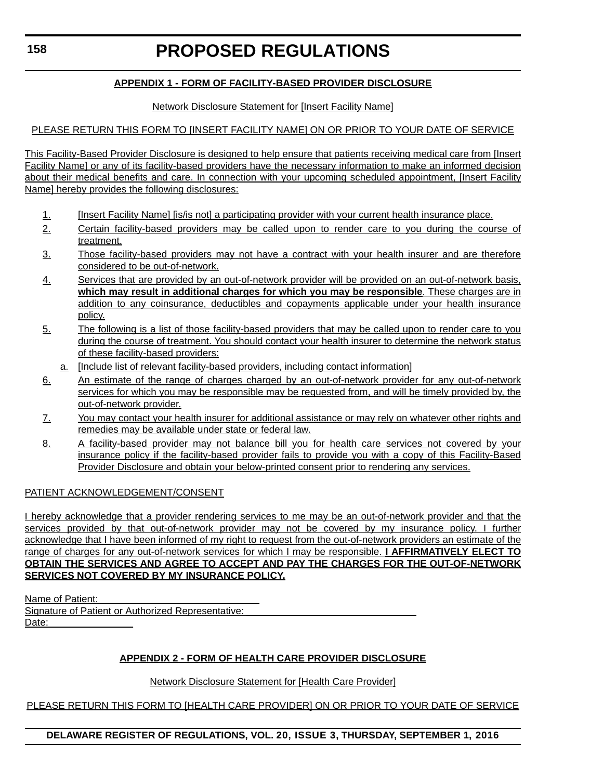# **APPENDIX 1 - FORM OF FACILITY-BASED PROVIDER DISCLOSURE**

### Network Disclosure Statement for [Insert Facility Name]

### PLEASE RETURN THIS FORM TO [INSERT FACILITY NAME] ON OR PRIOR TO YOUR DATE OF SERVICE

This Facility-Based Provider Disclosure is designed to help ensure that patients receiving medical care from [Insert Facility Name] or any of its facility-based providers have the necessary information to make an informed decision about their medical benefits and care. In connection with your upcoming scheduled appointment, [Insert Facility Name] hereby provides the following disclosures:

- 1. [Insert Facility Name] [is/is not] a participating provider with your current health insurance place.
- 2. Certain facility-based providers may be called upon to render care to you during the course of treatment.
- 3. Those facility-based providers may not have a contract with your health insurer and are therefore considered to be out-of-network.
- 4. Services that are provided by an out-of-network provider will be provided on an out-of-network basis, **which may result in additional charges for which you may be responsible**. These charges are in addition to any coinsurance, deductibles and copayments applicable under your health insurance policy.
- 5. The following is a list of those facility-based providers that may be called upon to render care to you during the course of treatment. You should contact your health insurer to determine the network status of these facility-based providers:
	- a. [Include list of relevant facility-based providers, including contact information]
- 6. An estimate of the range of charges charged by an out-of-network provider for any out-of-network services for which you may be responsible may be requested from, and will be timely provided by, the out-of-network provider.
- 7. You may contact your health insurer for additional assistance or may rely on whatever other rights and remedies may be available under state or federal law.
- 8. A facility-based provider may not balance bill you for health care services not covered by your insurance policy if the facility-based provider fails to provide you with a copy of this Facility-Based Provider Disclosure and obtain your below-printed consent prior to rendering any services.

### PATIENT ACKNOWLEDGEMENT/CONSENT

I hereby acknowledge that a provider rendering services to me may be an out-of-network provider and that the services provided by that out-of-network provider may not be covered by my insurance policy. I further acknowledge that I have been informed of my right to request from the out-of-network providers an estimate of the range of charges for any out-of-network services for which I may be responsible. **I AFFIRMATIVELY ELECT TO OBTAIN THE SERVICES AND AGREE TO ACCEPT AND PAY THE CHARGES FOR THE OUT-OF-NETWORK SERVICES NOT COVERED BY MY INSURANCE POLICY.**

Name of Patient: Signature of Patient or Authorized Representative: Date:

# **APPENDIX 2 - FORM OF HEALTH CARE PROVIDER DISCLOSURE**

### Network Disclosure Statement for [Health Care Provider]

PLEASE RETURN THIS FORM TO [HEALTH CARE PROVIDER] ON OR PRIOR TO YOUR DATE OF SERVICE

### **DELAWARE REGISTER OF REGULATIONS, VOL. 20, ISSUE 3, THURSDAY, SEPTEMBER 1, 2016**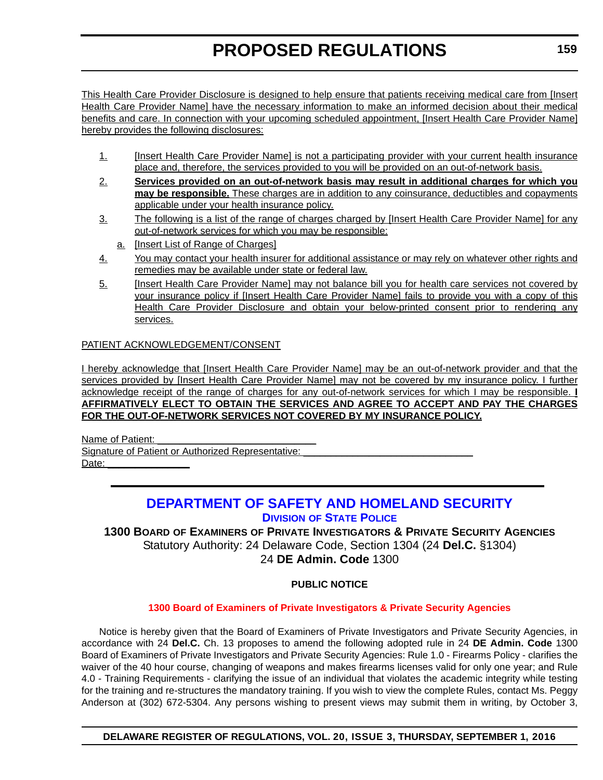<span id="page-25-0"></span>This Health Care Provider Disclosure is designed to help ensure that patients receiving medical care from [Insert Health Care Provider Name] have the necessary information to make an informed decision about their medical benefits and care. In connection with your upcoming scheduled appointment, [Insert Health Care Provider Name] hereby provides the following disclosures:

- 1. [Insert Health Care Provider Name] is not a participating provider with your current health insurance place and, therefore, the services provided to you will be provided on an out-of-network basis.
- 2. **Services provided on an out-of-network basis may result in additional charges for which you may be responsible.** These charges are in addition to any coinsurance, deductibles and copayments applicable under your health insurance policy.
- 3. The following is a list of the range of charges charged by [Insert Health Care Provider Name] for any out-of-network services for which you may be responsible:
	- a. [Insert List of Range of Charges]
- 4. You may contact your health insurer for additional assistance or may rely on whatever other rights and remedies may be available under state or federal law.
- 5. [Insert Health Care Provider Name] may not balance bill you for health care services not covered by your insurance policy if [Insert Health Care Provider Name] fails to provide you with a copy of this Health Care Provider Disclosure and obtain your below-printed consent prior to rendering any services.

### PATIENT ACKNOWLEDGEMENT/CONSENT

I hereby acknowledge that [Insert Health Care Provider Name] may be an out-of-network provider and that the services provided by [Insert Health Care Provider Name] may not be covered by my insurance policy. I further acknowledge receipt of the range of charges for any out-of-network services for which I may be responsible. **I AFFIRMATIVELY ELECT TO OBTAIN THE SERVICES AND AGREE TO ACCEPT AND PAY THE CHARGES FOR THE OUT-OF-NETWORK SERVICES NOT COVERED BY MY INSURANCE POLICY.**

Name of Patient: Signature of Patient or Authorized Representative: Date:

# **[DEPARTMENT OF SAFETY AND HOMELAND SECURITY](http://dsp.delaware.gov/) DIVISION OF STATE POLICE**

**1300 BOARD OF EXAMINERS OF PRIVATE INVESTIGATORS & PRIVATE SECURITY AGENCIES** Statutory Authority: 24 Delaware Code, Section 1304 (24 **Del.C.** §1304) 24 **DE Admin. Code** 1300

### **PUBLIC NOTICE**

### **[1300 Board of Examiners of Private Investigators & Private Security Agencies](#page-3-0)**

Notice is hereby given that the Board of Examiners of Private Investigators and Private Security Agencies, in accordance with 24 **Del.C.** Ch. 13 proposes to amend the following adopted rule in 24 **DE Admin. Code** 1300 Board of Examiners of Private Investigators and Private Security Agencies: Rule 1.0 - Firearms Policy - clarifies the waiver of the 40 hour course, changing of weapons and makes firearms licenses valid for only one year; and Rule 4.0 - Training Requirements - clarifying the issue of an individual that violates the academic integrity while testing for the training and re-structures the mandatory training. If you wish to view the complete Rules, contact Ms. Peggy Anderson at (302) 672-5304. Any persons wishing to present views may submit them in writing, by October 3,

**DELAWARE REGISTER OF REGULATIONS, VOL. 20, ISSUE 3, THURSDAY, SEPTEMBER 1, 2016**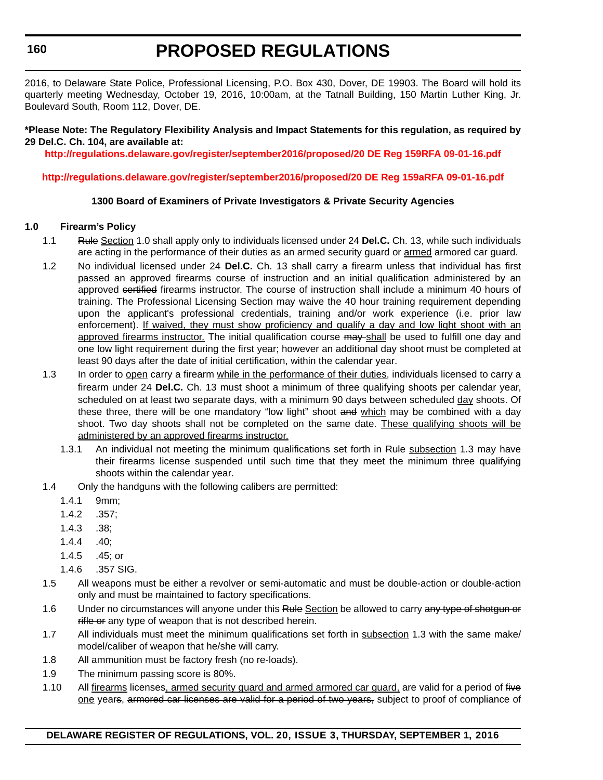2016, to Delaware State Police, Professional Licensing, P.O. Box 430, Dover, DE 19903. The Board will hold its quarterly meeting Wednesday, October 19, 2016, 10:00am, at the Tatnall Building, 150 Martin Luther King, Jr. Boulevard South, Room 112, Dover, DE.

#### **\*Please Note: The Regulatory Flexibility Analysis and Impact Statements for this regulation, as required by 29 Del.C. Ch. 104, are available at:**

**<http://regulations.delaware.gov/register/september2016/proposed/20 DE Reg 159RFA 09-01-16.pdf>**

### **<http://regulations.delaware.gov/register/september2016/proposed/20 DE Reg 159aRFA 09-01-16.pdf>**

### **1300 Board of Examiners of Private Investigators & Private Security Agencies**

### **1.0 Firearm's Policy**

- 1.1 Rule Section 1.0 shall apply only to individuals licensed under 24 **Del.C.** Ch. 13, while such individuals are acting in the performance of their duties as an armed security guard or armed armored car guard.
- 1.2 No individual licensed under 24 **Del.C.** Ch. 13 shall carry a firearm unless that individual has first passed an approved firearms course of instruction and an initial qualification administered by an approved certified firearms instructor. The course of instruction shall include a minimum 40 hours of training. The Professional Licensing Section may waive the 40 hour training requirement depending upon the applicant's professional credentials, training and/or work experience (i.e. prior law enforcement). If waived, they must show proficiency and qualify a day and low light shoot with an approved firearms instructor. The initial qualification course may shall be used to fulfill one day and one low light requirement during the first year; however an additional day shoot must be completed at least 90 days after the date of initial certification, within the calendar year.
- 1.3 In order to open carry a firearm while in the performance of their duties, individuals licensed to carry a firearm under 24 **Del.C.** Ch. 13 must shoot a minimum of three qualifying shoots per calendar year, scheduled on at least two separate days, with a minimum 90 days between scheduled day shoots. Of these three, there will be one mandatory "low light" shoot and which may be combined with a day shoot. Two day shoots shall not be completed on the same date. These qualifying shoots will be administered by an approved firearms instructor.
	- 1.3.1 An individual not meeting the minimum qualifications set forth in Rule subsection 1.3 may have their firearms license suspended until such time that they meet the minimum three qualifying shoots within the calendar year.
- 1.4 Only the handguns with the following calibers are permitted:
	- 1.4.1 9mm;
	- 1.4.2 .357;
	- 1.4.3 .38;
	- 1.4.4 .40;
	- 1.4.5 .45; or
	- 1.4.6 .357 SIG.
- 1.5 All weapons must be either a revolver or semi-automatic and must be double-action or double-action only and must be maintained to factory specifications.
- 1.6 Under no circumstances will anyone under this Rule Section be allowed to carry any type of shotgun or rifle or any type of weapon that is not described herein.
- 1.7 All individuals must meet the minimum qualifications set forth in subsection 1.3 with the same make/ model/caliber of weapon that he/she will carry.
- 1.8 All ammunition must be factory fresh (no re-loads).
- 1.9 The minimum passing score is 80%.
- 1.10 All firearms licenses, armed security guard and armed armored car guard, are valid for a period of five one years, armored car licenses are valid for a period of two years, subject to proof of compliance of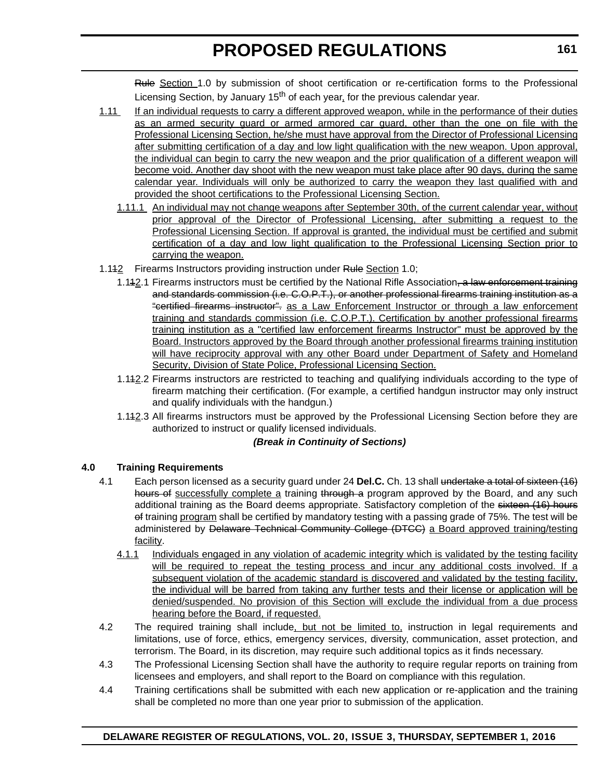Rule Section 1.0 by submission of shoot certification or re-certification forms to the Professional Licensing Section, by January 15<sup>th</sup> of each year, for the previous calendar year.

- 1.11 If an individual requests to carry a different approved weapon, while in the performance of their duties as an armed security guard or armed armored car guard, other than the one on file with the Professional Licensing Section, he/she must have approval from the Director of Professional Licensing after submitting certification of a day and low light qualification with the new weapon. Upon approval, the individual can begin to carry the new weapon and the prior qualification of a different weapon will become void. Another day shoot with the new weapon must take place after 90 days, during the same calendar year. Individuals will only be authorized to carry the weapon they last qualified with and provided the shoot certifications to the Professional Licensing Section.
	- 1.11.1 An individual may not change weapons after September 30th, of the current calendar year, without prior approval of the Director of Professional Licensing, after submitting a request to the Professional Licensing Section. If approval is granted, the individual must be certified and submit certification of a day and low light qualification to the Professional Licensing Section prior to carrying the weapon.
- 1.142 Firearms Instructors providing instruction under Rule Section 1.0;
	- 1.142.1 Firearms instructors must be certified by the National Rifle Association, a law enforcement training and standards commission (i.e. C.O.P.T.), or another professional firearms training institution as a "certified firearms instructor". as a Law Enforcement Instructor or through a law enforcement training and standards commission (i.e. C.O.P.T.). Certification by another professional firearms training institution as a "certified law enforcement firearms Instructor" must be approved by the Board. Instructors approved by the Board through another professional firearms training institution will have reciprocity approval with any other Board under Department of Safety and Homeland Security, Division of State Police, Professional Licensing Section.
	- 1.112.2 Firearms instructors are restricted to teaching and qualifying individuals according to the type of firearm matching their certification. (For example, a certified handgun instructor may only instruct and qualify individuals with the handgun.)
	- 1.112.3 All firearms instructors must be approved by the Professional Licensing Section before they are authorized to instruct or qualify licensed individuals.

### *(Break in Continuity of Sections)*

# **4.0 Training Requirements**

- 4.1 Each person licensed as a security guard under 24 **Del.C.** Ch. 13 shall undertake a total of sixteen (16) hours of successfully complete a training through a program approved by the Board, and any such additional training as the Board deems appropriate. Satisfactory completion of the sixteen (16) hours of training program shall be certified by mandatory testing with a passing grade of 75%. The test will be administered by <del>Delaware Technical Community College (DTCC)</del> a Board approved training/testing facility.
	- 4.1.1 Individuals engaged in any violation of academic integrity which is validated by the testing facility will be required to repeat the testing process and incur any additional costs involved. If a subsequent violation of the academic standard is discovered and validated by the testing facility, the individual will be barred from taking any further tests and their license or application will be denied/suspended. No provision of this Section will exclude the individual from a due process hearing before the Board, if requested.
- 4.2 The required training shall include, but not be limited to, instruction in legal requirements and limitations, use of force, ethics, emergency services, diversity, communication, asset protection, and terrorism. The Board, in its discretion, may require such additional topics as it finds necessary.
- 4.3 The Professional Licensing Section shall have the authority to require regular reports on training from licensees and employers, and shall report to the Board on compliance with this regulation.
- 4.4 Training certifications shall be submitted with each new application or re-application and the training shall be completed no more than one year prior to submission of the application.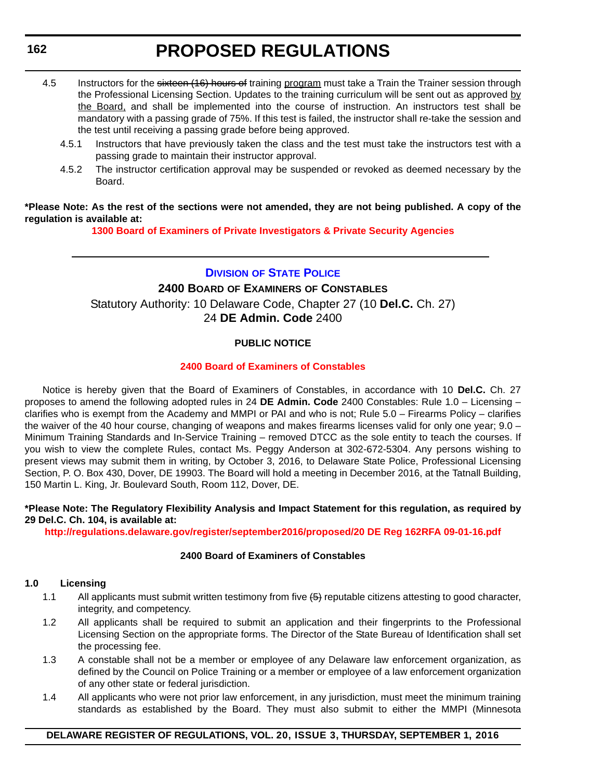- <span id="page-28-0"></span>4.5 Instructors for the sixteen (16) hours of training program must take a Train the Trainer session through the Professional Licensing Section. Updates to the training curriculum will be sent out as approved by the Board, and shall be implemented into the course of instruction. An instructors test shall be mandatory with a passing grade of 75%. If this test is failed, the instructor shall re-take the session and the test until receiving a passing grade before being approved.
	- 4.5.1 Instructors that have previously taken the class and the test must take the instructors test with a passing grade to maintain their instructor approval.
	- 4.5.2 The instructor certification approval may be suspended or revoked as deemed necessary by the Board.

### **\*Please Note: As the rest of the sections were not amended, they are not being published. A copy of the regulation is available at:**

**[1300 Board of Examiners of Private Investigators & Private Security Agencies](http://regulations.delaware.gov/register/september2016/proposed/20 DE Reg 159 09-01-16.htm)**

### **DIVISION [OF STATE POLICE](http://dsp.delaware.gov/)**

# **2400 BOARD OF EXAMINERS OF CONSTABLES**

Statutory Authority: 10 Delaware Code, Chapter 27 (10 **Del.C.** Ch. 27)

24 **DE Admin. Code** 2400

# **PUBLIC NOTICE**

### **[2400 Board of Examiners of Constables](#page-3-0)**

Notice is hereby given that the Board of Examiners of Constables, in accordance with 10 **Del.C.** Ch. 27 proposes to amend the following adopted rules in 24 **DE Admin. Code** 2400 Constables: Rule 1.0 – Licensing – clarifies who is exempt from the Academy and MMPI or PAI and who is not; Rule 5.0 – Firearms Policy – clarifies the waiver of the 40 hour course, changing of weapons and makes firearms licenses valid for only one year; 9.0 – Minimum Training Standards and In-Service Training – removed DTCC as the sole entity to teach the courses. If you wish to view the complete Rules, contact Ms. Peggy Anderson at 302-672-5304. Any persons wishing to present views may submit them in writing, by October 3, 2016, to Delaware State Police, Professional Licensing Section, P. O. Box 430, Dover, DE 19903. The Board will hold a meeting in December 2016, at the Tatnall Building, 150 Martin L. King, Jr. Boulevard South, Room 112, Dover, DE.

#### **\*Please Note: The Regulatory Flexibility Analysis and Impact Statement for this regulation, as required by 29 Del.C. Ch. 104, is available at:**

**<http://regulations.delaware.gov/register/september2016/proposed/20 DE Reg 162RFA 09-01-16.pdf>**

### **2400 Board of Examiners of Constables**

### **1.0 Licensing**

- 1.1 All applicants must submit written testimony from five (<del>5)</del> reputable citizens attesting to good character, integrity, and competency.
- 1.2 All applicants shall be required to submit an application and their fingerprints to the Professional Licensing Section on the appropriate forms. The Director of the State Bureau of Identification shall set the processing fee.
- 1.3 A constable shall not be a member or employee of any Delaware law enforcement organization, as defined by the Council on Police Training or a member or employee of a law enforcement organization of any other state or federal jurisdiction.
- 1.4 All applicants who were not prior law enforcement, in any jurisdiction, must meet the minimum training standards as established by the Board. They must also submit to either the MMPI (Minnesota

### **DELAWARE REGISTER OF REGULATIONS, VOL. 20, ISSUE 3, THURSDAY, SEPTEMBER 1, 2016**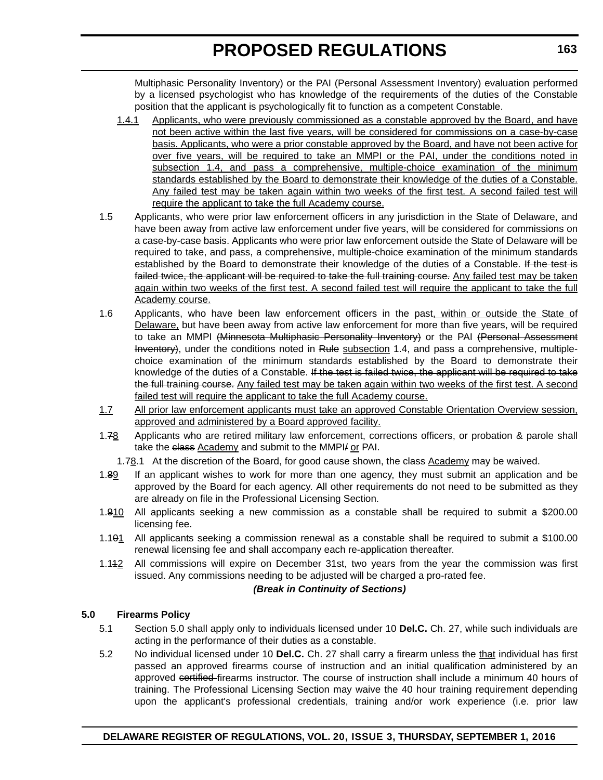Multiphasic Personality Inventory) or the PAI (Personal Assessment Inventory) evaluation performed by a licensed psychologist who has knowledge of the requirements of the duties of the Constable position that the applicant is psychologically fit to function as a competent Constable.

- 1.4.1 Applicants, who were previously commissioned as a constable approved by the Board, and have not been active within the last five years, will be considered for commissions on a case-by-case basis. Applicants, who were a prior constable approved by the Board, and have not been active for over five years, will be required to take an MMPI or the PAI, under the conditions noted in subsection 1.4, and pass a comprehensive, multiple-choice examination of the minimum standards established by the Board to demonstrate their knowledge of the duties of a Constable. Any failed test may be taken again within two weeks of the first test. A second failed test will require the applicant to take the full Academy course.
- 1.5 Applicants, who were prior law enforcement officers in any jurisdiction in the State of Delaware, and have been away from active law enforcement under five years, will be considered for commissions on a case-by-case basis. Applicants who were prior law enforcement outside the State of Delaware will be required to take, and pass, a comprehensive, multiple-choice examination of the minimum standards established by the Board to demonstrate their knowledge of the duties of a Constable. If the test is failed twice, the applicant will be required to take the full training course. Any failed test may be taken again within two weeks of the first test. A second failed test will require the applicant to take the full Academy course.
- 1.6 Applicants, who have been law enforcement officers in the past, within or outside the State of Delaware, but have been away from active law enforcement for more than five years, will be required to take an MMPI (Minnesota Multiphasic Personality Inventory) or the PAI (Personal Assessment Inventory), under the conditions noted in Rule subsection 1.4, and pass a comprehensive, multiplechoice examination of the minimum standards established by the Board to demonstrate their knowledge of the duties of a Constable. If the test is failed twice, the applicant will be required to take the full training course. Any failed test may be taken again within two weeks of the first test. A second failed test will require the applicant to take the full Academy course.
- 1.7 All prior law enforcement applicants must take an approved Constable Orientation Overview session, approved and administered by a Board approved facility.
- 1.78 Applicants who are retired military law enforcement, corrections officers, or probation & parole shall take the class Academy and submit to the MMPI/ or PAI.
	- 1.78.1 At the discretion of the Board, for good cause shown, the elass Academy may be waived.
- 1.89 If an applicant wishes to work for more than one agency, they must submit an application and be approved by the Board for each agency. All other requirements do not need to be submitted as they are already on file in the Professional Licensing Section.
- 1.910 All applicants seeking a new commission as a constable shall be required to submit a \$200.00 licensing fee.
- 1.101 All applicants seeking a commission renewal as a constable shall be required to submit a \$100.00 renewal licensing fee and shall accompany each re-application thereafter.
- 1.112 All commissions will expire on December 31st, two years from the year the commission was first issued. Any commissions needing to be adjusted will be charged a pro-rated fee.

#### *(Break in Continuity of Sections)*

### **5.0 Firearms Policy**

- 5.1 Section 5.0 shall apply only to individuals licensed under 10 **Del.C.** Ch. 27, while such individuals are acting in the performance of their duties as a constable.
- 5.2 No individual licensed under 10 **Del.C.** Ch. 27 shall carry a firearm unless the that individual has first passed an approved firearms course of instruction and an initial qualification administered by an approved certified firearms instructor. The course of instruction shall include a minimum 40 hours of training. The Professional Licensing Section may waive the 40 hour training requirement depending upon the applicant's professional credentials, training and/or work experience (i.e. prior law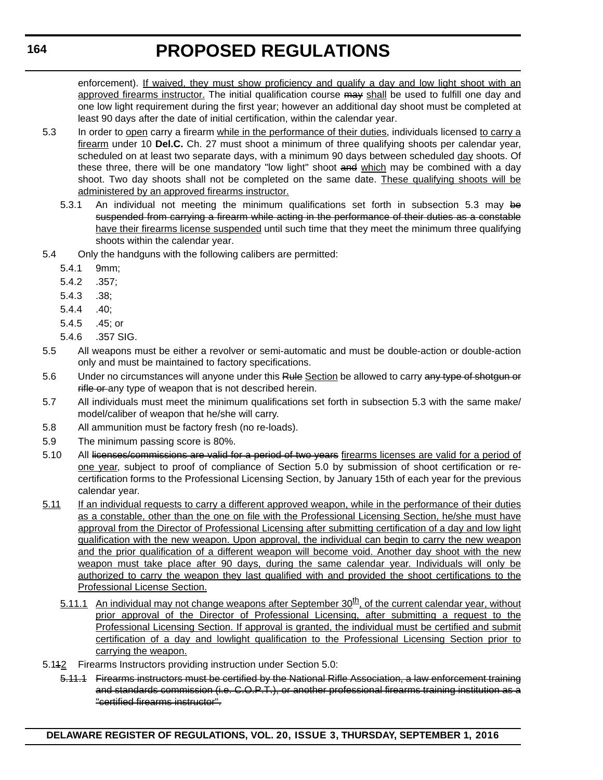enforcement). If waived, they must show proficiency and qualify a day and low light shoot with an approved firearms instructor. The initial qualification course may shall be used to fulfill one day and one low light requirement during the first year; however an additional day shoot must be completed at least 90 days after the date of initial certification, within the calendar year.

- 5.3 In order to open carry a firearm while in the performance of their duties, individuals licensed to carry a firearm under 10 **Del.C.** Ch. 27 must shoot a minimum of three qualifying shoots per calendar year, scheduled on at least two separate days, with a minimum 90 days between scheduled day shoots. Of these three, there will be one mandatory "low light" shoot and which may be combined with a day shoot. Two day shoots shall not be completed on the same date. These qualifying shoots will be administered by an approved firearms instructor.
	- 5.3.1 An individual not meeting the minimum qualifications set forth in subsection 5.3 may be suspended from carrying a firearm while acting in the performance of their duties as a constable have their firearms license suspended until such time that they meet the minimum three qualifying shoots within the calendar year.
- 5.4 Only the handguns with the following calibers are permitted:
	- 5.4.1 9mm;
	- 5.4.2 .357;
	- 5.4.3 .38;
	- 5.4.4 .40;
	- 5.4.5 .45; or
	- 5.4.6 .357 SIG.
- 5.5 All weapons must be either a revolver or semi-automatic and must be double-action or double-action only and must be maintained to factory specifications.
- 5.6 Under no circumstances will anyone under this Rule Section be allowed to carry any type of shotgun or rifle or any type of weapon that is not described herein.
- 5.7 All individuals must meet the minimum qualifications set forth in subsection 5.3 with the same make/ model/caliber of weapon that he/she will carry.
- 5.8 All ammunition must be factory fresh (no re-loads).
- 5.9 The minimum passing score is 80%.
- 5.10 All licenses/commissions are valid for a period of two years firearms licenses are valid for a period of one year, subject to proof of compliance of Section 5.0 by submission of shoot certification or recertification forms to the Professional Licensing Section, by January 15th of each year for the previous calendar year.
- 5.11 If an individual requests to carry a different approved weapon, while in the performance of their duties as a constable, other than the one on file with the Professional Licensing Section, he/she must have approval from the Director of Professional Licensing after submitting certification of a day and low light qualification with the new weapon. Upon approval, the individual can begin to carry the new weapon and the prior qualification of a different weapon will become void. Another day shoot with the new weapon must take place after 90 days, during the same calendar year. Individuals will only be authorized to carry the weapon they last qualified with and provided the shoot certifications to the Professional License Section.
	- 5.11.1 An individual may not change weapons after September  $30<sup>th</sup>$ , of the current calendar year, without prior approval of the Director of Professional Licensing, after submitting a request to the Professional Licensing Section. If approval is granted, the individual must be certified and submit certification of a day and lowlight qualification to the Professional Licensing Section prior to carrying the weapon.
- 5.142 Firearms Instructors providing instruction under Section 5.0:
	- 5.11.1 Firearms instructors must be certified by the National Rifle Association, a law enforcement training and standards commission (i.e. C.O.P.T.), or another professional firearms training institution as a "certified firearms instructor".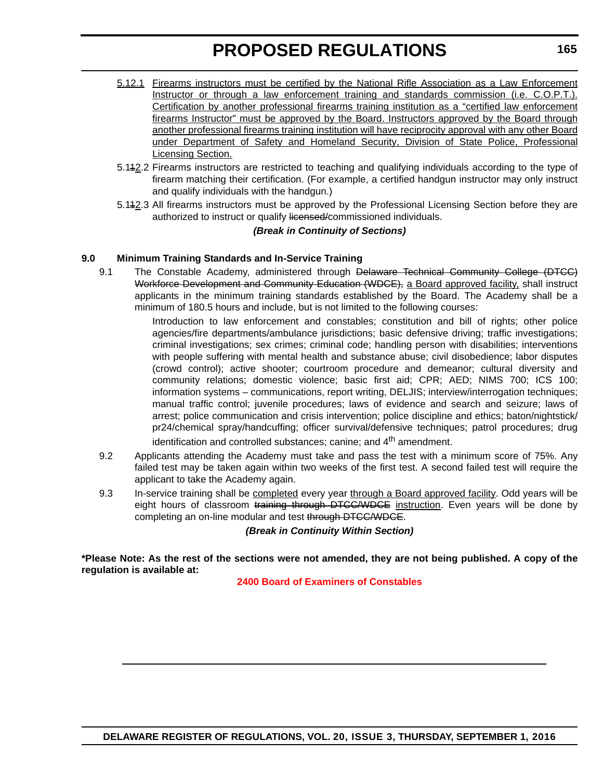- 5.12.1 Firearms instructors must be certified by the National Rifle Association as a Law Enforcement Instructor or through a law enforcement training and standards commission (i.e. C.O.P.T.). Certification by another professional firearms training institution as a "certified law enforcement firearms Instructor" must be approved by the Board. Instructors approved by the Board through another professional firearms training institution will have reciprocity approval with any other Board under Department of Safety and Homeland Security, Division of State Police, Professional Licensing Section.
- 5.112.2 Firearms instructors are restricted to teaching and qualifying individuals according to the type of firearm matching their certification. (For example, a certified handgun instructor may only instruct and qualify individuals with the handgun.)
- 5.112.3 All firearms instructors must be approved by the Professional Licensing Section before they are authorized to instruct or qualify licensed/commissioned individuals.

### *(Break in Continuity of Sections)*

### **9.0 Minimum Training Standards and In-Service Training**

9.1 The Constable Academy, administered through Delaware Technical Community College (DTCC) Workforce Development and Community Education (WDCE), a Board approved facility, shall instruct applicants in the minimum training standards established by the Board. The Academy shall be a minimum of 180.5 hours and include, but is not limited to the following courses:

> Introduction to law enforcement and constables; constitution and bill of rights; other police agencies/fire departments/ambulance jurisdictions; basic defensive driving; traffic investigations; criminal investigations; sex crimes; criminal code; handling person with disabilities; interventions with people suffering with mental health and substance abuse; civil disobedience; labor disputes (crowd control); active shooter; courtroom procedure and demeanor; cultural diversity and community relations; domestic violence; basic first aid; CPR; AED; NIMS 700; ICS 100; information systems – communications, report writing, DELJIS; interview/interrogation techniques; manual traffic control; juvenile procedures; laws of evidence and search and seizure; laws of arrest; police communication and crisis intervention; police discipline and ethics; baton/nightstick/ pr24/chemical spray/handcuffing; officer survival/defensive techniques; patrol procedures; drug identification and controlled substances; canine; and 4<sup>th</sup> amendment.

- 9.2 Applicants attending the Academy must take and pass the test with a minimum score of 75%. Any failed test may be taken again within two weeks of the first test. A second failed test will require the applicant to take the Academy again.
- 9.3 In-service training shall be completed every year through a Board approved facility. Odd years will be eight hours of classroom training through DTCC/WDCE instruction. Even years will be done by completing an on-line modular and test through DTCC/WDCE.

*(Break in Continuity Within Section)*

**\*Please Note: As the rest of the sections were not amended, they are not being published. A copy of the regulation is available at:**

**[2400 Board of Examiners of Constables](http://regulations.delaware.gov/register/september2016/proposed/20 DE Reg 162 09-01-16.htm)**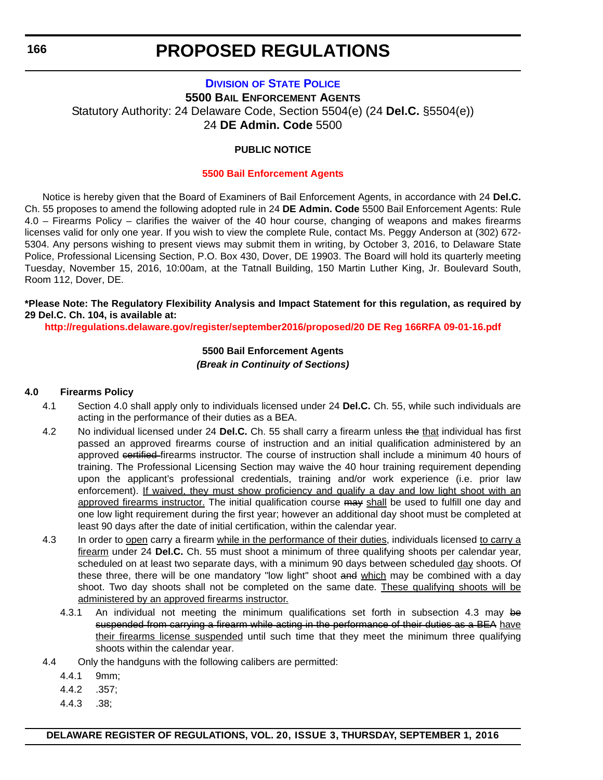# <span id="page-32-0"></span>**DIVISION [OF STATE POLICE](http://dsp.delaware.gov/) 5500 BAIL ENFORCEMENT AGENTS** Statutory Authority: 24 Delaware Code, Section 5504(e) (24 **Del.C.** §5504(e)) 24 **DE Admin. Code** 5500

### **PUBLIC NOTICE**

#### **[5500 Bail Enforcement Agents](#page-3-0)**

Notice is hereby given that the Board of Examiners of Bail Enforcement Agents, in accordance with 24 **Del.C.** Ch. 55 proposes to amend the following adopted rule in 24 **DE Admin. Code** 5500 Bail Enforcement Agents: Rule 4.0 – Firearms Policy – clarifies the waiver of the 40 hour course, changing of weapons and makes firearms licenses valid for only one year. If you wish to view the complete Rule, contact Ms. Peggy Anderson at (302) 672- 5304. Any persons wishing to present views may submit them in writing, by October 3, 2016, to Delaware State Police, Professional Licensing Section, P.O. Box 430, Dover, DE 19903. The Board will hold its quarterly meeting Tuesday, November 15, 2016, 10:00am, at the Tatnall Building, 150 Martin Luther King, Jr. Boulevard South, Room 112, Dover, DE.

### **\*Please Note: The Regulatory Flexibility Analysis and Impact Statement for this regulation, as required by 29 Del.C. Ch. 104, is available at:**

**<http://regulations.delaware.gov/register/september2016/proposed/20 DE Reg 166RFA 09-01-16.pdf>**

#### **5500 Bail Enforcement Agents** *(Break in Continuity of Sections)*

#### **4.0 Firearms Policy**

- 4.1 Section 4.0 shall apply only to individuals licensed under 24 **Del.C.** Ch. 55, while such individuals are acting in the performance of their duties as a BEA.
- 4.2 No individual licensed under 24 **Del.C.** Ch. 55 shall carry a firearm unless the that individual has first passed an approved firearms course of instruction and an initial qualification administered by an approved certified firearms instructor. The course of instruction shall include a minimum 40 hours of training. The Professional Licensing Section may waive the 40 hour training requirement depending upon the applicant's professional credentials, training and/or work experience (i.e. prior law enforcement). If waived, they must show proficiency and qualify a day and low light shoot with an approved firearms instructor. The initial qualification course may shall be used to fulfill one day and one low light requirement during the first year; however an additional day shoot must be completed at least 90 days after the date of initial certification, within the calendar year.
- 4.3 In order to open carry a firearm while in the performance of their duties, individuals licensed to carry a firearm under 24 **Del.C.** Ch. 55 must shoot a minimum of three qualifying shoots per calendar year, scheduled on at least two separate days, with a minimum 90 days between scheduled day shoots. Of these three, there will be one mandatory "low light" shoot and which may be combined with a day shoot. Two day shoots shall not be completed on the same date. These qualifying shoots will be administered by an approved firearms instructor.
	- 4.3.1 An individual not meeting the minimum qualifications set forth in subsection 4.3 may be suspended from carrying a firearm while acting in the performance of their duties as a BEA have their firearms license suspended until such time that they meet the minimum three qualifying shoots within the calendar year.
- 4.4 Only the handguns with the following calibers are permitted:
	- 4.4.1 9mm;
	- 4.4.2 .357;
	- 4.4.3 .38;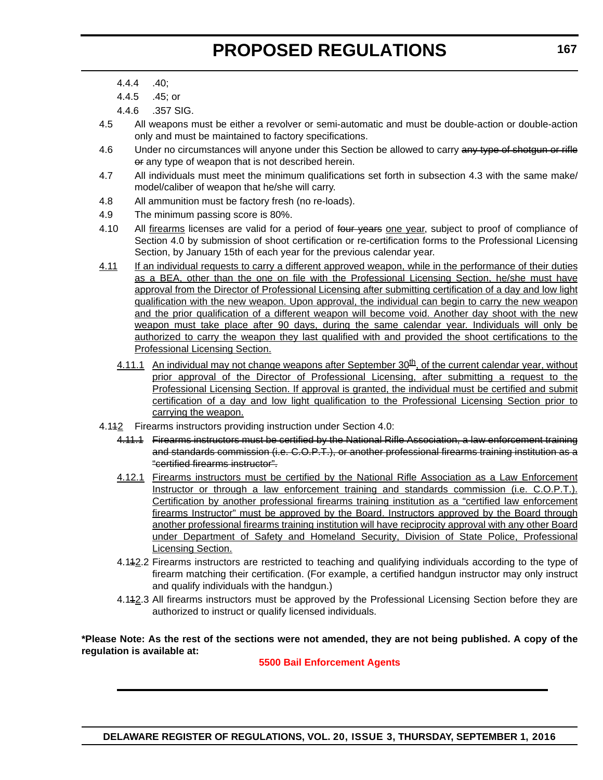- 4.4.5 .45; or
- 4.4.6 .357 SIG.
- 4.5 All weapons must be either a revolver or semi-automatic and must be double-action or double-action only and must be maintained to factory specifications.
- 4.6 Under no circumstances will anyone under this Section be allowed to carry any type of shotgun or rifle or any type of weapon that is not described herein.
- 4.7 All individuals must meet the minimum qualifications set forth in subsection 4.3 with the same make/ model/caliber of weapon that he/she will carry.
- 4.8 All ammunition must be factory fresh (no re-loads).
- 4.9 The minimum passing score is 80%.
- 4.10 All firearms licenses are valid for a period of four years one year, subject to proof of compliance of Section 4.0 by submission of shoot certification or re-certification forms to the Professional Licensing Section, by January 15th of each year for the previous calendar year.
- 4.11 If an individual requests to carry a different approved weapon, while in the performance of their duties as a BEA, other than the one on file with the Professional Licensing Section, he/she must have approval from the Director of Professional Licensing after submitting certification of a day and low light qualification with the new weapon. Upon approval, the individual can begin to carry the new weapon and the prior qualification of a different weapon will become void. Another day shoot with the new weapon must take place after 90 days, during the same calendar year. Individuals will only be authorized to carry the weapon they last qualified with and provided the shoot certifications to the Professional Licensing Section.
	- 4.11.1 An individual may not change weapons after September  $30<sup>th</sup>$ , of the current calendar year, without prior approval of the Director of Professional Licensing, after submitting a request to the Professional Licensing Section. If approval is granted, the individual must be certified and submit certification of a day and low light qualification to the Professional Licensing Section prior to carrying the weapon.
- 4.142 Firearms instructors providing instruction under Section 4.0:
	- 4.11.1 Firearms instructors must be certified by the National Rifle Association, a law enforcement training and standards commission (i.e. C.O.P.T.), or another professional firearms training institution as a "certified firearms instructor".
	- 4.12.1 Firearms instructors must be certified by the National Rifle Association as a Law Enforcement Instructor or through a law enforcement training and standards commission (i.e. C.O.P.T.). Certification by another professional firearms training institution as a "certified law enforcement firearms Instructor" must be approved by the Board. Instructors approved by the Board through another professional firearms training institution will have reciprocity approval with any other Board under Department of Safety and Homeland Security, Division of State Police, Professional Licensing Section.
	- 4.112.2 Firearms instructors are restricted to teaching and qualifying individuals according to the type of firearm matching their certification. (For example, a certified handgun instructor may only instruct and qualify individuals with the handgun.)
	- 4.112.3 All firearms instructors must be approved by the Professional Licensing Section before they are authorized to instruct or qualify licensed individuals.

**\*Please Note: As the rest of the sections were not amended, they are not being published. A copy of the regulation is available at:**

**[5500 Bail Enforcement Agents](http://regulations.delaware.gov/register/september2016/proposed/20 DE Reg 166 09-01-16.htm)**

<sup>4.4.4 .40;</sup>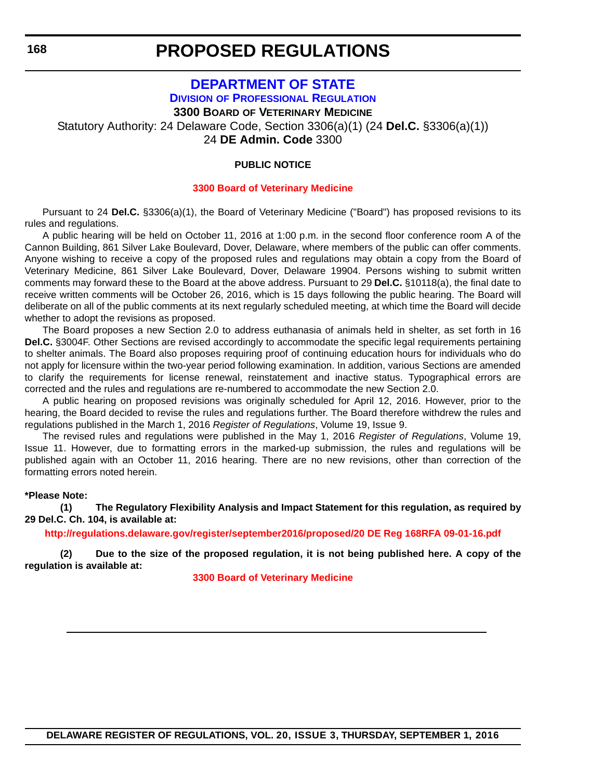# **[DEPARTMENT OF STATE](http://dpr.delaware.gov/) DIVISION OF PROFESSIONAL REGULATION 3300 BOARD OF VETERINARY MEDICINE**

<span id="page-34-0"></span>Statutory Authority: 24 Delaware Code, Section 3306(a)(1) (24 **Del.C.** §3306(a)(1)) 24 **DE Admin. Code** 3300

#### **PUBLIC NOTICE**

#### **[3300 Board of Veterinary Medicine](#page-3-0)**

Pursuant to 24 **Del.C.** §3306(a)(1), the Board of Veterinary Medicine ("Board") has proposed revisions to its rules and regulations.

A public hearing will be held on October 11, 2016 at 1:00 p.m. in the second floor conference room A of the Cannon Building, 861 Silver Lake Boulevard, Dover, Delaware, where members of the public can offer comments. Anyone wishing to receive a copy of the proposed rules and regulations may obtain a copy from the Board of Veterinary Medicine, 861 Silver Lake Boulevard, Dover, Delaware 19904. Persons wishing to submit written comments may forward these to the Board at the above address. Pursuant to 29 **Del.C.** §10118(a), the final date to receive written comments will be October 26, 2016, which is 15 days following the public hearing. The Board will deliberate on all of the public comments at its next regularly scheduled meeting, at which time the Board will decide whether to adopt the revisions as proposed.

The Board proposes a new Section 2.0 to address euthanasia of animals held in shelter, as set forth in 16 **Del.C.** §3004F. Other Sections are revised accordingly to accommodate the specific legal requirements pertaining to shelter animals. The Board also proposes requiring proof of continuing education hours for individuals who do not apply for licensure within the two-year period following examination. In addition, various Sections are amended to clarify the requirements for license renewal, reinstatement and inactive status. Typographical errors are corrected and the rules and regulations are re-numbered to accommodate the new Section 2.0.

A public hearing on proposed revisions was originally scheduled for April 12, 2016. However, prior to the hearing, the Board decided to revise the rules and regulations further. The Board therefore withdrew the rules and regulations published in the March 1, 2016 *Register of Regulations*, Volume 19, Issue 9.

The revised rules and regulations were published in the May 1, 2016 *Register of Regulations*, Volume 19, Issue 11. However, due to formatting errors in the marked-up submission, the rules and regulations will be published again with an October 11, 2016 hearing. There are no new revisions, other than correction of the formatting errors noted herein.

#### **\*Please Note:**

**(1) The Regulatory Flexibility Analysis and Impact Statement for this regulation, as required by 29 Del.C. Ch. 104, is available at:**

**<http://regulations.delaware.gov/register/september2016/proposed/20 DE Reg 168RFA 09-01-16.pdf>**

**(2) Due to the size of the proposed regulation, it is not being published here. A copy of the regulation is available at:**

**[3300 Board of Veterinary Medicine](http://regulations.delaware.gov/register/september2016/proposed/20 DE Reg 168 09-01-16.htm)**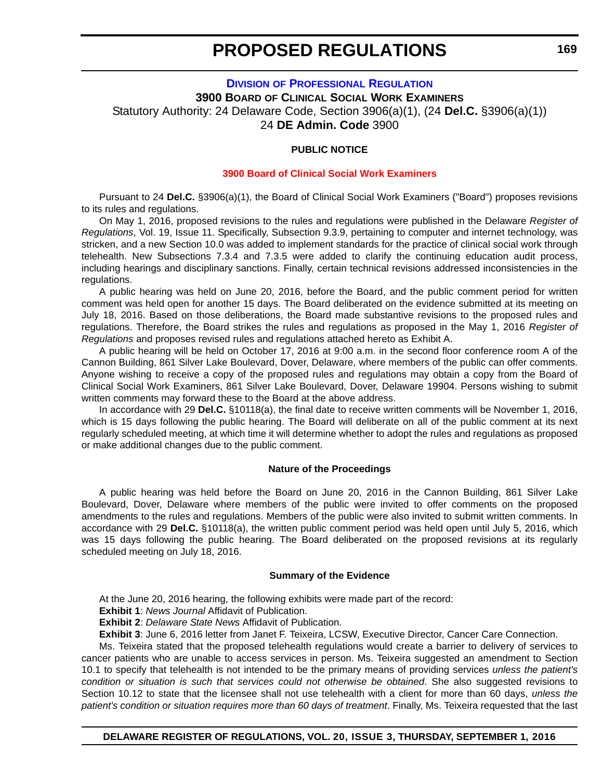# <span id="page-35-0"></span>**DIVISION [OF PROFESSIONAL REGULATION](http://dpr.delaware.gov/) 3900 BOARD OF CLINICAL SOCIAL WORK EXAMINERS** Statutory Authority: 24 Delaware Code, Section 3906(a)(1), (24 **Del.C.** §3906(a)(1)) 24 **DE Admin. Code** 3900

#### **PUBLIC NOTICE**

#### **[3900 Board of Clinical Social Work Examiners](#page-3-0)**

Pursuant to 24 **Del.C.** §3906(a)(1), the Board of Clinical Social Work Examiners ("Board") proposes revisions to its rules and regulations.

On May 1, 2016, proposed revisions to the rules and regulations were published in the Delaware *Register of Regulations*, Vol. 19, Issue 11. Specifically, Subsection 9.3.9, pertaining to computer and internet technology, was stricken, and a new Section 10.0 was added to implement standards for the practice of clinical social work through telehealth. New Subsections 7.3.4 and 7.3.5 were added to clarify the continuing education audit process, including hearings and disciplinary sanctions. Finally, certain technical revisions addressed inconsistencies in the regulations.

A public hearing was held on June 20, 2016, before the Board, and the public comment period for written comment was held open for another 15 days. The Board deliberated on the evidence submitted at its meeting on July 18, 2016. Based on those deliberations, the Board made substantive revisions to the proposed rules and regulations. Therefore, the Board strikes the rules and regulations as proposed in the May 1, 2016 *Register of Regulations* and proposes revised rules and regulations attached hereto as Exhibit A.

A public hearing will be held on October 17, 2016 at 9:00 a.m. in the second floor conference room A of the Cannon Building, 861 Silver Lake Boulevard, Dover, Delaware, where members of the public can offer comments. Anyone wishing to receive a copy of the proposed rules and regulations may obtain a copy from the Board of Clinical Social Work Examiners, 861 Silver Lake Boulevard, Dover, Delaware 19904. Persons wishing to submit written comments may forward these to the Board at the above address.

In accordance with 29 **Del.C.** §10118(a), the final date to receive written comments will be November 1, 2016, which is 15 days following the public hearing. The Board will deliberate on all of the public comment at its next regularly scheduled meeting, at which time it will determine whether to adopt the rules and regulations as proposed or make additional changes due to the public comment.

#### **Nature of the Proceedings**

A public hearing was held before the Board on June 20, 2016 in the Cannon Building, 861 Silver Lake Boulevard, Dover, Delaware where members of the public were invited to offer comments on the proposed amendments to the rules and regulations. Members of the public were also invited to submit written comments. In accordance with 29 **Del.C.** §10118(a), the written public comment period was held open until July 5, 2016, which was 15 days following the public hearing. The Board deliberated on the proposed revisions at its regularly scheduled meeting on July 18, 2016.

#### **Summary of the Evidence**

At the June 20, 2016 hearing, the following exhibits were made part of the record:

**Exhibit 1**: *News Journal* Affidavit of Publication.

**Exhibit 2**: *Delaware State News* Affidavit of Publication.

**Exhibit 3**: June 6, 2016 letter from Janet F. Teixeira, LCSW, Executive Director, Cancer Care Connection.

Ms. Teixeira stated that the proposed telehealth regulations would create a barrier to delivery of services to cancer patients who are unable to access services in person. Ms. Teixeira suggested an amendment to Section 10.1 to specify that telehealth is not intended to be the primary means of providing services *unless the patient's condition or situation is such that services could not otherwise be obtained*. She also suggested revisions to Section 10.12 to state that the licensee shall not use telehealth with a client for more than 60 days, *unless the patient's condition or situation requires more than 60 days of treatment*. Finally, Ms. Teixeira requested that the last

# **DELAWARE REGISTER OF REGULATIONS, VOL. 20, ISSUE 3, THURSDAY, SEPTEMBER 1, 2016**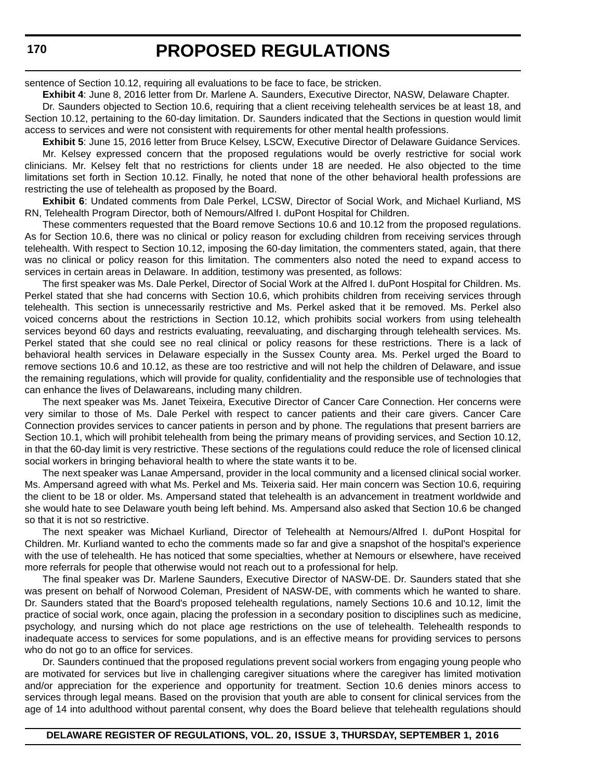sentence of Section 10.12, requiring all evaluations to be face to face, be stricken.

**Exhibit 4**: June 8, 2016 letter from Dr. Marlene A. Saunders, Executive Director, NASW, Delaware Chapter.

Dr. Saunders objected to Section 10.6, requiring that a client receiving telehealth services be at least 18, and Section 10.12, pertaining to the 60-day limitation. Dr. Saunders indicated that the Sections in question would limit access to services and were not consistent with requirements for other mental health professions.

**Exhibit 5**: June 15, 2016 letter from Bruce Kelsey, LSCW, Executive Director of Delaware Guidance Services. Mr. Kelsey expressed concern that the proposed regulations would be overly restrictive for social work clinicians. Mr. Kelsey felt that no restrictions for clients under 18 are needed. He also objected to the time limitations set forth in Section 10.12. Finally, he noted that none of the other behavioral health professions are restricting the use of telehealth as proposed by the Board.

**Exhibit 6**: Undated comments from Dale Perkel, LCSW, Director of Social Work, and Michael Kurliand, MS RN, Telehealth Program Director, both of Nemours/Alfred I. duPont Hospital for Children.

These commenters requested that the Board remove Sections 10.6 and 10.12 from the proposed regulations. As for Section 10.6, there was no clinical or policy reason for excluding children from receiving services through telehealth. With respect to Section 10.12, imposing the 60-day limitation, the commenters stated, again, that there was no clinical or policy reason for this limitation. The commenters also noted the need to expand access to services in certain areas in Delaware. In addition, testimony was presented, as follows:

The first speaker was Ms. Dale Perkel, Director of Social Work at the Alfred I. duPont Hospital for Children. Ms. Perkel stated that she had concerns with Section 10.6, which prohibits children from receiving services through telehealth. This section is unnecessarily restrictive and Ms. Perkel asked that it be removed. Ms. Perkel also voiced concerns about the restrictions in Section 10.12, which prohibits social workers from using telehealth services beyond 60 days and restricts evaluating, reevaluating, and discharging through telehealth services. Ms. Perkel stated that she could see no real clinical or policy reasons for these restrictions. There is a lack of behavioral health services in Delaware especially in the Sussex County area. Ms. Perkel urged the Board to remove sections 10.6 and 10.12, as these are too restrictive and will not help the children of Delaware, and issue the remaining regulations, which will provide for quality, confidentiality and the responsible use of technologies that can enhance the lives of Delawareans, including many children.

The next speaker was Ms. Janet Teixeira, Executive Director of Cancer Care Connection. Her concerns were very similar to those of Ms. Dale Perkel with respect to cancer patients and their care givers. Cancer Care Connection provides services to cancer patients in person and by phone. The regulations that present barriers are Section 10.1, which will prohibit telehealth from being the primary means of providing services, and Section 10.12, in that the 60-day limit is very restrictive. These sections of the regulations could reduce the role of licensed clinical social workers in bringing behavioral health to where the state wants it to be.

The next speaker was Lanae Ampersand, provider in the local community and a licensed clinical social worker. Ms. Ampersand agreed with what Ms. Perkel and Ms. Teixeria said. Her main concern was Section 10.6, requiring the client to be 18 or older. Ms. Ampersand stated that telehealth is an advancement in treatment worldwide and she would hate to see Delaware youth being left behind. Ms. Ampersand also asked that Section 10.6 be changed so that it is not so restrictive.

The next speaker was Michael Kurliand, Director of Telehealth at Nemours/Alfred I. duPont Hospital for Children. Mr. Kurliand wanted to echo the comments made so far and give a snapshot of the hospital's experience with the use of telehealth. He has noticed that some specialties, whether at Nemours or elsewhere, have received more referrals for people that otherwise would not reach out to a professional for help.

The final speaker was Dr. Marlene Saunders, Executive Director of NASW-DE. Dr. Saunders stated that she was present on behalf of Norwood Coleman, President of NASW-DE, with comments which he wanted to share. Dr. Saunders stated that the Board's proposed telehealth regulations, namely Sections 10.6 and 10.12, limit the practice of social work, once again, placing the profession in a secondary position to disciplines such as medicine, psychology, and nursing which do not place age restrictions on the use of telehealth. Telehealth responds to inadequate access to services for some populations, and is an effective means for providing services to persons who do not go to an office for services.

Dr. Saunders continued that the proposed regulations prevent social workers from engaging young people who are motivated for services but live in challenging caregiver situations where the caregiver has limited motivation and/or appreciation for the experience and opportunity for treatment. Section 10.6 denies minors access to services through legal means. Based on the provision that youth are able to consent for clinical services from the age of 14 into adulthood without parental consent, why does the Board believe that telehealth regulations should

#### **DELAWARE REGISTER OF REGULATIONS, VOL. 20, ISSUE 3, THURSDAY, SEPTEMBER 1, 2016**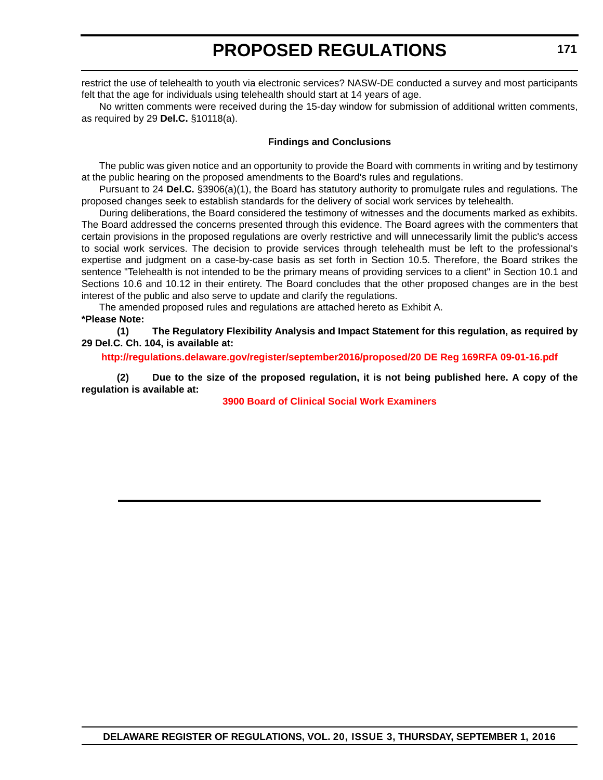# **PROPOSED REGULATIONS**

restrict the use of telehealth to youth via electronic services? NASW-DE conducted a survey and most participants felt that the age for individuals using telehealth should start at 14 years of age.

No written comments were received during the 15-day window for submission of additional written comments, as required by 29 **Del.C.** §10118(a).

#### **Findings and Conclusions**

The public was given notice and an opportunity to provide the Board with comments in writing and by testimony at the public hearing on the proposed amendments to the Board's rules and regulations.

Pursuant to 24 **Del.C.** §3906(a)(1), the Board has statutory authority to promulgate rules and regulations. The proposed changes seek to establish standards for the delivery of social work services by telehealth.

During deliberations, the Board considered the testimony of witnesses and the documents marked as exhibits. The Board addressed the concerns presented through this evidence. The Board agrees with the commenters that certain provisions in the proposed regulations are overly restrictive and will unnecessarily limit the public's access to social work services. The decision to provide services through telehealth must be left to the professional's expertise and judgment on a case-by-case basis as set forth in Section 10.5. Therefore, the Board strikes the sentence "Telehealth is not intended to be the primary means of providing services to a client" in Section 10.1 and Sections 10.6 and 10.12 in their entirety. The Board concludes that the other proposed changes are in the best interest of the public and also serve to update and clarify the regulations.

The amended proposed rules and regulations are attached hereto as Exhibit A.

**\*Please Note:** 

**(1) The Regulatory Flexibility Analysis and Impact Statement for this regulation, as required by 29 Del.C. Ch. 104, is available at:**

**<http://regulations.delaware.gov/register/september2016/proposed/20 DE Reg 169RFA 09-01-16.pdf>**

**(2) Due to the size of the proposed regulation, it is not being published here. A copy of the regulation is available at:**

**[3900 Board of Clinical Social Work Examiners](http://regulations.delaware.gov/register/september2016/proposed/20 DE Reg 169 09-01-16.htm)**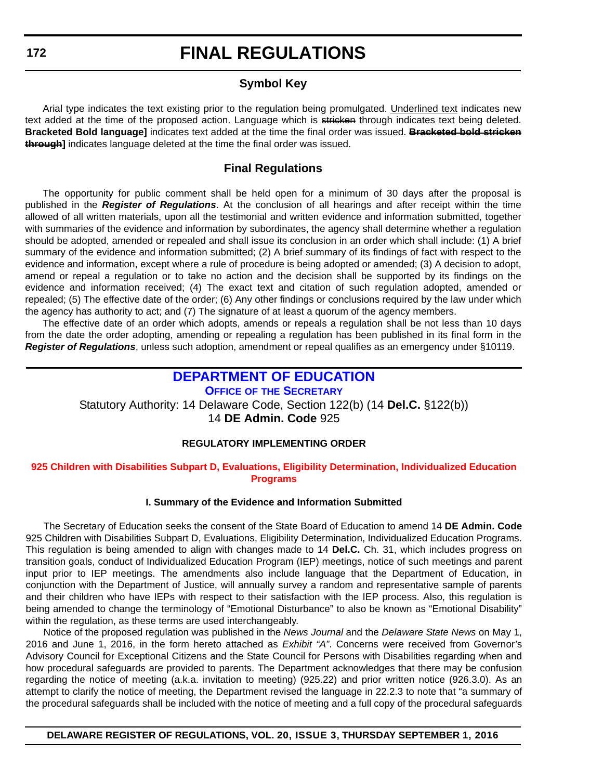### **Symbol Key**

Arial type indicates the text existing prior to the regulation being promulgated. Underlined text indicates new text added at the time of the proposed action. Language which is stricken through indicates text being deleted. **Bracketed Bold language]** indicates text added at the time the final order was issued. **Bracketed bold stricken through]** indicates language deleted at the time the final order was issued.

### **Final Regulations**

The opportunity for public comment shall be held open for a minimum of 30 days after the proposal is published in the *Register of Regulations*. At the conclusion of all hearings and after receipt within the time allowed of all written materials, upon all the testimonial and written evidence and information submitted, together with summaries of the evidence and information by subordinates, the agency shall determine whether a regulation should be adopted, amended or repealed and shall issue its conclusion in an order which shall include: (1) A brief summary of the evidence and information submitted; (2) A brief summary of its findings of fact with respect to the evidence and information, except where a rule of procedure is being adopted or amended; (3) A decision to adopt, amend or repeal a regulation or to take no action and the decision shall be supported by its findings on the evidence and information received; (4) The exact text and citation of such regulation adopted, amended or repealed; (5) The effective date of the order; (6) Any other findings or conclusions required by the law under which the agency has authority to act; and (7) The signature of at least a quorum of the agency members.

The effective date of an order which adopts, amends or repeals a regulation shall be not less than 10 days from the date the order adopting, amending or repealing a regulation has been published in its final form in the *Register of Regulations*, unless such adoption, amendment or repeal qualifies as an emergency under §10119.

## **[DEPARTMENT OF EDUCATION](http://www.doe.k12.de.us/)**

**OFFICE OF THE SECRETARY**

Statutory Authority: 14 Delaware Code, Section 122(b) (14 **Del.C.** §122(b))

14 **DE Admin. Code** 925

#### **REGULATORY IMPLEMENTING ORDER**

#### **[925 Children with Disabilities Subpart D, Evaluations, Eligibility Determination, Individualized Education](#page-3-0)  Programs**

#### **I. Summary of the Evidence and Information Submitted**

The Secretary of Education seeks the consent of the State Board of Education to amend 14 **DE Admin. Code** 925 Children with Disabilities Subpart D, Evaluations, Eligibility Determination, Individualized Education Programs. This regulation is being amended to align with changes made to 14 **Del.C.** Ch. 31, which includes progress on transition goals, conduct of Individualized Education Program (IEP) meetings, notice of such meetings and parent input prior to IEP meetings. The amendments also include language that the Department of Education, in conjunction with the Department of Justice, will annually survey a random and representative sample of parents and their children who have IEPs with respect to their satisfaction with the IEP process. Also, this regulation is being amended to change the terminology of "Emotional Disturbance" to also be known as "Emotional Disability" within the regulation, as these terms are used interchangeably.

Notice of the proposed regulation was published in the *News Journal* and the *Delaware State News* on May 1, 2016 and June 1, 2016, in the form hereto attached as *Exhibit "A"*. Concerns were received from Governor's Advisory Council for Exceptional Citizens and the State Council for Persons with Disabilities regarding when and how procedural safeguards are provided to parents. The Department acknowledges that there may be confusion regarding the notice of meeting (a.k.a. invitation to meeting) (925.22) and prior written notice (926.3.0). As an attempt to clarify the notice of meeting, the Department revised the language in 22.2.3 to note that "a summary of the procedural safeguards shall be included with the notice of meeting and a full copy of the procedural safeguards

#### **DELAWARE REGISTER OF REGULATIONS, VOL. 20, ISSUE 3, THURSDAY SEPTEMBER 1, 2016**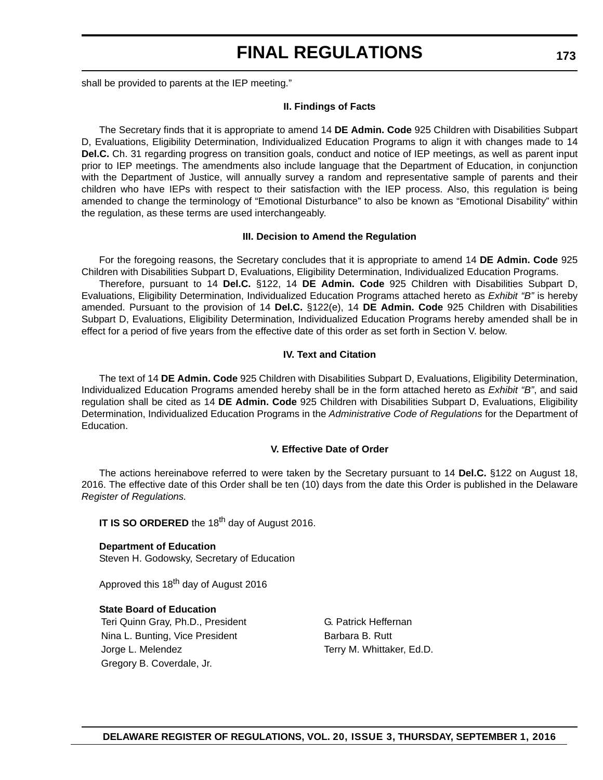shall be provided to parents at the IEP meeting."

#### **II. Findings of Facts**

The Secretary finds that it is appropriate to amend 14 **DE Admin. Code** 925 Children with Disabilities Subpart D, Evaluations, Eligibility Determination, Individualized Education Programs to align it with changes made to 14 **Del.C.** Ch. 31 regarding progress on transition goals, conduct and notice of IEP meetings, as well as parent input prior to IEP meetings. The amendments also include language that the Department of Education, in conjunction with the Department of Justice, will annually survey a random and representative sample of parents and their children who have IEPs with respect to their satisfaction with the IEP process. Also, this regulation is being amended to change the terminology of "Emotional Disturbance" to also be known as "Emotional Disability" within the regulation, as these terms are used interchangeably.

#### **III. Decision to Amend the Regulation**

For the foregoing reasons, the Secretary concludes that it is appropriate to amend 14 **DE Admin. Code** 925 Children with Disabilities Subpart D, Evaluations, Eligibility Determination, Individualized Education Programs.

Therefore, pursuant to 14 **Del.C.** §122, 14 **DE Admin. Code** 925 Children with Disabilities Subpart D, Evaluations, Eligibility Determination, Individualized Education Programs attached hereto as *Exhibit "B"* is hereby amended. Pursuant to the provision of 14 **Del.C.** §122(e), 14 **DE Admin. Code** 925 Children with Disabilities Subpart D, Evaluations, Eligibility Determination, Individualized Education Programs hereby amended shall be in effect for a period of five years from the effective date of this order as set forth in Section V. below.

#### **IV. Text and Citation**

The text of 14 **DE Admin. Code** 925 Children with Disabilities Subpart D, Evaluations, Eligibility Determination, Individualized Education Programs amended hereby shall be in the form attached hereto as *Exhibit "B"*, and said regulation shall be cited as 14 **DE Admin. Code** 925 Children with Disabilities Subpart D, Evaluations, Eligibility Determination, Individualized Education Programs in the *Administrative Code of Regulations* for the Department of Education.

#### **V. Effective Date of Order**

The actions hereinabove referred to were taken by the Secretary pursuant to 14 **Del.C.** §122 on August 18, 2016. The effective date of this Order shall be ten (10) days from the date this Order is published in the Delaware *Register of Regulations.*

**IT IS SO ORDERED** the 18<sup>th</sup> day of August 2016.

**Department of Education** Steven H. Godowsky, Secretary of Education

Approved this 18<sup>th</sup> day of August 2016

#### **State Board of Education** Teri Quinn Gray, Ph.D., President G. Patrick Heffernan

Nina L. Bunting, Vice President Barbara B. Rutt Jorge L. Melendez Terry M. Whittaker, Ed.D. Gregory B. Coverdale, Jr.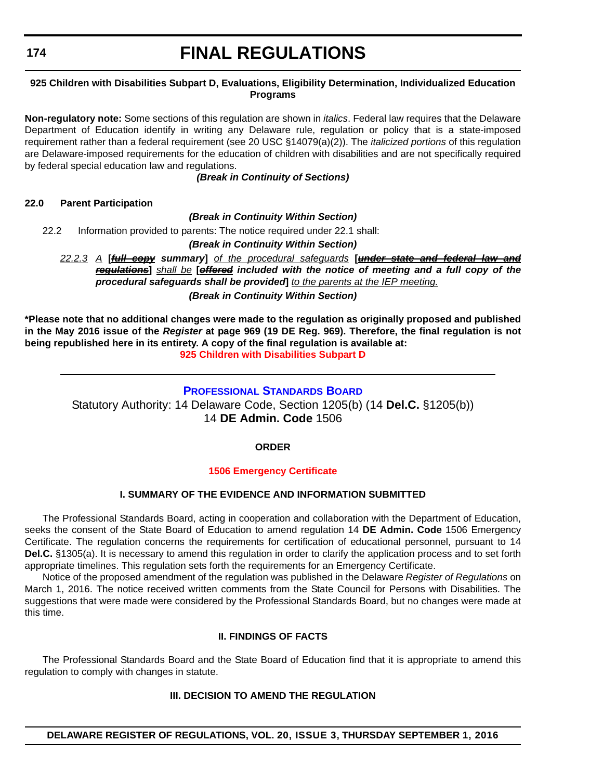#### **174**

## **FINAL REGULATIONS**

#### **925 Children with Disabilities Subpart D, Evaluations, Eligibility Determination, Individualized Education Programs**

**Non-regulatory note:** Some sections of this regulation are shown in *italics*. Federal law requires that the Delaware Department of Education identify in writing any Delaware rule, regulation or policy that is a state-imposed requirement rather than a federal requirement (see 20 USC §14079(a)(2)). The *italicized portions* of this regulation are Delaware-imposed requirements for the education of children with disabilities and are not specifically required by federal special education law and regulations.

*(Break in Continuity of Sections)*

#### **22.0 Parent Participation**

*(Break in Continuity Within Section)*

22.2 Information provided to parents: The notice required under 22.1 shall:

#### *(Break in Continuity Within Section)*

*22.2.3 A* **[***full copy summary***]** *of the procedural safeguards* **[***under state and federal law and regulations***]** *shall be* **[***offered included with the notice of meeting and a full copy of the procedural safeguards shall be provided***]** *to the parents at the IEP meeting. (Break in Continuity Within Section)*

**\*Please note that no additional changes were made to the regulation as originally proposed and published in the May 2016 issue of the** *Register* **at page 969 (19 DE Reg. 969). Therefore, the final regulation is not being republished here in its entirety. A copy of the final regulation is available at: [925 Children with Disabilities Subpart D](http://regulations.delaware.gov/register/september2016/final/20 DE Reg 172 09-01-16.htm)**

#### **[PROFESSIONAL STANDARDS BOARD](http://www.doe.k12.de.us/domain/172)**

Statutory Authority: 14 Delaware Code, Section 1205(b) (14 **Del.C.** §1205(b)) 14 **DE Admin. Code** 1506

#### **ORDER**

#### **[1506 Emergency Certificate](#page-3-0)**

#### **I. SUMMARY OF THE EVIDENCE AND INFORMATION SUBMITTED**

The Professional Standards Board, acting in cooperation and collaboration with the Department of Education, seeks the consent of the State Board of Education to amend regulation 14 **DE Admin. Code** 1506 Emergency Certificate. The regulation concerns the requirements for certification of educational personnel, pursuant to 14 **Del.C.** §1305(a). It is necessary to amend this regulation in order to clarify the application process and to set forth appropriate timelines. This regulation sets forth the requirements for an Emergency Certificate.

Notice of the proposed amendment of the regulation was published in the Delaware *Register of Regulations* on March 1, 2016. The notice received written comments from the State Council for Persons with Disabilities. The suggestions that were made were considered by the Professional Standards Board, but no changes were made at this time.

#### **II. FINDINGS OF FACTS**

The Professional Standards Board and the State Board of Education find that it is appropriate to amend this regulation to comply with changes in statute.

#### **III. DECISION TO AMEND THE REGULATION**

**DELAWARE REGISTER OF REGULATIONS, VOL. 20, ISSUE 3, THURSDAY SEPTEMBER 1, 2016**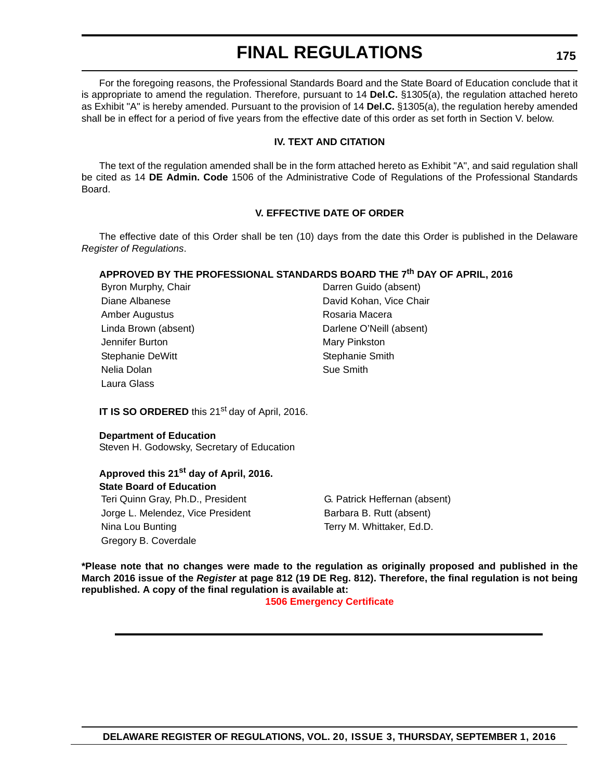For the foregoing reasons, the Professional Standards Board and the State Board of Education conclude that it is appropriate to amend the regulation. Therefore, pursuant to 14 **Del.C.** §1305(a), the regulation attached hereto as Exhibit "A" is hereby amended. Pursuant to the provision of 14 **Del.C.** §1305(a), the regulation hereby amended shall be in effect for a period of five years from the effective date of this order as set forth in Section V. below.

#### **IV. TEXT AND CITATION**

The text of the regulation amended shall be in the form attached hereto as Exhibit "A", and said regulation shall be cited as 14 **DE Admin. Code** 1506 of the Administrative Code of Regulations of the Professional Standards Board.

#### **V. EFFECTIVE DATE OF ORDER**

The effective date of this Order shall be ten (10) days from the date this Order is published in the Delaware *Register of Regulations*.

#### **APPROVED BY THE PROFESSIONAL STANDARDS BOARD THE 7th DAY OF APRIL, 2016**

| Byron Murphy, Chair  | Darren Guido (absent)    |
|----------------------|--------------------------|
| Diane Albanese       | David Kohan, Vice Chair  |
| Amber Augustus       | Rosaria Macera           |
| Linda Brown (absent) | Darlene O'Neill (absent) |
| Jennifer Burton      | Mary Pinkston            |
| Stephanie DeWitt     | Stephanie Smith          |
| Nelia Dolan          | Sue Smith                |
| Laura Glass          |                          |

**IT IS SO ORDERED** this 21<sup>st</sup> day of April, 2016.

#### **Department of Education**

Steven H. Godowsky, Secretary of Education

## **Approved this 21st day of April, 2016. State Board of Education**

Jorge L. Melendez, Vice President **Barbara B. Rutt (absent)** Nina Lou Bunting Terry M. Whittaker, Ed.D. Gregory B. Coverdale

Teri Quinn Gray, Ph.D., President G. Patrick Heffernan (absent)

**\*Please note that no changes were made to the regulation as originally proposed and published in the March 2016 issue of the** *Register* **at page 812 (19 DE Reg. 812). Therefore, the final regulation is not being republished. A copy of the final regulation is available at:**

#### **[1506 Emergency Certificate](http://regulations.delaware.gov/register/september2016/final/20 DE Reg 174 09-01-16.htm)**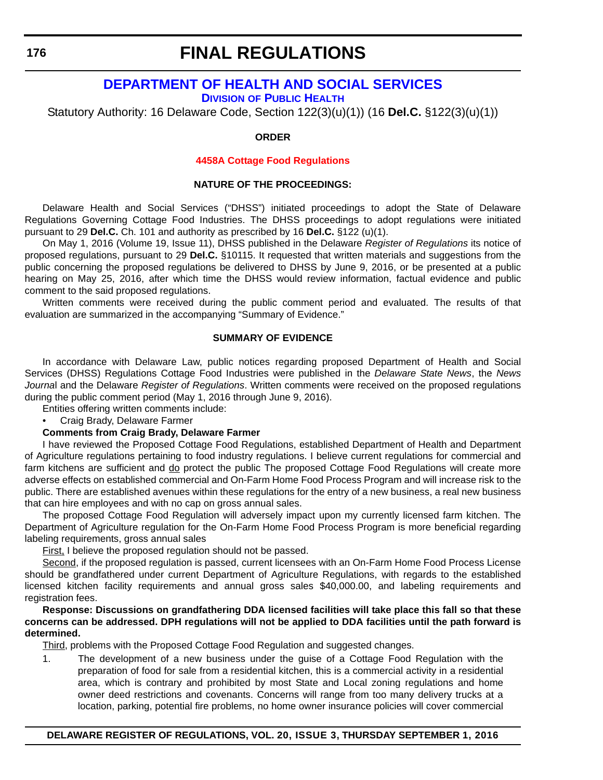## **[DEPARTMENT OF HEALTH AND SOCIAL SERVICES](http://www.dhss.delaware.gov/dhss/dph/index.html)**

**DIVISION OF PUBLIC HEALTH**

Statutory Authority: 16 Delaware Code, Section 122(3)(u)(1)) (16 **Del.C.** §122(3)(u)(1))

#### **ORDER**

#### **[4458A Cottage Food Regulations](#page-3-0)**

#### **NATURE OF THE PROCEEDINGS:**

Delaware Health and Social Services ("DHSS") initiated proceedings to adopt the State of Delaware Regulations Governing Cottage Food Industries. The DHSS proceedings to adopt regulations were initiated pursuant to 29 **Del.C.** Ch. 101 and authority as prescribed by 16 **Del.C.** §122 (u)(1).

On May 1, 2016 (Volume 19, Issue 11), DHSS published in the Delaware *Register of Regulations* its notice of proposed regulations, pursuant to 29 **Del.C.** §10115. It requested that written materials and suggestions from the public concerning the proposed regulations be delivered to DHSS by June 9, 2016, or be presented at a public hearing on May 25, 2016, after which time the DHSS would review information, factual evidence and public comment to the said proposed regulations.

Written comments were received during the public comment period and evaluated. The results of that evaluation are summarized in the accompanying "Summary of Evidence."

#### **SUMMARY OF EVIDENCE**

In accordance with Delaware Law, public notices regarding proposed Department of Health and Social Services (DHSS) Regulations Cottage Food Industries were published in the *Delaware State News*, the *News Journa*l and the Delaware *Register of Regulations*. Written comments were received on the proposed regulations during the public comment period (May 1, 2016 through June 9, 2016).

Entities offering written comments include:

• Craig Brady, Delaware Farmer

#### **Comments from Craig Brady, Delaware Farmer**

I have reviewed the Proposed Cottage Food Regulations, established Department of Health and Department of Agriculture regulations pertaining to food industry regulations. I believe current regulations for commercial and farm kitchens are sufficient and do protect the public The proposed Cottage Food Regulations will create more adverse effects on established commercial and On-Farm Home Food Process Program and will increase risk to the public. There are established avenues within these regulations for the entry of a new business, a real new business that can hire employees and with no cap on gross annual sales.

The proposed Cottage Food Regulation will adversely impact upon my currently licensed farm kitchen. The Department of Agriculture regulation for the On-Farm Home Food Process Program is more beneficial regarding labeling requirements, gross annual sales

First, I believe the proposed regulation should not be passed.

Second, if the proposed regulation is passed, current licensees with an On-Farm Home Food Process License should be grandfathered under current Department of Agriculture Regulations, with regards to the established licensed kitchen facility requirements and annual gross sales \$40,000.00, and labeling requirements and registration fees.

**Response: Discussions on grandfathering DDA licensed facilities will take place this fall so that these concerns can be addressed. DPH regulations will not be applied to DDA facilities until the path forward is determined.**

Third, problems with the Proposed Cottage Food Regulation and suggested changes.

1. The development of a new business under the guise of a Cottage Food Regulation with the preparation of food for sale from a residential kitchen, this is a commercial activity in a residential area, which is contrary and prohibited by most State and Local zoning regulations and home owner deed restrictions and covenants. Concerns will range from too many delivery trucks at a location, parking, potential fire problems, no home owner insurance policies will cover commercial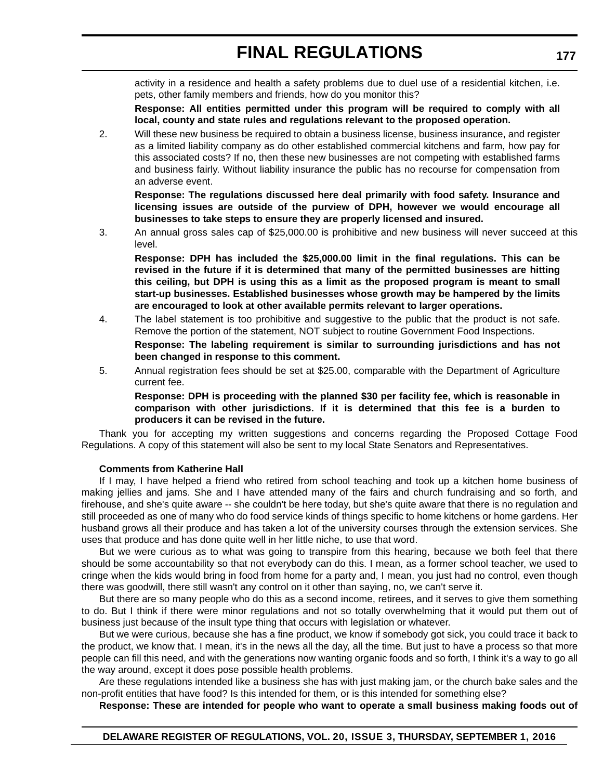activity in a residence and health a safety problems due to duel use of a residential kitchen, i.e. pets, other family members and friends, how do you monitor this?

**Response: All entities permitted under this program will be required to comply with all local, county and state rules and regulations relevant to the proposed operation.**

2. Will these new business be required to obtain a business license, business insurance, and register as a limited liability company as do other established commercial kitchens and farm, how pay for this associated costs? If no, then these new businesses are not competing with established farms and business fairly. Without liability insurance the public has no recourse for compensation from an adverse event.

**Response: The regulations discussed here deal primarily with food safety. Insurance and licensing issues are outside of the purview of DPH, however we would encourage all businesses to take steps to ensure they are properly licensed and insured.**

3. An annual gross sales cap of \$25,000.00 is prohibitive and new business will never succeed at this level.

**Response: DPH has included the \$25,000.00 limit in the final regulations. This can be revised in the future if it is determined that many of the permitted businesses are hitting this ceiling, but DPH is using this as a limit as the proposed program is meant to small start-up businesses. Established businesses whose growth may be hampered by the limits are encouraged to look at other available permits relevant to larger operations.**

4. The label statement is too prohibitive and suggestive to the public that the product is not safe. Remove the portion of the statement, NOT subject to routine Government Food Inspections.

**Response: The labeling requirement is similar to surrounding jurisdictions and has not been changed in response to this comment.**

5. Annual registration fees should be set at \$25.00, comparable with the Department of Agriculture current fee.

**Response: DPH is proceeding with the planned \$30 per facility fee, which is reasonable in comparison with other jurisdictions. If it is determined that this fee is a burden to producers it can be revised in the future.**

Thank you for accepting my written suggestions and concerns regarding the Proposed Cottage Food Regulations. A copy of this statement will also be sent to my local State Senators and Representatives.

#### **Comments from Katherine Hall**

If I may, I have helped a friend who retired from school teaching and took up a kitchen home business of making jellies and jams. She and I have attended many of the fairs and church fundraising and so forth, and firehouse, and she's quite aware -- she couldn't be here today, but she's quite aware that there is no regulation and still proceeded as one of many who do food service kinds of things specific to home kitchens or home gardens. Her husband grows all their produce and has taken a lot of the university courses through the extension services. She uses that produce and has done quite well in her little niche, to use that word.

But we were curious as to what was going to transpire from this hearing, because we both feel that there should be some accountability so that not everybody can do this. I mean, as a former school teacher, we used to cringe when the kids would bring in food from home for a party and, I mean, you just had no control, even though there was goodwill, there still wasn't any control on it other than saying, no, we can't serve it.

But there are so many people who do this as a second income, retirees, and it serves to give them something to do. But I think if there were minor regulations and not so totally overwhelming that it would put them out of business just because of the insult type thing that occurs with legislation or whatever.

But we were curious, because she has a fine product, we know if somebody got sick, you could trace it back to the product, we know that. I mean, it's in the news all the day, all the time. But just to have a process so that more people can fill this need, and with the generations now wanting organic foods and so forth, I think it's a way to go all the way around, except it does pose possible health problems.

Are these regulations intended like a business she has with just making jam, or the church bake sales and the non-profit entities that have food? Is this intended for them, or is this intended for something else?

**Response: These are intended for people who want to operate a small business making foods out of**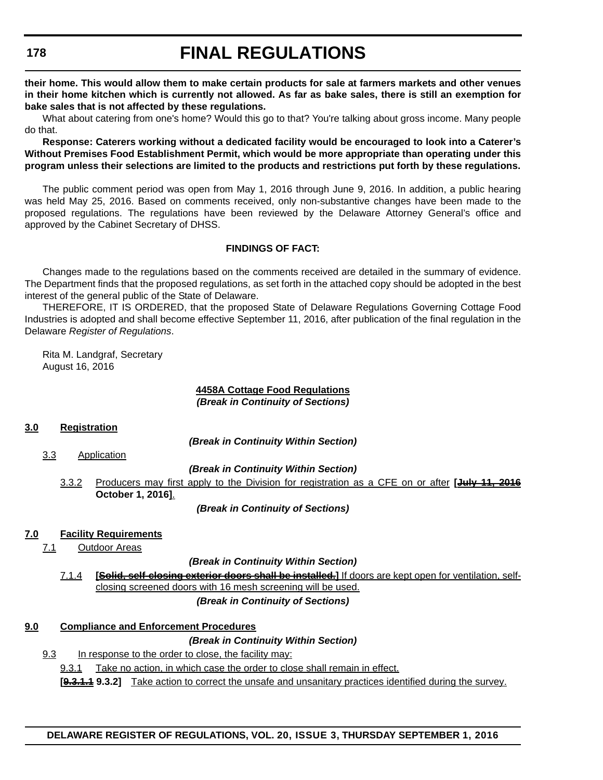**their home. This would allow them to make certain products for sale at farmers markets and other venues in their home kitchen which is currently not allowed. As far as bake sales, there is still an exemption for bake sales that is not affected by these regulations.**

What about catering from one's home? Would this go to that? You're talking about gross income. Many people do that.

**Response: Caterers working without a dedicated facility would be encouraged to look into a Caterer's Without Premises Food Establishment Permit, which would be more appropriate than operating under this program unless their selections are limited to the products and restrictions put forth by these regulations.**

The public comment period was open from May 1, 2016 through June 9, 2016. In addition, a public hearing was held May 25, 2016. Based on comments received, only non-substantive changes have been made to the proposed regulations. The regulations have been reviewed by the Delaware Attorney General's office and approved by the Cabinet Secretary of DHSS.

#### **FINDINGS OF FACT:**

Changes made to the regulations based on the comments received are detailed in the summary of evidence. The Department finds that the proposed regulations, as set forth in the attached copy should be adopted in the best interest of the general public of the State of Delaware.

THEREFORE, IT IS ORDERED, that the proposed State of Delaware Regulations Governing Cottage Food Industries is adopted and shall become effective September 11, 2016, after publication of the final regulation in the Delaware *Register of Regulations*.

Rita M. Landgraf, Secretary August 16, 2016

## **4458A Cottage Food Regulations**

*(Break in Continuity of Sections)*

#### **3.0 Registration**

*(Break in Continuity Within Section)*

3.3 Application

*(Break in Continuity Within Section)*

3.3.2 Producers may first apply to the Division for registration as a CFE on or after **[July 11, 2016 October 1, 2016]**.

*(Break in Continuity of Sections)*

#### **7.0 Facility Requirements**

7.1 Outdoor Areas

*(Break in Continuity Within Section)*

7.1.4 **[Solid, self-closing exterior doors shall be installed.]** If doors are kept open for ventilation, selfclosing screened doors with 16 mesh screening will be used. *(Break in Continuity of Sections)*

#### **9.0 Compliance and Enforcement Procedures**

*(Break in Continuity Within Section)*

9.3 In response to the order to close, the facility may:

9.3.1 Take no action, in which case the order to close shall remain in effect.

**[9.3.1.1 9.3.2]** Take action to correct the unsafe and unsanitary practices identified during the survey.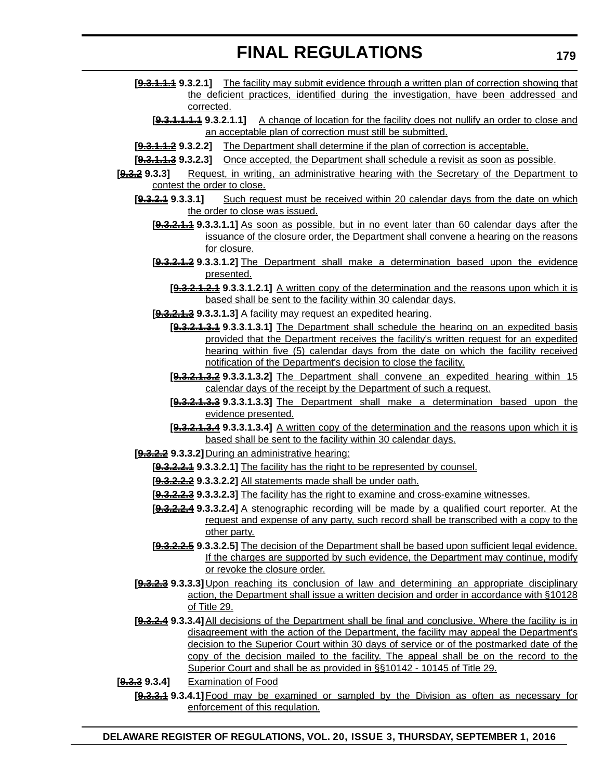- **[9.3.1.1.1 9.3.2.1]** The facility may submit evidence through a written plan of correction showing that the deficient practices, identified during the investigation, have been addressed and corrected.
	- **[9.3.1.1.1.1 9.3.2.1.1]** A change of location for the facility does not nullify an order to close and an acceptable plan of correction must still be submitted.
- **[9.3.1.1.2 9.3.2.2]** The Department shall determine if the plan of correction is acceptable.
- **[9.3.1.1.3 9.3.2.3]** Once accepted, the Department shall schedule a revisit as soon as possible.
- **[9.3.2 9.3.3]** Request, in writing, an administrative hearing with the Secretary of the Department to contest the order to close.
	- **[9.3.2.1 9.3.3.1]** Such request must be received within 20 calendar days from the date on which the order to close was issued.
		- **[9.3.2.1.1 9.3.3.1.1]** As soon as possible, but in no event later than 60 calendar days after the issuance of the closure order, the Department shall convene a hearing on the reasons for closure.
		- **[9.3.2.1.2 9.3.3.1.2]** The Department shall make a determination based upon the evidence presented.
			- **[9.3.2.1.2.1 9.3.3.1.2.1]** A written copy of the determination and the reasons upon which it is based shall be sent to the facility within 30 calendar days.
		- **[9.3.2.1.3 9.3.3.1.3]** A facility may request an expedited hearing.
			- **[9.3.2.1.3.1 9.3.3.1.3.1]** The Department shall schedule the hearing on an expedited basis provided that the Department receives the facility's written request for an expedited hearing within five (5) calendar days from the date on which the facility received notification of the Department's decision to close the facility.
			- **[9.3.2.1.3.2 9.3.3.1.3.2]** The Department shall convene an expedited hearing within 15 calendar days of the receipt by the Department of such a request.
			- **[9.3.2.1.3.3 9.3.3.1.3.3]** The Department shall make a determination based upon the evidence presented.
			- **[9.3.2.1.3.4 9.3.3.1.3.4]** A written copy of the determination and the reasons upon which it is based shall be sent to the facility within 30 calendar days.
	- **[9.3.2.2 9.3.3.2]** During an administrative hearing:
		- **[9.3.2.2.1 9.3.3.2.1]** The facility has the right to be represented by counsel.
		- **[9.3.2.2.2 9.3.3.2.2]** All statements made shall be under oath.
		- **[9.3.2.2.3 9.3.3.2.3]** The facility has the right to examine and cross-examine witnesses.
		- **[9.3.2.2.4 9.3.3.2.4]** A stenographic recording will be made by a qualified court reporter. At the request and expense of any party, such record shall be transcribed with a copy to the other party.
		- **[9.3.2.2.5 9.3.3.2.5]** The decision of the Department shall be based upon sufficient legal evidence. If the charges are supported by such evidence, the Department may continue, modify or revoke the closure order.
	- **[9.3.2.3 9.3.3.3]** Upon reaching its conclusion of law and determining an appropriate disciplinary action, the Department shall issue a written decision and order in accordance with §10128 of Title 29.
	- **[9.3.2.4 9.3.3.4]**All decisions of the Department shall be final and conclusive. Where the facility is in disagreement with the action of the Department, the facility may appeal the Department's decision to the Superior Court within 30 days of service or of the postmarked date of the copy of the decision mailed to the facility. The appeal shall be on the record to the Superior Court and shall be as provided in §§10142 - 10145 of Title 29.
- **[9.3.3 9.3.4]** Examination of Food
	- **[9.3.3.1 9.3.4.1]**Food may be examined or sampled by the Division as often as necessary for enforcement of this regulation.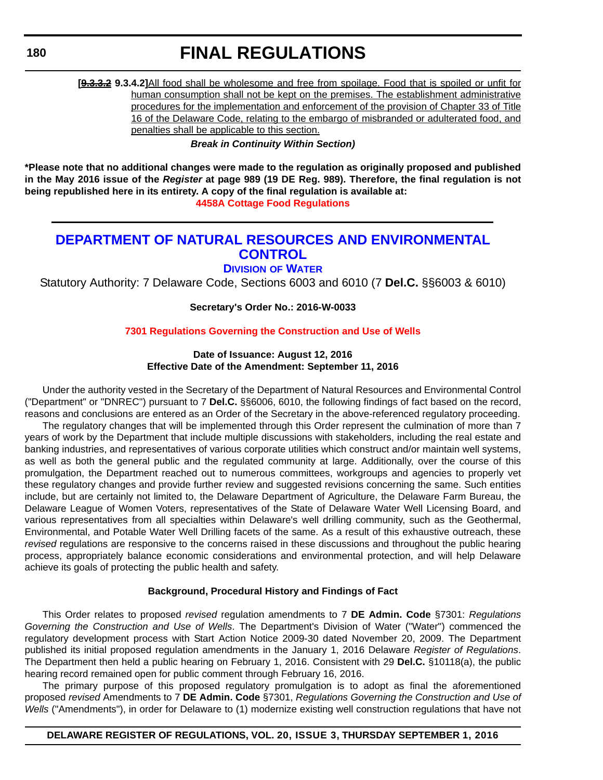**180**

## **FINAL REGULATIONS**

**[9.3.3.2 9.3.4.2]**All food shall be wholesome and free from spoilage. Food that is spoiled or unfit for human consumption shall not be kept on the premises. The establishment administrative procedures for the implementation and enforcement of the provision of Chapter 33 of Title 16 of the Delaware Code, relating to the embargo of misbranded or adulterated food, and penalties shall be applicable to this section.

*Break in Continuity Within Section)*

**\*Please note that no additional changes were made to the regulation as originally proposed and published in the May 2016 issue of the** *Register* **at page 989 (19 DE Reg. 989). Therefore, the final regulation is not being republished here in its entirety. A copy of the final regulation is available at: [4458A Cottage Food Regulations](http://regulations.delaware.gov/register/september2016/final/20 DE Reg 176 09-01-16.htm)**

## **[DEPARTMENT OF NATURAL RESOURCES AND ENVIRONMENTAL](http://www.dnrec.delaware.gov/wr/Pages/Default.aspx)  CONTROL**

**DIVISION OF WATER**

Statutory Authority: 7 Delaware Code, Sections 6003 and 6010 (7 **Del.C.** §§6003 & 6010)

**Secretary's Order No.: 2016-W-0033**

#### **[7301 Regulations Governing the Construction and Use of Wells](#page-3-0)**

#### **Date of Issuance: August 12, 2016 Effective Date of the Amendment: September 11, 2016**

Under the authority vested in the Secretary of the Department of Natural Resources and Environmental Control ("Department" or "DNREC") pursuant to 7 **Del.C.** §§6006, 6010, the following findings of fact based on the record, reasons and conclusions are entered as an Order of the Secretary in the above-referenced regulatory proceeding.

The regulatory changes that will be implemented through this Order represent the culmination of more than 7 years of work by the Department that include multiple discussions with stakeholders, including the real estate and banking industries, and representatives of various corporate utilities which construct and/or maintain well systems, as well as both the general public and the regulated community at large. Additionally, over the course of this promulgation, the Department reached out to numerous committees, workgroups and agencies to properly vet these regulatory changes and provide further review and suggested revisions concerning the same. Such entities include, but are certainly not limited to, the Delaware Department of Agriculture, the Delaware Farm Bureau, the Delaware League of Women Voters, representatives of the State of Delaware Water Well Licensing Board, and various representatives from all specialties within Delaware's well drilling community, such as the Geothermal, Environmental, and Potable Water Well Drilling facets of the same. As a result of this exhaustive outreach, these *revised* regulations are responsive to the concerns raised in these discussions and throughout the public hearing process, appropriately balance economic considerations and environmental protection, and will help Delaware achieve its goals of protecting the public health and safety.

#### **Background, Procedural History and Findings of Fact**

This Order relates to proposed *revised* regulation amendments to 7 **DE Admin. Code** §7301: *Regulations Governing the Construction and Use of Wells*. The Department's Division of Water ("Water") commenced the regulatory development process with Start Action Notice 2009-30 dated November 20, 2009. The Department published its initial proposed regulation amendments in the January 1, 2016 Delaware *Register of Regulations*. The Department then held a public hearing on February 1, 2016. Consistent with 29 **Del.C.** §10118(a), the public hearing record remained open for public comment through February 16, 2016.

The primary purpose of this proposed regulatory promulgation is to adopt as final the aforementioned proposed *revised* Amendments to 7 **DE Admin. Code** §7301, *Regulations Governing the Construction and Use of Wells* ("Amendments"), in order for Delaware to (1) modernize existing well construction regulations that have not

#### **DELAWARE REGISTER OF REGULATIONS, VOL. 20, ISSUE 3, THURSDAY SEPTEMBER 1, 2016**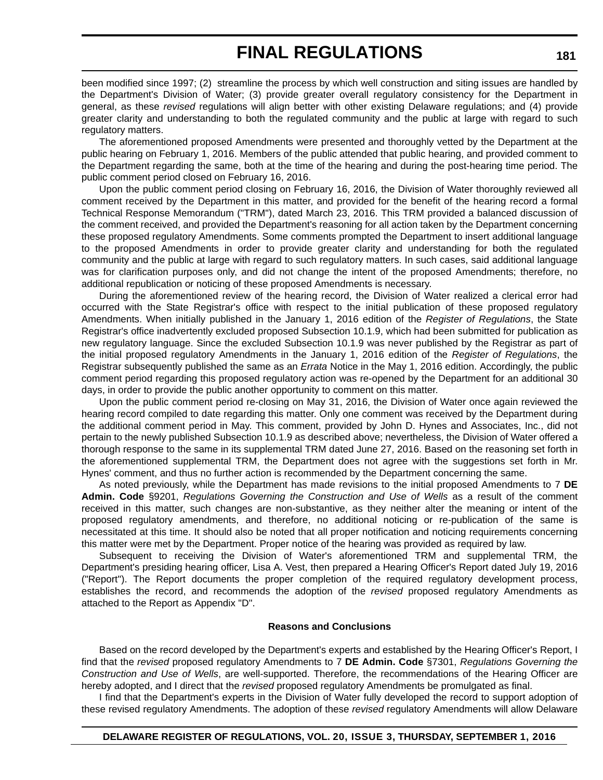been modified since 1997; (2) streamline the process by which well construction and siting issues are handled by the Department's Division of Water; (3) provide greater overall regulatory consistency for the Department in general, as these *revised* regulations will align better with other existing Delaware regulations; and (4) provide greater clarity and understanding to both the regulated community and the public at large with regard to such regulatory matters.

The aforementioned proposed Amendments were presented and thoroughly vetted by the Department at the public hearing on February 1, 2016. Members of the public attended that public hearing, and provided comment to the Department regarding the same, both at the time of the hearing and during the post-hearing time period. The public comment period closed on February 16, 2016.

Upon the public comment period closing on February 16, 2016, the Division of Water thoroughly reviewed all comment received by the Department in this matter, and provided for the benefit of the hearing record a formal Technical Response Memorandum ("TRM"), dated March 23, 2016. This TRM provided a balanced discussion of the comment received, and provided the Department's reasoning for all action taken by the Department concerning these proposed regulatory Amendments. Some comments prompted the Department to insert additional language to the proposed Amendments in order to provide greater clarity and understanding for both the regulated community and the public at large with regard to such regulatory matters. In such cases, said additional language was for clarification purposes only, and did not change the intent of the proposed Amendments; therefore, no additional republication or noticing of these proposed Amendments is necessary.

During the aforementioned review of the hearing record, the Division of Water realized a clerical error had occurred with the State Registrar's office with respect to the initial publication of these proposed regulatory Amendments. When initially published in the January 1, 2016 edition of the *Register of Regulations*, the State Registrar's office inadvertently excluded proposed Subsection 10.1.9, which had been submitted for publication as new regulatory language. Since the excluded Subsection 10.1.9 was never published by the Registrar as part of the initial proposed regulatory Amendments in the January 1, 2016 edition of the *Register of Regulations*, the Registrar subsequently published the same as an *Errata* Notice in the May 1, 2016 edition. Accordingly, the public comment period regarding this proposed regulatory action was re-opened by the Department for an additional 30 days, in order to provide the public another opportunity to comment on this matter.

Upon the public comment period re-closing on May 31, 2016, the Division of Water once again reviewed the hearing record compiled to date regarding this matter. Only one comment was received by the Department during the additional comment period in May. This comment, provided by John D. Hynes and Associates, Inc., did not pertain to the newly published Subsection 10.1.9 as described above; nevertheless, the Division of Water offered a thorough response to the same in its supplemental TRM dated June 27, 2016. Based on the reasoning set forth in the aforementioned supplemental TRM, the Department does not agree with the suggestions set forth in Mr. Hynes' comment, and thus no further action is recommended by the Department concerning the same.

As noted previously, while the Department has made revisions to the initial proposed Amendments to 7 **DE Admin. Code** §9201, *Regulations Governing the Construction and Use of Wells* as a result of the comment received in this matter, such changes are non-substantive, as they neither alter the meaning or intent of the proposed regulatory amendments, and therefore, no additional noticing or re-publication of the same is necessitated at this time. It should also be noted that all proper notification and noticing requirements concerning this matter were met by the Department. Proper notice of the hearing was provided as required by law.

Subsequent to receiving the Division of Water's aforementioned TRM and supplemental TRM, the Department's presiding hearing officer, Lisa A. Vest, then prepared a Hearing Officer's Report dated July 19, 2016 ("Report"). The Report documents the proper completion of the required regulatory development process, establishes the record, and recommends the adoption of the *revised* proposed regulatory Amendments as attached to the Report as Appendix "D".

#### **Reasons and Conclusions**

Based on the record developed by the Department's experts and established by the Hearing Officer's Report, I find that the *revised* proposed regulatory Amendments to 7 **DE Admin. Code** §7301, *Regulations Governing the Construction and Use of Wells*, are well-supported. Therefore, the recommendations of the Hearing Officer are hereby adopted, and I direct that the *revised* proposed regulatory Amendments be promulgated as final.

I find that the Department's experts in the Division of Water fully developed the record to support adoption of these revised regulatory Amendments. The adoption of these *revised* regulatory Amendments will allow Delaware

#### **DELAWARE REGISTER OF REGULATIONS, VOL. 20, ISSUE 3, THURSDAY, SEPTEMBER 1, 2016**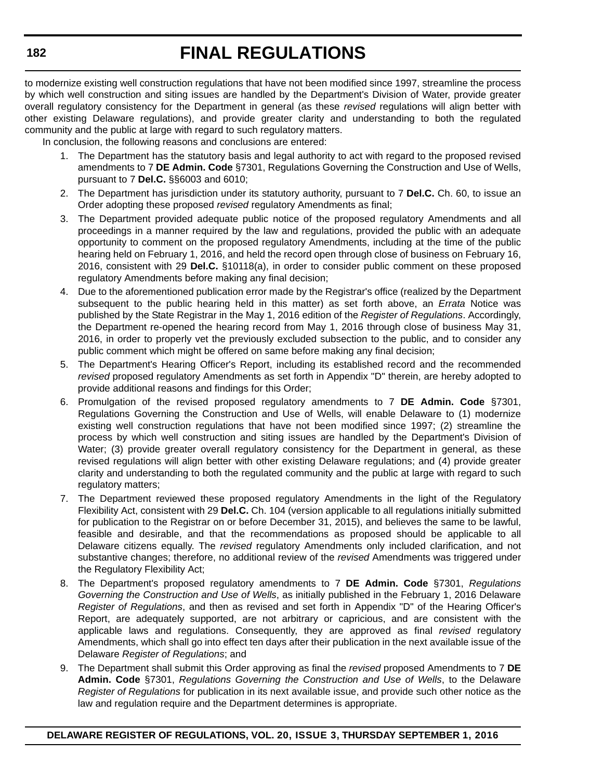to modernize existing well construction regulations that have not been modified since 1997, streamline the process by which well construction and siting issues are handled by the Department's Division of Water, provide greater overall regulatory consistency for the Department in general (as these *revised* regulations will align better with other existing Delaware regulations), and provide greater clarity and understanding to both the regulated community and the public at large with regard to such regulatory matters.

In conclusion, the following reasons and conclusions are entered:

- 1. The Department has the statutory basis and legal authority to act with regard to the proposed revised amendments to 7 **DE Admin. Code** §7301, Regulations Governing the Construction and Use of Wells, pursuant to 7 **Del.C.** §§6003 and 6010;
- 2. The Department has jurisdiction under its statutory authority, pursuant to 7 **Del.C.** Ch. 60, to issue an Order adopting these proposed *revised* regulatory Amendments as final;
- 3. The Department provided adequate public notice of the proposed regulatory Amendments and all proceedings in a manner required by the law and regulations, provided the public with an adequate opportunity to comment on the proposed regulatory Amendments, including at the time of the public hearing held on February 1, 2016, and held the record open through close of business on February 16, 2016, consistent with 29 **Del.C.** §10118(a), in order to consider public comment on these proposed regulatory Amendments before making any final decision;
- 4. Due to the aforementioned publication error made by the Registrar's office (realized by the Department subsequent to the public hearing held in this matter) as set forth above, an *Errata* Notice was published by the State Registrar in the May 1, 2016 edition of the *Register of Regulations*. Accordingly, the Department re-opened the hearing record from May 1, 2016 through close of business May 31, 2016, in order to properly vet the previously excluded subsection to the public, and to consider any public comment which might be offered on same before making any final decision;
- 5. The Department's Hearing Officer's Report, including its established record and the recommended *revised* proposed regulatory Amendments as set forth in Appendix "D" therein, are hereby adopted to provide additional reasons and findings for this Order;
- 6. Promulgation of the revised proposed regulatory amendments to 7 **DE Admin. Code** §7301, Regulations Governing the Construction and Use of Wells, will enable Delaware to (1) modernize existing well construction regulations that have not been modified since 1997; (2) streamline the process by which well construction and siting issues are handled by the Department's Division of Water; (3) provide greater overall regulatory consistency for the Department in general, as these revised regulations will align better with other existing Delaware regulations; and (4) provide greater clarity and understanding to both the regulated community and the public at large with regard to such regulatory matters;
- 7. The Department reviewed these proposed regulatory Amendments in the light of the Regulatory Flexibility Act, consistent with 29 **Del.C.** Ch. 104 (version applicable to all regulations initially submitted for publication to the Registrar on or before December 31, 2015), and believes the same to be lawful, feasible and desirable, and that the recommendations as proposed should be applicable to all Delaware citizens equally. The *revised* regulatory Amendments only included clarification, and not substantive changes; therefore, no additional review of the *revised* Amendments was triggered under the Regulatory Flexibility Act;
- 8. The Department's proposed regulatory amendments to 7 **DE Admin. Code** §7301, *Regulations Governing the Construction and Use of Wells*, as initially published in the February 1, 2016 Delaware *Register of Regulations*, and then as revised and set forth in Appendix "D" of the Hearing Officer's Report, are adequately supported, are not arbitrary or capricious, and are consistent with the applicable laws and regulations. Consequently, they are approved as final *revised* regulatory Amendments, which shall go into effect ten days after their publication in the next available issue of the Delaware *Register of Regulations*; and
- 9. The Department shall submit this Order approving as final the *revised* proposed Amendments to 7 **DE Admin. Code** §7301, *Regulations Governing the Construction and Use of Wells*, to the Delaware *Register of Regulations* for publication in its next available issue, and provide such other notice as the law and regulation require and the Department determines is appropriate.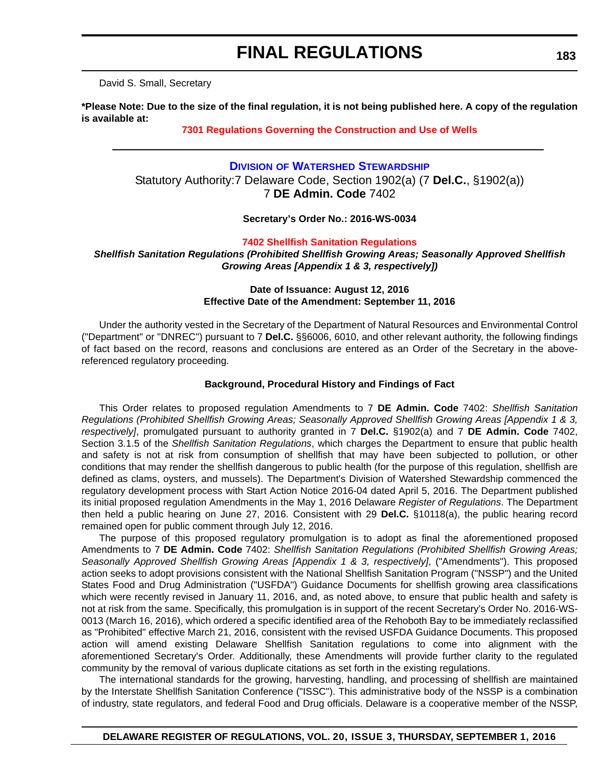David S. Small, Secretary

**\*Please Note: Due to the size of the final regulation, it is not being published here. A copy of the regulation is available at:**

**[7301 Regulations Governing the Construction and Use of Wells](http://regulations.delaware.gov/register/september2016/final/20 DE Reg 180 09-01-16.htm)**

### **DIVISION [OF WATERSHED STEWARDSHIP](http://www.dnrec.delaware.gov/swc/Pages/portal.aspx)** Statutory Authority:7 Delaware Code, Section 1902(a) (7 **Del.C.**, §1902(a)) 7 **DE Admin. Code** 7402

**Secretary's Order No.: 2016-WS-0034**

**[7402 Shellfish Sanitation Regulations](#page-3-0)**

*Shellfish Sanitation Regulations (Prohibited Shellfish Growing Areas; Seasonally Approved Shellfish Growing Areas [Appendix 1 & 3, respectively])*

#### **Date of Issuance: August 12, 2016 Effective Date of the Amendment: September 11, 2016**

Under the authority vested in the Secretary of the Department of Natural Resources and Environmental Control ("Department" or "DNREC") pursuant to 7 **Del.C.** §§6006, 6010, and other relevant authority, the following findings of fact based on the record, reasons and conclusions are entered as an Order of the Secretary in the abovereferenced regulatory proceeding.

#### **Background, Procedural History and Findings of Fact**

This Order relates to proposed regulation Amendments to 7 **DE Admin. Code** 7402: *Shellfish Sanitation Regulations (Prohibited Shellfish Growing Areas; Seasonally Approved Shellfish Growing Areas [Appendix 1 & 3, respectively]*, promulgated pursuant to authority granted in 7 **Del.C.** §1902(a) and 7 **DE Admin. Code** 7402, Section 3.1.5 of the *Shellfish Sanitation Regulations*, which charges the Department to ensure that public health and safety is not at risk from consumption of shellfish that may have been subjected to pollution, or other conditions that may render the shellfish dangerous to public health (for the purpose of this regulation, shellfish are defined as clams, oysters, and mussels). The Department's Division of Watershed Stewardship commenced the regulatory development process with Start Action Notice 2016-04 dated April 5, 2016. The Department published its initial proposed regulation Amendments in the May 1, 2016 Delaware *Register of Regulations*. The Department then held a public hearing on June 27, 2016. Consistent with 29 **Del.C.** §10118(a), the public hearing record remained open for public comment through July 12, 2016.

The purpose of this proposed regulatory promulgation is to adopt as final the aforementioned proposed Amendments to 7 **DE Admin. Code** 7402: *Shellfish Sanitation Regulations (Prohibited Shellfish Growing Areas; Seasonally Approved Shellfish Growing Areas [Appendix 1 & 3, respectively]*, ("Amendments"). This proposed action seeks to adopt provisions consistent with the National Shellfish Sanitation Program ("NSSP") and the United States Food and Drug Administration ("USFDA") Guidance Documents for shellfish growing area classifications which were recently revised in January 11, 2016, and, as noted above, to ensure that public health and safety is not at risk from the same. Specifically, this promulgation is in support of the recent Secretary's Order No. 2016-WS-0013 (March 16, 2016), which ordered a specific identified area of the Rehoboth Bay to be immediately reclassified as "Prohibited" effective March 21, 2016, consistent with the revised USFDA Guidance Documents. This proposed action will amend existing Delaware Shellfish Sanitation regulations to come into alignment with the aforementioned Secretary's Order. Additionally, these Amendments will provide further clarity to the regulated community by the removal of various duplicate citations as set forth in the existing regulations.

The international standards for the growing, harvesting, handling, and processing of shellfish are maintained by the Interstate Shellfish Sanitation Conference ("ISSC"). This administrative body of the NSSP is a combination of industry, state regulators, and federal Food and Drug officials. Delaware is a cooperative member of the NSSP,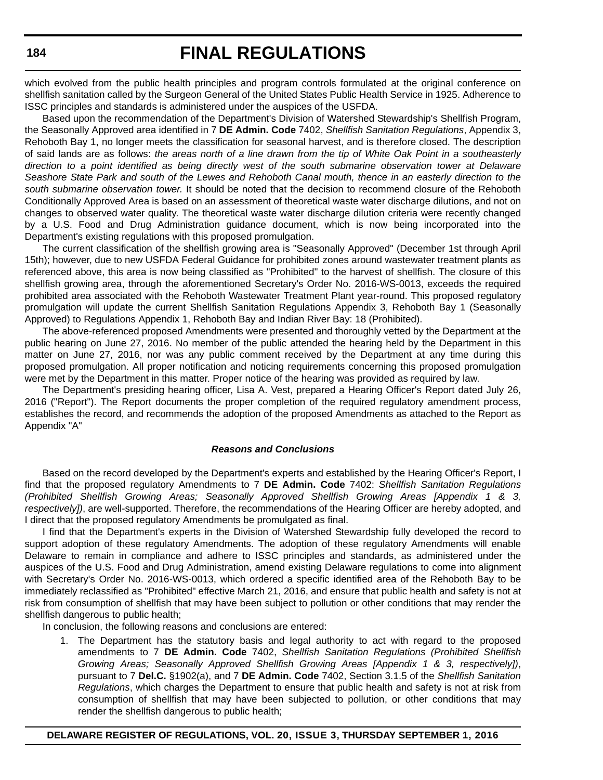which evolved from the public health principles and program controls formulated at the original conference on shellfish sanitation called by the Surgeon General of the United States Public Health Service in 1925. Adherence to ISSC principles and standards is administered under the auspices of the USFDA.

Based upon the recommendation of the Department's Division of Watershed Stewardship's Shellfish Program, the Seasonally Approved area identified in 7 **DE Admin. Code** 7402, *Shellfish Sanitation Regulations*, Appendix 3, Rehoboth Bay 1, no longer meets the classification for seasonal harvest, and is therefore closed. The description of said lands are as follows: *the areas north of a line drawn from the tip of White Oak Point in a southeasterly direction to a point identified as being directly west of the south submarine observation tower at Delaware Seashore State Park and south of the Lewes and Rehoboth Canal mouth, thence in an easterly direction to the south submarine observation tower.* It should be noted that the decision to recommend closure of the Rehoboth Conditionally Approved Area is based on an assessment of theoretical waste water discharge dilutions, and not on changes to observed water quality. The theoretical waste water discharge dilution criteria were recently changed by a U.S. Food and Drug Administration guidance document, which is now being incorporated into the Department's existing regulations with this proposed promulgation.

The current classification of the shellfish growing area is "Seasonally Approved" (December 1st through April 15th); however, due to new USFDA Federal Guidance for prohibited zones around wastewater treatment plants as referenced above, this area is now being classified as "Prohibited" to the harvest of shellfish. The closure of this shellfish growing area, through the aforementioned Secretary's Order No. 2016-WS-0013, exceeds the required prohibited area associated with the Rehoboth Wastewater Treatment Plant year-round. This proposed regulatory promulgation will update the current Shellfish Sanitation Regulations Appendix 3, Rehoboth Bay 1 (Seasonally Approved) to Regulations Appendix 1, Rehoboth Bay and Indian River Bay: 18 (Prohibited).

The above-referenced proposed Amendments were presented and thoroughly vetted by the Department at the public hearing on June 27, 2016. No member of the public attended the hearing held by the Department in this matter on June 27, 2016, nor was any public comment received by the Department at any time during this proposed promulgation. All proper notification and noticing requirements concerning this proposed promulgation were met by the Department in this matter. Proper notice of the hearing was provided as required by law.

The Department's presiding hearing officer, Lisa A. Vest, prepared a Hearing Officer's Report dated July 26, 2016 ("Report"). The Report documents the proper completion of the required regulatory amendment process, establishes the record, and recommends the adoption of the proposed Amendments as attached to the Report as Appendix "A"

#### *Reasons and Conclusions*

Based on the record developed by the Department's experts and established by the Hearing Officer's Report, I find that the proposed regulatory Amendments to 7 **DE Admin. Code** 7402: *Shellfish Sanitation Regulations (Prohibited Shellfish Growing Areas; Seasonally Approved Shellfish Growing Areas [Appendix 1 & 3, respectively])*, are well-supported. Therefore, the recommendations of the Hearing Officer are hereby adopted, and I direct that the proposed regulatory Amendments be promulgated as final.

I find that the Department's experts in the Division of Watershed Stewardship fully developed the record to support adoption of these regulatory Amendments. The adoption of these regulatory Amendments will enable Delaware to remain in compliance and adhere to ISSC principles and standards, as administered under the auspices of the U.S. Food and Drug Administration, amend existing Delaware regulations to come into alignment with Secretary's Order No. 2016-WS-0013, which ordered a specific identified area of the Rehoboth Bay to be immediately reclassified as "Prohibited" effective March 21, 2016, and ensure that public health and safety is not at risk from consumption of shellfish that may have been subject to pollution or other conditions that may render the shellfish dangerous to public health;

In conclusion, the following reasons and conclusions are entered:

1. The Department has the statutory basis and legal authority to act with regard to the proposed amendments to 7 **DE Admin. Code** 7402, *Shellfish Sanitation Regulations (Prohibited Shellfish Growing Areas; Seasonally Approved Shellfish Growing Areas [Appendix 1 & 3, respectively])*, pursuant to 7 **Del.C.** §1902(a), and 7 **DE Admin. Code** 7402, Section 3.1.5 of the *Shellfish Sanitation Regulations*, which charges the Department to ensure that public health and safety is not at risk from consumption of shellfish that may have been subjected to pollution, or other conditions that may render the shellfish dangerous to public health;

#### **DELAWARE REGISTER OF REGULATIONS, VOL. 20, ISSUE 3, THURSDAY SEPTEMBER 1, 2016**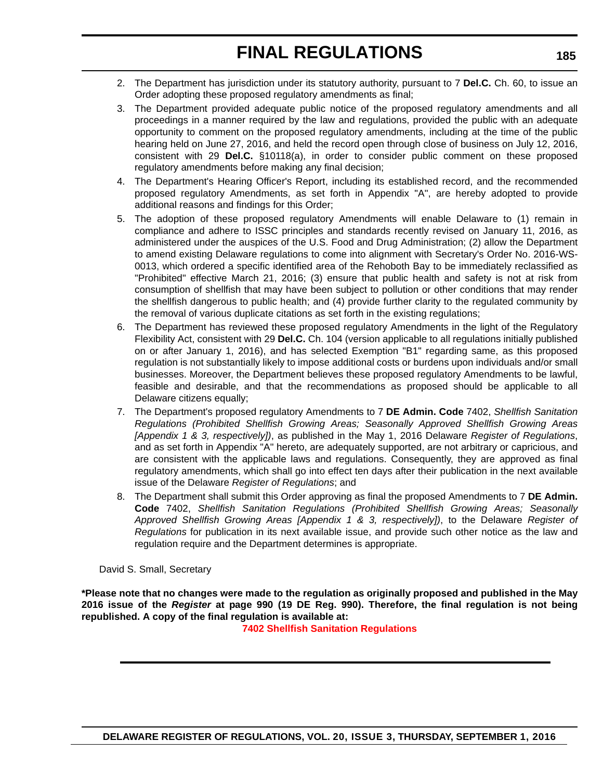- 2. The Department has jurisdiction under its statutory authority, pursuant to 7 **Del.C.** Ch. 60, to issue an Order adopting these proposed regulatory amendments as final;
- 3. The Department provided adequate public notice of the proposed regulatory amendments and all proceedings in a manner required by the law and regulations, provided the public with an adequate opportunity to comment on the proposed regulatory amendments, including at the time of the public hearing held on June 27, 2016, and held the record open through close of business on July 12, 2016, consistent with 29 **Del.C.** §10118(a), in order to consider public comment on these proposed regulatory amendments before making any final decision;
- 4. The Department's Hearing Officer's Report, including its established record, and the recommended proposed regulatory Amendments, as set forth in Appendix "A", are hereby adopted to provide additional reasons and findings for this Order;
- 5. The adoption of these proposed regulatory Amendments will enable Delaware to (1) remain in compliance and adhere to ISSC principles and standards recently revised on January 11, 2016, as administered under the auspices of the U.S. Food and Drug Administration; (2) allow the Department to amend existing Delaware regulations to come into alignment with Secretary's Order No. 2016-WS-0013, which ordered a specific identified area of the Rehoboth Bay to be immediately reclassified as "Prohibited" effective March 21, 2016; (3) ensure that public health and safety is not at risk from consumption of shellfish that may have been subject to pollution or other conditions that may render the shellfish dangerous to public health; and (4) provide further clarity to the regulated community by the removal of various duplicate citations as set forth in the existing regulations;
- 6. The Department has reviewed these proposed regulatory Amendments in the light of the Regulatory Flexibility Act, consistent with 29 **Del.C.** Ch. 104 (version applicable to all regulations initially published on or after January 1, 2016), and has selected Exemption "B1" regarding same, as this proposed regulation is not substantially likely to impose additional costs or burdens upon individuals and/or small businesses. Moreover, the Department believes these proposed regulatory Amendments to be lawful, feasible and desirable, and that the recommendations as proposed should be applicable to all Delaware citizens equally;
- 7. The Department's proposed regulatory Amendments to 7 **DE Admin. Code** 7402, *Shellfish Sanitation Regulations (Prohibited Shellfish Growing Areas; Seasonally Approved Shellfish Growing Areas [Appendix 1 & 3, respectively])*, as published in the May 1, 2016 Delaware *Register of Regulations*, and as set forth in Appendix "A" hereto, are adequately supported, are not arbitrary or capricious, and are consistent with the applicable laws and regulations. Consequently, they are approved as final regulatory amendments, which shall go into effect ten days after their publication in the next available issue of the Delaware *Register of Regulations*; and
- 8. The Department shall submit this Order approving as final the proposed Amendments to 7 **DE Admin. Code** 7402, *Shellfish Sanitation Regulations (Prohibited Shellfish Growing Areas; Seasonally Approved Shellfish Growing Areas [Appendix 1 & 3, respectively])*, to the Delaware *Register of Regulations* for publication in its next available issue, and provide such other notice as the law and regulation require and the Department determines is appropriate.

David S. Small, Secretary

**\*Please note that no changes were made to the regulation as originally proposed and published in the May 2016 issue of the** *Register* **at page 990 (19 DE Reg. 990). Therefore, the final regulation is not being republished. A copy of the final regulation is available at:**

**[7402 Shellfish Sanitation Regulations](http://regulations.delaware.gov/register/september2016/final/20 DE Reg 183 09-01-16.htm)**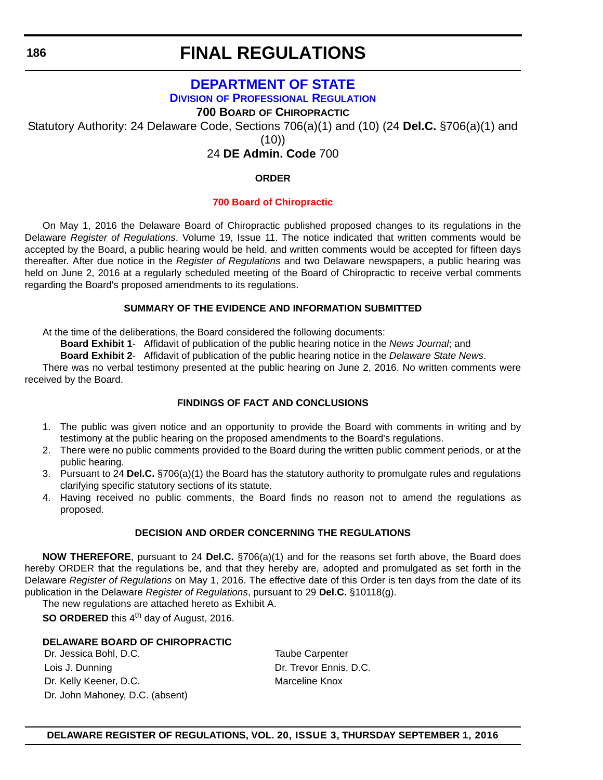**186**

## **FINAL REGULATIONS**

## **[DEPARTMENT OF STATE](http://dpr.delaware.gov/) DIVISION OF PROFESSIONAL REGULATION**

**700 BOARD OF CHIROPRACTIC**

Statutory Authority: 24 Delaware Code, Sections 706(a)(1) and (10) (24 **Del.C.** §706(a)(1) and

(10))

24 **DE Admin. Code** 700

#### **ORDER**

### **[700 Board of Chiropractic](#page-4-0)**

On May 1, 2016 the Delaware Board of Chiropractic published proposed changes to its regulations in the Delaware *Register of Regulations*, Volume 19, Issue 11. The notice indicated that written comments would be accepted by the Board, a public hearing would be held, and written comments would be accepted for fifteen days thereafter. After due notice in the *Register of Regulations* and two Delaware newspapers, a public hearing was held on June 2, 2016 at a regularly scheduled meeting of the Board of Chiropractic to receive verbal comments regarding the Board's proposed amendments to its regulations.

#### **SUMMARY OF THE EVIDENCE AND INFORMATION SUBMITTED**

At the time of the deliberations, the Board considered the following documents:

**Board Exhibit 1**- Affidavit of publication of the public hearing notice in the *News Journal*; and

**Board Exhibit 2**- Affidavit of publication of the public hearing notice in the *Delaware State News*.

There was no verbal testimony presented at the public hearing on June 2, 2016. No written comments were received by the Board.

### **FINDINGS OF FACT AND CONCLUSIONS**

- 1. The public was given notice and an opportunity to provide the Board with comments in writing and by testimony at the public hearing on the proposed amendments to the Board's regulations.
- 2. There were no public comments provided to the Board during the written public comment periods, or at the public hearing.
- 3. Pursuant to 24 **Del.C.** §706(a)(1) the Board has the statutory authority to promulgate rules and regulations clarifying specific statutory sections of its statute.
- 4. Having received no public comments, the Board finds no reason not to amend the regulations as proposed.

### **DECISION AND ORDER CONCERNING THE REGULATIONS**

**NOW THEREFORE**, pursuant to 24 **Del.C.** §706(a)(1) and for the reasons set forth above, the Board does hereby ORDER that the regulations be, and that they hereby are, adopted and promulgated as set forth in the Delaware *Register of Regulations* on May 1, 2016. The effective date of this Order is ten days from the date of its publication in the Delaware *Register of Regulations*, pursuant to 29 **Del.C.** §10118(g).

The new regulations are attached hereto as Exhibit A.

**SO ORDERED** this 4<sup>th</sup> day of August, 2016.

### **DELAWARE BOARD OF CHIROPRACTIC**

Dr. Jessica Bohl, D.C. Taube Carpenter Lois J. Dunning **Dr. Trevor Ennis, D.C.** Dr. Kelly Keener, D.C. Marceline Knox Dr. John Mahoney, D.C. (absent)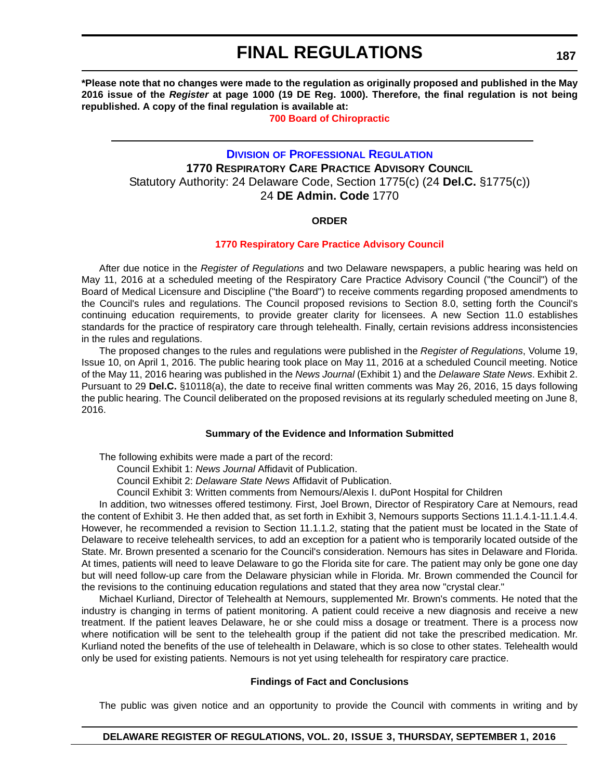**\*Please note that no changes were made to the regulation as originally proposed and published in the May 2016 issue of the** *Register* **at page 1000 (19 DE Reg. 1000). Therefore, the final regulation is not being republished. A copy of the final regulation is available at:**

**[700 Board of Chiropractic](http://regulations.delaware.gov/register/september2016/final/20 DE Reg 186 09-01-16.htm)**

### **DIVISION [OF PROFESSIONAL REGULATION](http://dpr.delaware.gov/) 1770 RESPIRATORY CARE PRACTICE ADVISORY COUNCIL** Statutory Authority: 24 Delaware Code, Section 1775(c) (24 **Del.C.** §1775(c)) 24 **DE Admin. Code** 1770

#### **ORDER**

#### **[1770 Respiratory Care Practice Advisory Council](#page-4-0)**

After due notice in the *Register of Regulations* and two Delaware newspapers, a public hearing was held on May 11, 2016 at a scheduled meeting of the Respiratory Care Practice Advisory Council ("the Council") of the Board of Medical Licensure and Discipline ("the Board") to receive comments regarding proposed amendments to the Council's rules and regulations. The Council proposed revisions to Section 8.0, setting forth the Council's continuing education requirements, to provide greater clarity for licensees. A new Section 11.0 establishes standards for the practice of respiratory care through telehealth. Finally, certain revisions address inconsistencies in the rules and regulations.

The proposed changes to the rules and regulations were published in the *Register of Regulations*, Volume 19, Issue 10, on April 1, 2016. The public hearing took place on May 11, 2016 at a scheduled Council meeting. Notice of the May 11, 2016 hearing was published in the *News Journal* (Exhibit 1) and the *Delaware State News*. Exhibit 2. Pursuant to 29 **Del.C.** §10118(a), the date to receive final written comments was May 26, 2016, 15 days following the public hearing. The Council deliberated on the proposed revisions at its regularly scheduled meeting on June 8, 2016.

#### **Summary of the Evidence and Information Submitted**

The following exhibits were made a part of the record:

Council Exhibit 1: *News Journal* Affidavit of Publication.

Council Exhibit 2: *Delaware State News* Affidavit of Publication.

Council Exhibit 3: Written comments from Nemours/Alexis I. duPont Hospital for Children

In addition, two witnesses offered testimony. First, Joel Brown, Director of Respiratory Care at Nemours, read the content of Exhibit 3. He then added that, as set forth in Exhibit 3, Nemours supports Sections 11.1.4.1-11.1.4.4. However, he recommended a revision to Section 11.1.1.2, stating that the patient must be located in the State of Delaware to receive telehealth services, to add an exception for a patient who is temporarily located outside of the State. Mr. Brown presented a scenario for the Council's consideration. Nemours has sites in Delaware and Florida. At times, patients will need to leave Delaware to go the Florida site for care. The patient may only be gone one day but will need follow-up care from the Delaware physician while in Florida. Mr. Brown commended the Council for the revisions to the continuing education regulations and stated that they area now "crystal clear."

Michael Kurliand, Director of Telehealth at Nemours, supplemented Mr. Brown's comments. He noted that the industry is changing in terms of patient monitoring. A patient could receive a new diagnosis and receive a new treatment. If the patient leaves Delaware, he or she could miss a dosage or treatment. There is a process now where notification will be sent to the telehealth group if the patient did not take the prescribed medication. Mr. Kurliand noted the benefits of the use of telehealth in Delaware, which is so close to other states. Telehealth would only be used for existing patients. Nemours is not yet using telehealth for respiratory care practice.

#### **Findings of Fact and Conclusions**

The public was given notice and an opportunity to provide the Council with comments in writing and by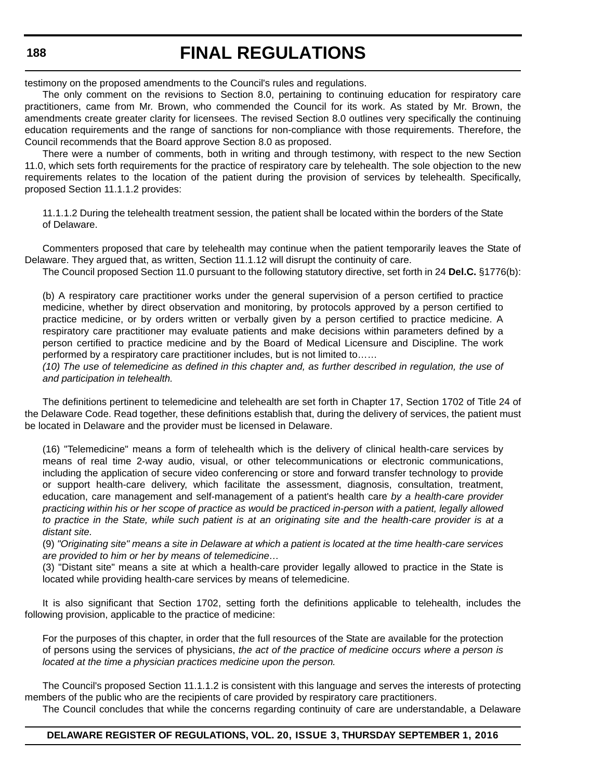#### **188**

## **FINAL REGULATIONS**

testimony on the proposed amendments to the Council's rules and regulations.

The only comment on the revisions to Section 8.0, pertaining to continuing education for respiratory care practitioners, came from Mr. Brown, who commended the Council for its work. As stated by Mr. Brown, the amendments create greater clarity for licensees. The revised Section 8.0 outlines very specifically the continuing education requirements and the range of sanctions for non-compliance with those requirements. Therefore, the Council recommends that the Board approve Section 8.0 as proposed.

There were a number of comments, both in writing and through testimony, with respect to the new Section 11.0, which sets forth requirements for the practice of respiratory care by telehealth. The sole objection to the new requirements relates to the location of the patient during the provision of services by telehealth. Specifically, proposed Section 11.1.1.2 provides:

11.1.1.2 During the telehealth treatment session, the patient shall be located within the borders of the State of Delaware.

Commenters proposed that care by telehealth may continue when the patient temporarily leaves the State of Delaware. They argued that, as written, Section 11.1.12 will disrupt the continuity of care.

The Council proposed Section 11.0 pursuant to the following statutory directive, set forth in 24 **Del.C.** §1776(b):

(b) A respiratory care practitioner works under the general supervision of a person certified to practice medicine, whether by direct observation and monitoring, by protocols approved by a person certified to practice medicine, or by orders written or verbally given by a person certified to practice medicine. A respiratory care practitioner may evaluate patients and make decisions within parameters defined by a person certified to practice medicine and by the Board of Medical Licensure and Discipline. The work performed by a respiratory care practitioner includes, but is not limited to……

*(10) The use of telemedicine as defined in this chapter and, as further described in regulation, the use of and participation in telehealth.*

The definitions pertinent to telemedicine and telehealth are set forth in Chapter 17, Section 1702 of Title 24 of the Delaware Code. Read together, these definitions establish that, during the delivery of services, the patient must be located in Delaware and the provider must be licensed in Delaware.

(16) "Telemedicine" means a form of telehealth which is the delivery of clinical health-care services by means of real time 2-way audio, visual, or other telecommunications or electronic communications, including the application of secure video conferencing or store and forward transfer technology to provide or support health-care delivery, which facilitate the assessment, diagnosis, consultation, treatment, education, care management and self-management of a patient's health care *by a health-care provider practicing within his or her scope of practice as would be practiced in-person with a patient, legally allowed to practice in the State, while such patient is at an originating site and the health-care provider is at a distant site.*

(9) *"Originating site" means a site in Delaware at which a patient is located at the time health-care services are provided to him or her by means of telemedicine…*

(3) "Distant site" means a site at which a health-care provider legally allowed to practice in the State is located while providing health-care services by means of telemedicine.

It is also significant that Section 1702, setting forth the definitions applicable to telehealth, includes the following provision, applicable to the practice of medicine:

For the purposes of this chapter, in order that the full resources of the State are available for the protection of persons using the services of physicians, *the act of the practice of medicine occurs where a person is located at the time a physician practices medicine upon the person.*

The Council's proposed Section 11.1.1.2 is consistent with this language and serves the interests of protecting members of the public who are the recipients of care provided by respiratory care practitioners.

The Council concludes that while the concerns regarding continuity of care are understandable, a Delaware

#### **DELAWARE REGISTER OF REGULATIONS, VOL. 20, ISSUE 3, THURSDAY SEPTEMBER 1, 2016**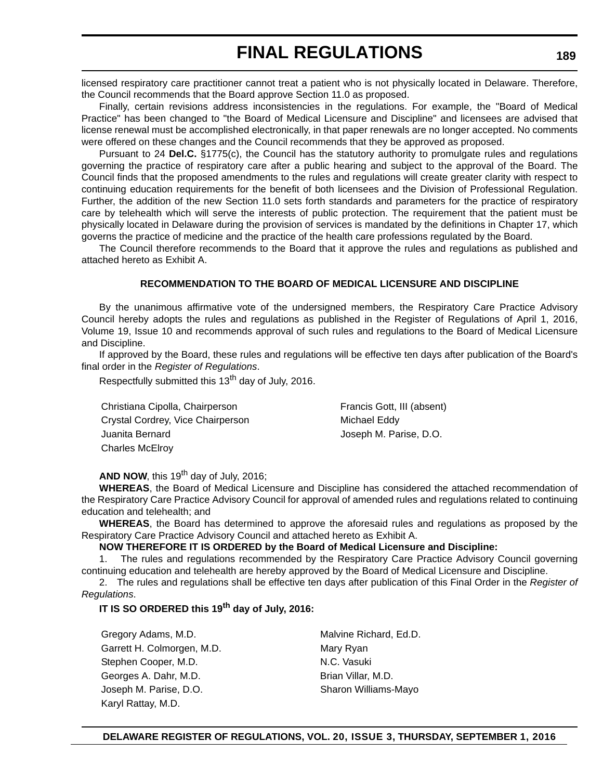licensed respiratory care practitioner cannot treat a patient who is not physically located in Delaware. Therefore, the Council recommends that the Board approve Section 11.0 as proposed.

Finally, certain revisions address inconsistencies in the regulations. For example, the "Board of Medical Practice" has been changed to "the Board of Medical Licensure and Discipline" and licensees are advised that license renewal must be accomplished electronically, in that paper renewals are no longer accepted. No comments were offered on these changes and the Council recommends that they be approved as proposed.

Pursuant to 24 **Del.C.** §1775(c), the Council has the statutory authority to promulgate rules and regulations governing the practice of respiratory care after a public hearing and subject to the approval of the Board. The Council finds that the proposed amendments to the rules and regulations will create greater clarity with respect to continuing education requirements for the benefit of both licensees and the Division of Professional Regulation. Further, the addition of the new Section 11.0 sets forth standards and parameters for the practice of respiratory care by telehealth which will serve the interests of public protection. The requirement that the patient must be physically located in Delaware during the provision of services is mandated by the definitions in Chapter 17, which governs the practice of medicine and the practice of the health care professions regulated by the Board.

The Council therefore recommends to the Board that it approve the rules and regulations as published and attached hereto as Exhibit A.

#### **RECOMMENDATION TO THE BOARD OF MEDICAL LICENSURE AND DISCIPLINE**

By the unanimous affirmative vote of the undersigned members, the Respiratory Care Practice Advisory Council hereby adopts the rules and regulations as published in the Register of Regulations of April 1, 2016, Volume 19, Issue 10 and recommends approval of such rules and regulations to the Board of Medical Licensure and Discipline.

If approved by the Board, these rules and regulations will be effective ten days after publication of the Board's final order in the *Register of Regulations*.

Respectfully submitted this 13<sup>th</sup> day of July, 2016.

Christiana Cipolla, Chairperson Francis Gott, III (absent) Crystal Cordrey, Vice Chairperson Michael Eddy Juanita Bernard Joseph M. Parise, D.O. Charles McElroy

**AND NOW, this 19<sup>th</sup> day of July, 2016;** 

**WHEREAS**, the Board of Medical Licensure and Discipline has considered the attached recommendation of the Respiratory Care Practice Advisory Council for approval of amended rules and regulations related to continuing education and telehealth; and

**WHEREAS**, the Board has determined to approve the aforesaid rules and regulations as proposed by the Respiratory Care Practice Advisory Council and attached hereto as Exhibit A.

**NOW THEREFORE IT IS ORDERED by the Board of Medical Licensure and Discipline:**

1. The rules and regulations recommended by the Respiratory Care Practice Advisory Council governing continuing education and telehealth are hereby approved by the Board of Medical Licensure and Discipline.

2. The rules and regulations shall be effective ten days after publication of this Final Order in the *Register of Regulations*.

### **IT IS SO ORDERED this 19th day of July, 2016:**

Gregory Adams, M.D. **Maluis** Malvine Richard, Ed.D. Garrett H. Colmorgen, M.D. Mary Ryan Stephen Cooper, M.D. N.C. Vasuki Georges A. Dahr, M.D. **Brian Villar, M.D.** Brian Villar, M.D. Joseph M. Parise, D.O. Sharon Williams-Mayo Karyl Rattay, M.D.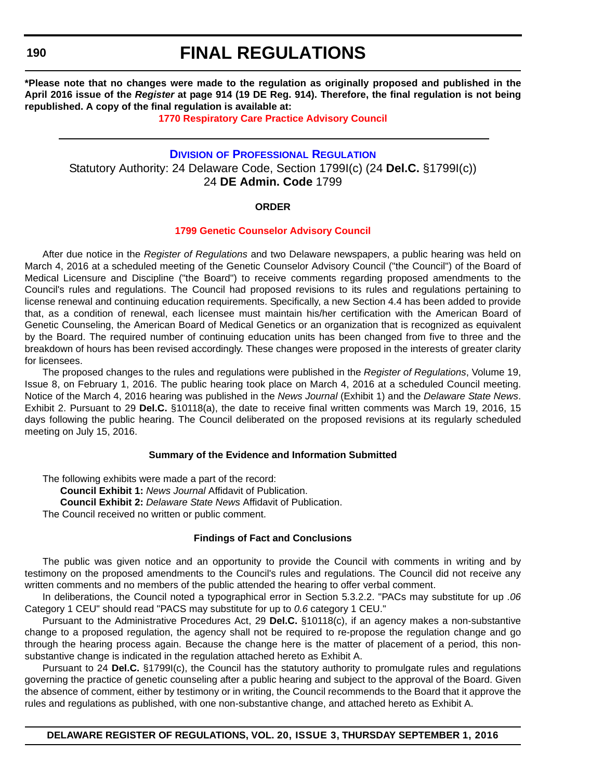**190**

## **FINAL REGULATIONS**

**\*Please note that no changes were made to the regulation as originally proposed and published in the April 2016 issue of the** *Register* **at page 914 (19 DE Reg. 914). Therefore, the final regulation is not being republished. A copy of the final regulation is available at:**

#### **[1770 Respiratory Care Practice Advisory Council](http://regulations.delaware.gov/register/september2016/final/20 DE Reg 187 09-01-16.htm)**

### **DIVISION [OF PROFESSIONAL REGULATION](http://dpr.delaware.gov/)** Statutory Authority: 24 Delaware Code, Section 1799I(c) (24 **Del.C.** §1799I(c)) 24 **DE Admin. Code** 1799

#### **ORDER**

#### **[1799 Genetic Counselor Advisory Council](#page-4-0)**

After due notice in the *Register of Regulations* and two Delaware newspapers, a public hearing was held on March 4, 2016 at a scheduled meeting of the Genetic Counselor Advisory Council ("the Council") of the Board of Medical Licensure and Discipline ("the Board") to receive comments regarding proposed amendments to the Council's rules and regulations. The Council had proposed revisions to its rules and regulations pertaining to license renewal and continuing education requirements. Specifically, a new Section 4.4 has been added to provide that, as a condition of renewal, each licensee must maintain his/her certification with the American Board of Genetic Counseling, the American Board of Medical Genetics or an organization that is recognized as equivalent by the Board. The required number of continuing education units has been changed from five to three and the breakdown of hours has been revised accordingly. These changes were proposed in the interests of greater clarity for licensees.

The proposed changes to the rules and regulations were published in the *Register of Regulations*, Volume 19, Issue 8, on February 1, 2016. The public hearing took place on March 4, 2016 at a scheduled Council meeting. Notice of the March 4, 2016 hearing was published in the *News Journal* (Exhibit 1) and the *Delaware State News*. Exhibit 2. Pursuant to 29 **Del.C.** §10118(a), the date to receive final written comments was March 19, 2016, 15 days following the public hearing. The Council deliberated on the proposed revisions at its regularly scheduled meeting on July 15, 2016.

#### **Summary of the Evidence and Information Submitted**

The following exhibits were made a part of the record: **Council Exhibit 1:** *News Journal* Affidavit of Publication. **Council Exhibit 2:** *Delaware State News* Affidavit of Publication. The Council received no written or public comment.

#### **Findings of Fact and Conclusions**

The public was given notice and an opportunity to provide the Council with comments in writing and by testimony on the proposed amendments to the Council's rules and regulations. The Council did not receive any written comments and no members of the public attended the hearing to offer verbal comment.

In deliberations, the Council noted a typographical error in Section 5.3.2.2. "PACs may substitute for up *.06* Category 1 CEU" should read "PACS may substitute for up to *0.6* category 1 CEU."

Pursuant to the Administrative Procedures Act, 29 **Del.C.** §10118(c), if an agency makes a non-substantive change to a proposed regulation, the agency shall not be required to re-propose the regulation change and go through the hearing process again. Because the change here is the matter of placement of a period, this nonsubstantive change is indicated in the regulation attached hereto as Exhibit A.

Pursuant to 24 **Del.C.** §1799I(c), the Council has the statutory authority to promulgate rules and regulations governing the practice of genetic counseling after a public hearing and subject to the approval of the Board. Given the absence of comment, either by testimony or in writing, the Council recommends to the Board that it approve the rules and regulations as published, with one non-substantive change, and attached hereto as Exhibit A.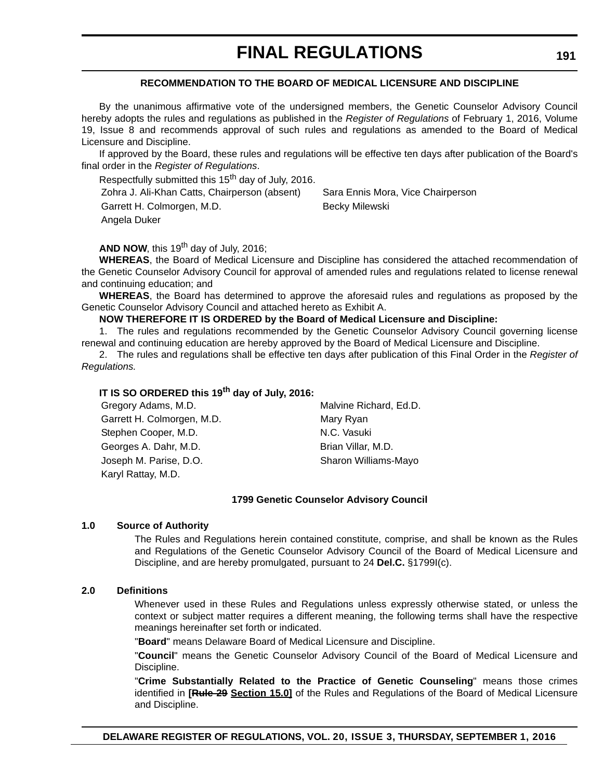#### **RECOMMENDATION TO THE BOARD OF MEDICAL LICENSURE AND DISCIPLINE**

By the unanimous affirmative vote of the undersigned members, the Genetic Counselor Advisory Council hereby adopts the rules and regulations as published in the *Register of Regulations* of February 1, 2016, Volume 19, Issue 8 and recommends approval of such rules and regulations as amended to the Board of Medical Licensure and Discipline.

If approved by the Board, these rules and regulations will be effective ten days after publication of the Board's final order in the *Register of Regulations*.

Respectfully submitted this 15<sup>th</sup> day of July, 2016.

Zohra J. Ali-Khan Catts, Chairperson (absent) Sara Ennis Mora, Vice Chairperson

Garrett H. Colmorgen, M.D. Becky Milewski Angela Duker

**AND NOW, this 19<sup>th</sup> day of July, 2016;** 

**WHEREAS**, the Board of Medical Licensure and Discipline has considered the attached recommendation of the Genetic Counselor Advisory Council for approval of amended rules and regulations related to license renewal and continuing education; and

**WHEREAS**, the Board has determined to approve the aforesaid rules and regulations as proposed by the Genetic Counselor Advisory Council and attached hereto as Exhibit A.

#### **NOW THEREFORE IT IS ORDERED by the Board of Medical Licensure and Discipline:**

1. The rules and regulations recommended by the Genetic Counselor Advisory Council governing license renewal and continuing education are hereby approved by the Board of Medical Licensure and Discipline.

2. The rules and regulations shall be effective ten days after publication of this Final Order in the *Register of Regulations.*

#### **IT IS SO ORDERED this 19th day of July, 2016:**

| Gregory Adams, M.D.        | Malvine Richard, Ed.D. |
|----------------------------|------------------------|
| Garrett H. Colmorgen, M.D. | Mary Ryan              |
| Stephen Cooper, M.D.       | N.C. Vasuki            |
| Georges A. Dahr, M.D.      | Brian Villar, M.D.     |
| Joseph M. Parise, D.O.     | Sharon Williams-Mayo   |
| Karyl Rattay, M.D.         |                        |

#### **1799 Genetic Counselor Advisory Council**

#### **1.0 Source of Authority**

The Rules and Regulations herein contained constitute, comprise, and shall be known as the Rules and Regulations of the Genetic Counselor Advisory Council of the Board of Medical Licensure and Discipline, and are hereby promulgated, pursuant to 24 **Del.C.** §1799I(c).

#### **2.0 Definitions**

Whenever used in these Rules and Regulations unless expressly otherwise stated, or unless the context or subject matter requires a different meaning, the following terms shall have the respective meanings hereinafter set forth or indicated.

"**Board**" means Delaware Board of Medical Licensure and Discipline.

"**Council**" means the Genetic Counselor Advisory Council of the Board of Medical Licensure and Discipline.

"**Crime Substantially Related to the Practice of Genetic Counseling**" means those crimes identified in **[Rule 29 Section 15.0]** of the Rules and Regulations of the Board of Medical Licensure and Discipline.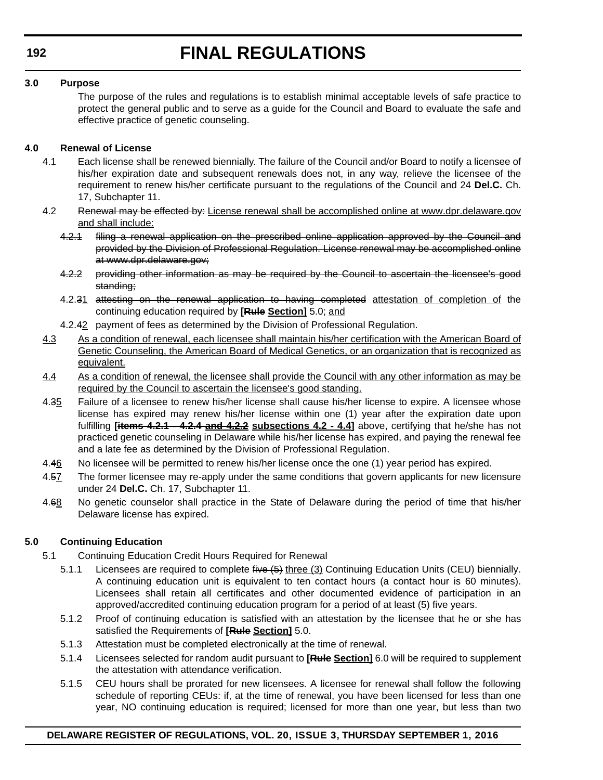#### **3.0 Purpose**

The purpose of the rules and regulations is to establish minimal acceptable levels of safe practice to protect the general public and to serve as a guide for the Council and Board to evaluate the safe and effective practice of genetic counseling.

#### **4.0 Renewal of License**

- 4.1 Each license shall be renewed biennially. The failure of the Council and/or Board to notify a licensee of his/her expiration date and subsequent renewals does not, in any way, relieve the licensee of the requirement to renew his/her certificate pursuant to the regulations of the Council and 24 **Del.C.** Ch. 17, Subchapter 11.
- 4.2 Renewal may be effected by: License renewal shall be accomplished online at www.dpr.delaware.gov and shall include:
	- 4.2.1 filing a renewal application on the prescribed online application approved by the Council and provided by the Division of Professional Regulation. License renewal may be accomplished online at www.dpr.delaware.gov;
	- 4.2.2 providing other information as may be required by the Council to ascertain the licensee's good standing;
	- 4.2.31 attesting on the renewal application to having completed attestation of completion of the continuing education required by **[Rule Section]** 5.0; and
	- 4.2.42 payment of fees as determined by the Division of Professional Regulation.
- 4.3 As a condition of renewal, each licensee shall maintain his/her certification with the American Board of Genetic Counseling, the American Board of Medical Genetics, or an organization that is recognized as equivalent.
- 4.4 As a condition of renewal, the licensee shall provide the Council with any other information as may be required by the Council to ascertain the licensee's good standing.
- 4.35 Failure of a licensee to renew his/her license shall cause his/her license to expire. A licensee whose license has expired may renew his/her license within one (1) year after the expiration date upon fulfilling **[items 4.2.1 - 4.2.4 and 4.2.2 subsections 4.2 - 4.4]** above, certifying that he/she has not practiced genetic counseling in Delaware while his/her license has expired, and paying the renewal fee and a late fee as determined by the Division of Professional Regulation.
- 4.46 No licensee will be permitted to renew his/her license once the one (1) year period has expired.
- 4.57 The former licensee may re-apply under the same conditions that govern applicants for new licensure under 24 **Del.C.** Ch. 17, Subchapter 11.
- 4.68 No genetic counselor shall practice in the State of Delaware during the period of time that his/her Delaware license has expired.

### **5.0 Continuing Education**

- 5.1 Continuing Education Credit Hours Required for Renewal
	- 5.1.1 Licensees are required to complete five (5) three (3) Continuing Education Units (CEU) biennially. A continuing education unit is equivalent to ten contact hours (a contact hour is 60 minutes). Licensees shall retain all certificates and other documented evidence of participation in an approved/accredited continuing education program for a period of at least (5) five years.
	- 5.1.2 Proof of continuing education is satisfied with an attestation by the licensee that he or she has satisfied the Requirements of **[Rule Section]** 5.0.
	- 5.1.3 Attestation must be completed electronically at the time of renewal.
	- 5.1.4 Licensees selected for random audit pursuant to **[Rule Section]** 6.0 will be required to supplement the attestation with attendance verification.
	- 5.1.5 CEU hours shall be prorated for new licensees. A licensee for renewal shall follow the following schedule of reporting CEUs: if, at the time of renewal, you have been licensed for less than one year, NO continuing education is required; licensed for more than one year, but less than two

### **DELAWARE REGISTER OF REGULATIONS, VOL. 20, ISSUE 3, THURSDAY SEPTEMBER 1, 2016**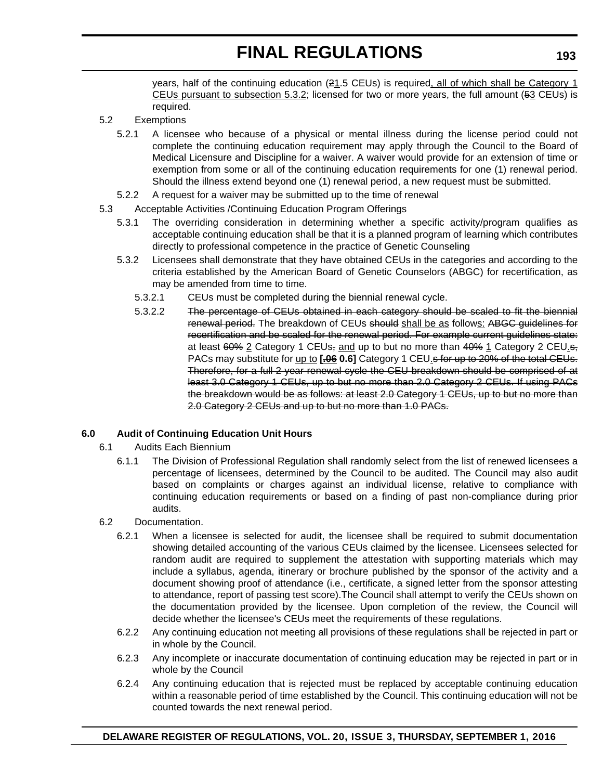years, half of the continuing education (21.5 CEUs) is required, all of which shall be Category 1 CEUs pursuant to subsection 5.3.2; licensed for two or more years, the full amount (53 CEUs) is required.

#### 5.2 Exemptions

- 5.2.1 A licensee who because of a physical or mental illness during the license period could not complete the continuing education requirement may apply through the Council to the Board of Medical Licensure and Discipline for a waiver. A waiver would provide for an extension of time or exemption from some or all of the continuing education requirements for one (1) renewal period. Should the illness extend beyond one (1) renewal period, a new request must be submitted.
- 5.2.2 A request for a waiver may be submitted up to the time of renewal
- 5.3 Acceptable Activities /Continuing Education Program Offerings
	- 5.3.1 The overriding consideration in determining whether a specific activity/program qualifies as acceptable continuing education shall be that it is a planned program of learning which contributes directly to professional competence in the practice of Genetic Counseling
	- 5.3.2 Licensees shall demonstrate that they have obtained CEUs in the categories and according to the criteria established by the American Board of Genetic Counselors (ABGC) for recertification, as may be amended from time to time.
		- 5.3.2.1 CEUs must be completed during the biennial renewal cycle.
		- 5.3.2.2 The percentage of CEUs obtained in each category should be scaled to fit the biennial renewal period. The breakdown of CEUs should shall be as follows: ABGC guidelines for recertification and be scaled for the renewal period. For example current guidelines state: at least  $60\%$  2 Category 1 CEUs, and up to but no more than  $40\%$  1 Category 2 CEU<sub>1</sub>s, PACs may substitute for up to [-06 0.6] Category 1 CEU.s for up to 20% of the total CEUs. Therefore, for a full 2 year renewal cycle the CEU breakdown should be comprised of at least 3.0 Category 1 CEUs, up to but no more than 2.0 Category 2 CEUs. If using PACs the breakdown would be as follows: at least 2.0 Category 1 CEUs, up to but no more than 2.0 Category 2 CEUs and up to but no more than 1.0 PACs.

### **6.0 Audit of Continuing Education Unit Hours**

- 6.1 Audits Each Biennium
	- 6.1.1 The Division of Professional Regulation shall randomly select from the list of renewed licensees a percentage of licensees, determined by the Council to be audited. The Council may also audit based on complaints or charges against an individual license, relative to compliance with continuing education requirements or based on a finding of past non-compliance during prior audits.

#### 6.2 Documentation.

- 6.2.1 When a licensee is selected for audit, the licensee shall be required to submit documentation showing detailed accounting of the various CEUs claimed by the licensee. Licensees selected for random audit are required to supplement the attestation with supporting materials which may include a syllabus, agenda, itinerary or brochure published by the sponsor of the activity and a document showing proof of attendance (i.e., certificate, a signed letter from the sponsor attesting to attendance, report of passing test score).The Council shall attempt to verify the CEUs shown on the documentation provided by the licensee. Upon completion of the review, the Council will decide whether the licensee's CEUs meet the requirements of these regulations.
- 6.2.2 Any continuing education not meeting all provisions of these regulations shall be rejected in part or in whole by the Council.
- 6.2.3 Any incomplete or inaccurate documentation of continuing education may be rejected in part or in whole by the Council
- 6.2.4 Any continuing education that is rejected must be replaced by acceptable continuing education within a reasonable period of time established by the Council. This continuing education will not be counted towards the next renewal period.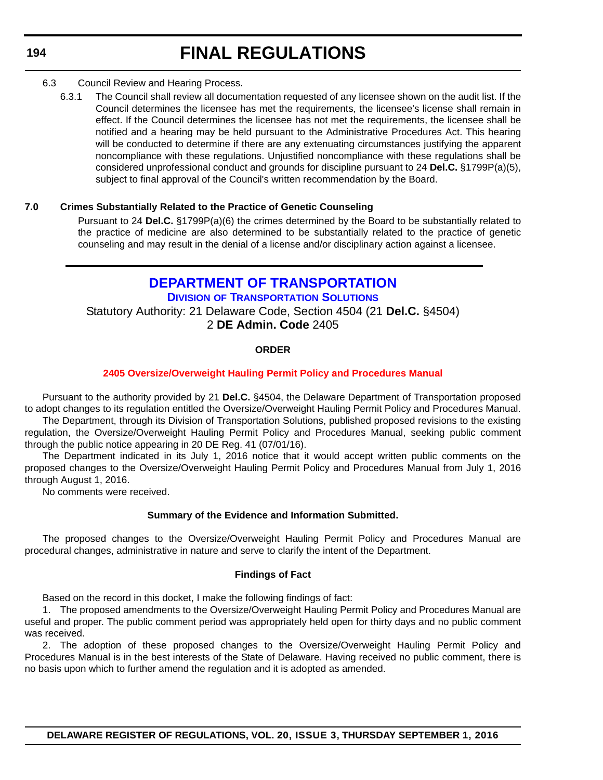- 6.3 Council Review and Hearing Process.
	- 6.3.1 The Council shall review all documentation requested of any licensee shown on the audit list. If the Council determines the licensee has met the requirements, the licensee's license shall remain in effect. If the Council determines the licensee has not met the requirements, the licensee shall be notified and a hearing may be held pursuant to the Administrative Procedures Act. This hearing will be conducted to determine if there are any extenuating circumstances justifying the apparent noncompliance with these regulations. Unjustified noncompliance with these regulations shall be considered unprofessional conduct and grounds for discipline pursuant to 24 **Del.C.** §1799P(a)(5), subject to final approval of the Council's written recommendation by the Board.

#### **7.0 Crimes Substantially Related to the Practice of Genetic Counseling**

Pursuant to 24 **Del.C.** §1799P(a)(6) the crimes determined by the Board to be substantially related to the practice of medicine are also determined to be substantially related to the practice of genetic counseling and may result in the denial of a license and/or disciplinary action against a licensee.

**[DEPARTMENT OF TRANSPORTATION](http://www.deldot.gov/home/divisions/) DIVISION OF TRANSPORTATION SOLUTIONS** Statutory Authority: 21 Delaware Code, Section 4504 (21 **Del.C.** §4504) 2 **DE Admin. Code** 2405

#### **ORDER**

#### **[2405 Oversize/Overweight Hauling Permit Policy and Procedures Manual](#page-4-0)**

Pursuant to the authority provided by 21 **Del.C.** §4504, the Delaware Department of Transportation proposed to adopt changes to its regulation entitled the Oversize/Overweight Hauling Permit Policy and Procedures Manual. The Department, through its Division of Transportation Solutions, published proposed revisions to the existing regulation, the Oversize/Overweight Hauling Permit Policy and Procedures Manual, seeking public comment through the public notice appearing in 20 DE Reg. 41 (07/01/16).

The Department indicated in its July 1, 2016 notice that it would accept written public comments on the proposed changes to the Oversize/Overweight Hauling Permit Policy and Procedures Manual from July 1, 2016 through August 1, 2016.

No comments were received.

#### **Summary of the Evidence and Information Submitted.**

The proposed changes to the Oversize/Overweight Hauling Permit Policy and Procedures Manual are procedural changes, administrative in nature and serve to clarify the intent of the Department.

#### **Findings of Fact**

Based on the record in this docket, I make the following findings of fact:

1. The proposed amendments to the Oversize/Overweight Hauling Permit Policy and Procedures Manual are useful and proper. The public comment period was appropriately held open for thirty days and no public comment was received.

2. The adoption of these proposed changes to the Oversize/Overweight Hauling Permit Policy and Procedures Manual is in the best interests of the State of Delaware. Having received no public comment, there is no basis upon which to further amend the regulation and it is adopted as amended.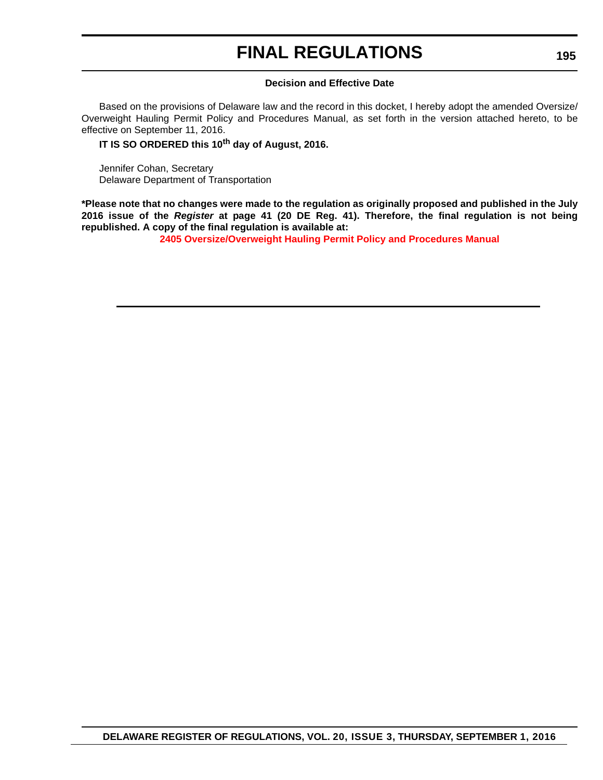#### **Decision and Effective Date**

Based on the provisions of Delaware law and the record in this docket, I hereby adopt the amended Oversize/ Overweight Hauling Permit Policy and Procedures Manual, as set forth in the version attached hereto, to be effective on September 11, 2016.

#### **IT IS SO ORDERED this 10th day of August, 2016.**

Jennifer Cohan, Secretary Delaware Department of Transportation

**\*Please note that no changes were made to the regulation as originally proposed and published in the July 2016 issue of the** *Register* **at page 41 (20 DE Reg. 41). Therefore, the final regulation is not being republished. A copy of the final regulation is available at:**

**[2405 Oversize/Overweight Hauling Permit Policy and Procedures Manual](http://regulations.delaware.gov/register/september2016/final/20 DE Reg 194 09-01-16.htm)**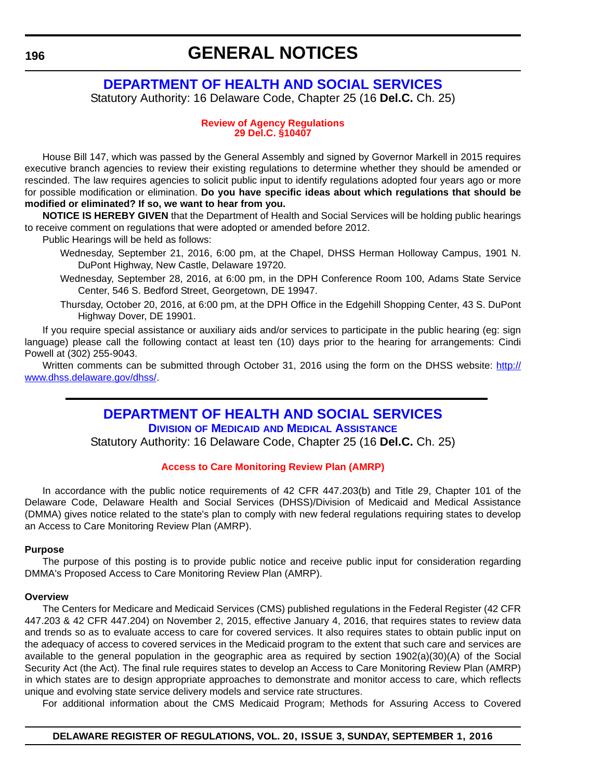## **[DEPARTMENT OF HEALTH AND SOCIAL SERVICES](http://www.dhss.delaware.gov/dhss/index.html)**

Statutory Authority: 16 Delaware Code, Chapter 25 (16 **Del.C.** Ch. 25)

#### **[Review of Agency Regulations](#page-4-0) 29 Del.C. §10407**

House Bill 147, which was passed by the General Assembly and signed by Governor Markell in 2015 requires executive branch agencies to review their existing regulations to determine whether they should be amended or rescinded. The law requires agencies to solicit public input to identify regulations adopted four years ago or more for possible modification or elimination. **Do you have specific ideas about which regulations that should be modified or eliminated? If so, we want to hear from you.**

**NOTICE IS HEREBY GIVEN** that the Department of Health and Social Services will be holding public hearings to receive comment on regulations that were adopted or amended before 2012.

Public Hearings will be held as follows:

- Wednesday, September 21, 2016, 6:00 pm, at the Chapel, DHSS Herman Holloway Campus, 1901 N. DuPont Highway, New Castle, Delaware 19720.
- Wednesday, September 28, 2016, at 6:00 pm, in the DPH Conference Room 100, Adams State Service Center, 546 S. Bedford Street, Georgetown, DE 19947.
- Thursday, October 20, 2016, at 6:00 pm, at the DPH Office in the Edgehill Shopping Center, 43 S. DuPont Highway Dover, DE 19901.

If you require special assistance or auxiliary aids and/or services to participate in the public hearing (eg: sign language) please call the following contact at least ten (10) days prior to the hearing for arrangements: Cindi Powell at (302) 255-9043.

Written comments can be submitted through October 31, 2016 using the form on the DHSS website: [http://](http://www.dhss.delaware.gov/dhss/) [www.dhss.delaware.gov/dhss/](http://www.dhss.delaware.gov/dhss/).

> **[DEPARTMENT OF HEALTH AND SOCIAL SERVICES](http://www.dhss.delaware.gov/dhss/dmma/) DIVISION OF MEDICAID AND MEDICAL ASSISTANCE**

Statutory Authority: 16 Delaware Code, Chapter 25 (16 **Del.C.** Ch. 25)

#### **[Access to Care Monitoring Review Plan \(AMRP\)](#page-4-0)**

In accordance with the public notice requirements of 42 CFR 447.203(b) and Title 29, Chapter 101 of the Delaware Code, Delaware Health and Social Services (DHSS)/Division of Medicaid and Medical Assistance (DMMA) gives notice related to the state's plan to comply with new federal regulations requiring states to develop an Access to Care Monitoring Review Plan (AMRP).

#### **Purpose**

The purpose of this posting is to provide public notice and receive public input for consideration regarding DMMA's Proposed Access to Care Monitoring Review Plan (AMRP).

#### **Overview**

The Centers for Medicare and Medicaid Services (CMS) published regulations in the Federal Register (42 CFR 447.203 & 42 CFR 447.204) on November 2, 2015, effective January 4, 2016, that requires states to review data and trends so as to evaluate access to care for covered services. It also requires states to obtain public input on the adequacy of access to covered services in the Medicaid program to the extent that such care and services are available to the general population in the geographic area as required by section 1902(a)(30)(A) of the Social Security Act (the Act). The final rule requires states to develop an Access to Care Monitoring Review Plan (AMRP) in which states are to design appropriate approaches to demonstrate and monitor access to care, which reflects unique and evolving state service delivery models and service rate structures.

For additional information about the CMS Medicaid Program; Methods for Assuring Access to Covered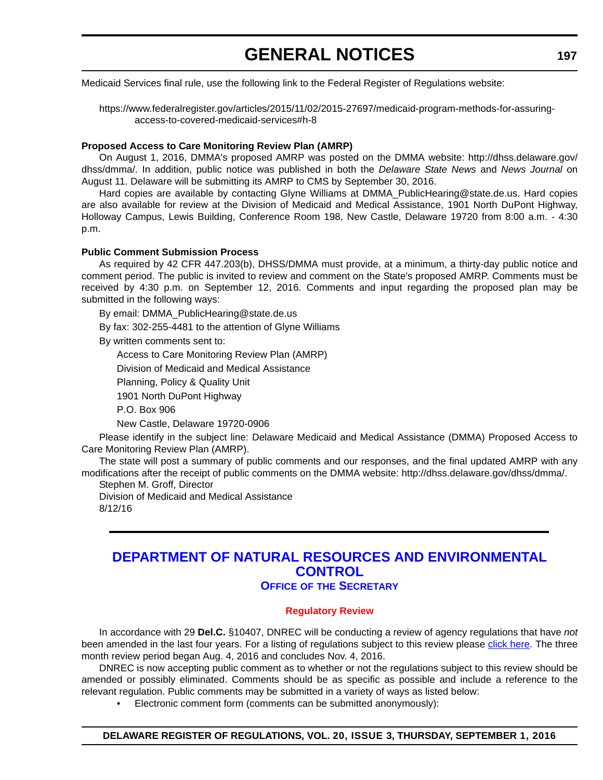Medicaid Services final rule, use the following link to the Federal Register of Regulations website:

https://www.federalregister.gov/articles/2015/11/02/2015-27697/medicaid-program-methods-for-assuringaccess-to-covered-medicaid-services#h-8

#### **Proposed Access to Care Monitoring Review Plan (AMRP)**

On August 1, 2016, DMMA's proposed AMRP was posted on the DMMA website: http://dhss.delaware.gov/ dhss/dmma/. In addition, public notice was published in both the *Delaware State News* and *News Journal* on August 11. Delaware will be submitting its AMRP to CMS by September 30, 2016.

Hard copies are available by contacting Glyne Williams at DMMA\_PublicHearing@state.de.us. Hard copies are also available for review at the Division of Medicaid and Medical Assistance, 1901 North DuPont Highway, Holloway Campus, Lewis Building, Conference Room 198, New Castle, Delaware 19720 from 8:00 a.m. - 4:30 p.m.

#### **Public Comment Submission Process**

As required by 42 CFR 447.203(b), DHSS/DMMA must provide, at a minimum, a thirty-day public notice and comment period. The public is invited to review and comment on the State's proposed AMRP. Comments must be received by 4:30 p.m. on September 12, 2016. Comments and input regarding the proposed plan may be submitted in the following ways:

By email: DMMA\_PublicHearing@state.de.us

By fax: 302-255-4481 to the attention of Glyne Williams

By written comments sent to:

Access to Care Monitoring Review Plan (AMRP)

Division of Medicaid and Medical Assistance

Planning, Policy & Quality Unit

1901 North DuPont Highway

P.O. Box 906

New Castle, Delaware 19720-0906

Please identify in the subject line: Delaware Medicaid and Medical Assistance (DMMA) Proposed Access to Care Monitoring Review Plan (AMRP).

The state will post a summary of public comments and our responses, and the final updated AMRP with any modifications after the receipt of public comments on the DMMA website: http://dhss.delaware.gov/dhss/dmma/.

Stephen M. Groff, Director

Division of Medicaid and Medical Assistance 8/12/16

## **[DEPARTMENT OF NATURAL RESOURCES AND ENVIRONMENTAL](http://www.dnrec.delaware.gov/Pages/Portal.aspx)  CONTROL**

### **OFFICE OF THE SECRETARY**

#### **[Regulatory Review](#page-4-0)**

In accordance with 29 **Del.C.** §10407, DNREC will be conducting a review of agency regulations that have *not* been amended in the last four years. For a listing of regulations subject to this review please [click here](http://www.dnrec.delaware.gov/Admin/Documents/DNREC-Regulations-for-Review-2016.pdf). The three month review period began Aug. 4, 2016 and concludes Nov. 4, 2016.

DNREC is now accepting public comment as to whether or not the regulations subject to this review should be amended or possibly eliminated. Comments should be as specific as possible and include a reference to the relevant regulation. Public comments may be submitted in a variety of ways as listed below:

• Electronic comment form (comments can be submitted anonymously):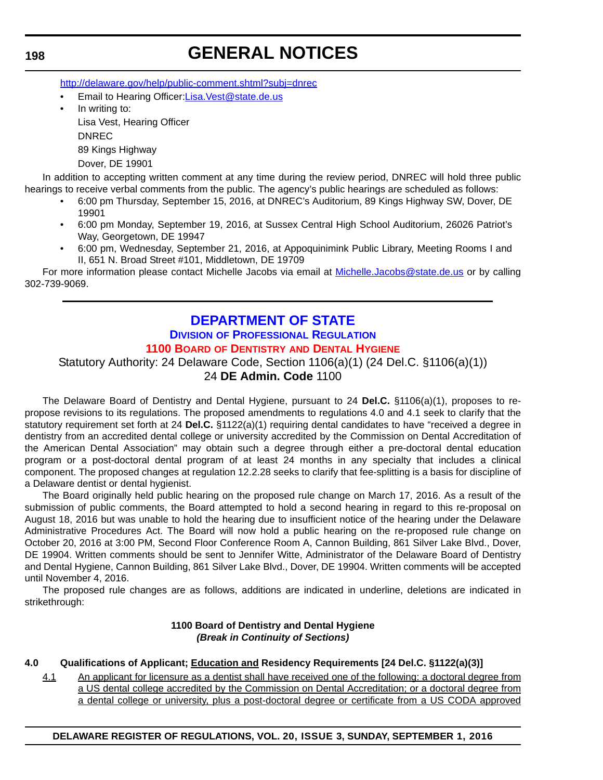http://delaware.gov/help/public-comment.shtml?subj=dnrec

Email to Hearing Officer:Lisa.Vest@state.de.us In writing to: Lisa Vest, Hearing Officer DNREC

89 Kings Highway

Dover, DE 19901

In addition to accepting written comment at any time during the review period, DNREC will hold three public hearings to receive verbal comments from the public. The agency's public hearings are scheduled as follows:

- 6:00 pm Thursday, September 15, 2016, at DNREC's Auditorium, 89 Kings Highway SW, Dover, DE 19901
- 6:00 pm Monday, September 19, 2016, at Sussex Central High School Auditorium, 26026 Patriot's Way, Georgetown, DE 19947
- 6:00 pm, Wednesday, September 21, 2016, at Appoquinimink Public Library, Meeting Rooms I and II, 651 N. Broad Street #101, Middletown, DE 19709

For more information please contact Michelle Jacobs via email at Michelle.Jacobs@state.de.us or by calling 302-739-9069.

## **[DEPARTMENT OF STATE](http://dpr.delaware.gov/)**

#### **DIVISION OF PROFESSIONAL REGULATION 1100 BOARD OF DENTISTRY [AND DENTAL HYGIENE](#page-4-0)**

Statutory Authority: 24 Delaware Code, Section 1106(a)(1) (24 Del.C. §1106(a)(1)) 24 **DE Admin. Code** 1100

The Delaware Board of Dentistry and Dental Hygiene, pursuant to 24 **Del.C.** §1106(a)(1), proposes to repropose revisions to its regulations. The proposed amendments to regulations 4.0 and 4.1 seek to clarify that the statutory requirement set forth at 24 **Del.C.** §1122(a)(1) requiring dental candidates to have "received a degree in dentistry from an accredited dental college or university accredited by the Commission on Dental Accreditation of the American Dental Association" may obtain such a degree through either a pre-doctoral dental education program or a post-doctoral dental program of at least 24 months in any specialty that includes a clinical component. The proposed changes at regulation 12.2.28 seeks to clarify that fee-splitting is a basis for discipline of a Delaware dentist or dental hygienist.

The Board originally held public hearing on the proposed rule change on March 17, 2016. As a result of the submission of public comments, the Board attempted to hold a second hearing in regard to this re-proposal on August 18, 2016 but was unable to hold the hearing due to insufficient notice of the hearing under the Delaware Administrative Procedures Act. The Board will now hold a public hearing on the re-proposed rule change on October 20, 2016 at 3:00 PM, Second Floor Conference Room A, Cannon Building, 861 Silver Lake Blvd., Dover, DE 19904. Written comments should be sent to Jennifer Witte, Administrator of the Delaware Board of Dentistry and Dental Hygiene, Cannon Building, 861 Silver Lake Blvd., Dover, DE 19904. Written comments will be accepted until November 4, 2016.

The proposed rule changes are as follows, additions are indicated in underline, deletions are indicated in strikethrough:

#### **1100 Board of Dentistry and Dental Hygiene** *(Break in Continuity of Sections)*

### **4.0 Qualifications of Applicant; Education and Residency Requirements [24 Del.C. §1122(a)(3)]**

4.1 An applicant for licensure as a dentist shall have received one of the following: a doctoral degree from a US dental college accredited by the Commission on Dental Accreditation; or a doctoral degree from a dental college or university, plus a post-doctoral degree or certificate from a US CODA approved

**198**

**DELAWARE REGISTER OF REGULATIONS, VOL. 20, ISSUE 3, SUNDAY, SEPTEMBER 1, 2016**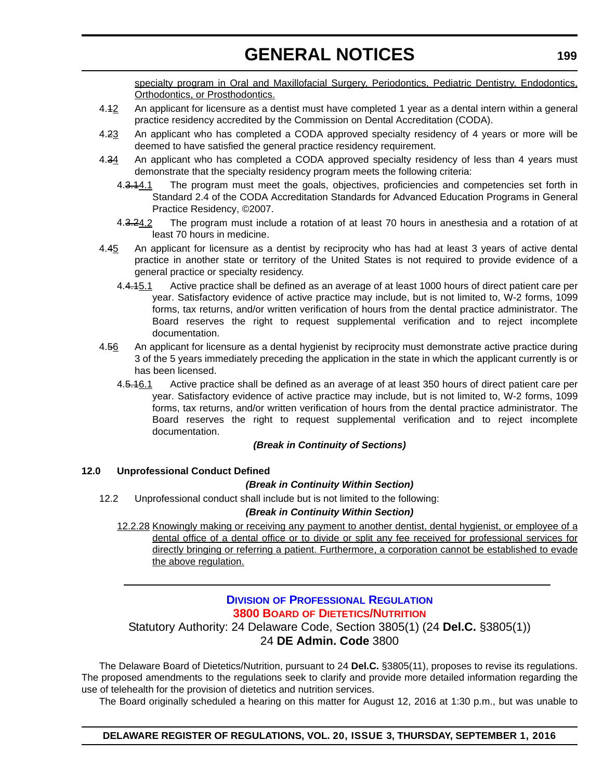specialty program in Oral and Maxillofacial Surgery, Periodontics, Pediatric Dentistry, Endodontics, Orthodontics, or Prosthodontics.

- 4.42 An applicant for licensure as a dentist must have completed 1 year as a dental intern within a general practice residency accredited by the Commission on Dental Accreditation (CODA).
- 4.23 An applicant who has completed a CODA approved specialty residency of 4 years or more will be deemed to have satisfied the general practice residency requirement.
- 4.34 An applicant who has completed a CODA approved specialty residency of less than 4 years must demonstrate that the specialty residency program meets the following criteria:
	- 4.3.14.1 The program must meet the goals, objectives, proficiencies and competencies set forth in Standard 2.4 of the CODA Accreditation Standards for Advanced Education Programs in General Practice Residency, ©2007.
	- 4.3.24.2 The program must include a rotation of at least 70 hours in anesthesia and a rotation of at least 70 hours in medicine.
- 4.45 An applicant for licensure as a dentist by reciprocity who has had at least 3 years of active dental practice in another state or territory of the United States is not required to provide evidence of a general practice or specialty residency.
	- 4.4.4.5.1 Active practice shall be defined as an average of at least 1000 hours of direct patient care per year. Satisfactory evidence of active practice may include, but is not limited to, W-2 forms, 1099 forms, tax returns, and/or written verification of hours from the dental practice administrator. The Board reserves the right to request supplemental verification and to reject incomplete documentation.
- 4.56 An applicant for licensure as a dental hygienist by reciprocity must demonstrate active practice during 3 of the 5 years immediately preceding the application in the state in which the applicant currently is or has been licensed.
	- 4.5.1<sub>6.1</sub> Active practice shall be defined as an average of at least 350 hours of direct patient care per year. Satisfactory evidence of active practice may include, but is not limited to, W-2 forms, 1099 forms, tax returns, and/or written verification of hours from the dental practice administrator. The Board reserves the right to request supplemental verification and to reject incomplete documentation.

#### *(Break in Continuity of Sections)*

#### **12.0 Unprofessional Conduct Defined**

#### *(Break in Continuity Within Section)*

12.2 Unprofessional conduct shall include but is not limited to the following:

#### *(Break in Continuity Within Section)*

12.2.28 Knowingly making or receiving any payment to another dentist, dental hygienist, or employee of a dental office of a dental office or to divide or split any fee received for professional services for directly bringing or referring a patient. Furthermore, a corporation cannot be established to evade the above regulation.

### **DIVISION [OF PROFESSIONAL REGULATION](http://dpr.delaware.gov/) 3800 BOARD [OF DIETETICS/NUTRITION](#page-4-0)**

### Statutory Authority: 24 Delaware Code, Section 3805(1) (24 **Del.C.** §3805(1)) 24 **DE Admin. Code** 3800

The Delaware Board of Dietetics/Nutrition, pursuant to 24 **Del.C.** §3805(11), proposes to revise its regulations. The proposed amendments to the regulations seek to clarify and provide more detailed information regarding the use of telehealth for the provision of dietetics and nutrition services.

The Board originally scheduled a hearing on this matter for August 12, 2016 at 1:30 p.m., but was unable to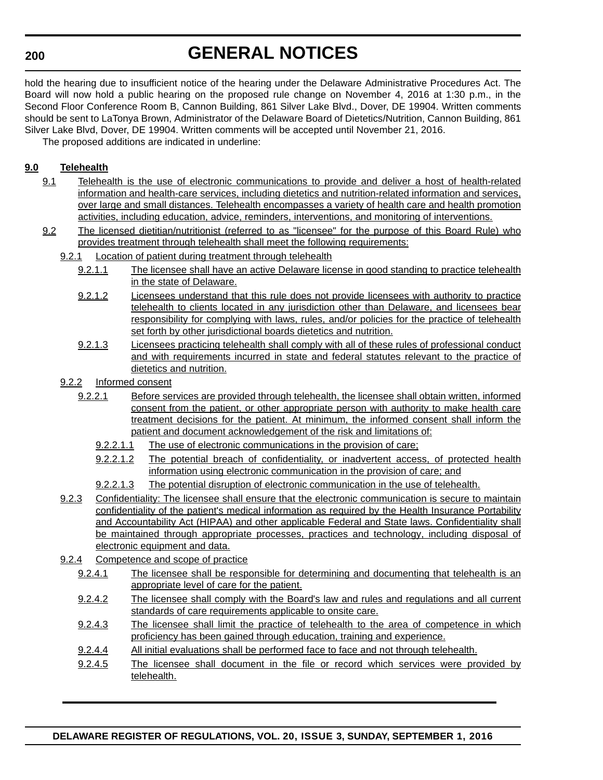#### **200**

# **GENERAL NOTICES**

hold the hearing due to insufficient notice of the hearing under the Delaware Administrative Procedures Act. The Board will now hold a public hearing on the proposed rule change on November 4, 2016 at 1:30 p.m., in the Second Floor Conference Room B, Cannon Building, 861 Silver Lake Blvd., Dover, DE 19904. Written comments should be sent to LaTonya Brown, Administrator of the Delaware Board of Dietetics/Nutrition, Cannon Building, 861 Silver Lake Blvd, Dover, DE 19904. Written comments will be accepted until November 21, 2016.

The proposed additions are indicated in underline:

### **9.0 Telehealth**

- 9.1 Telehealth is the use of electronic communications to provide and deliver a host of health-related information and health-care services, including dietetics and nutrition-related information and services, over large and small distances. Telehealth encompasses a variety of health care and health promotion activities, including education, advice, reminders, interventions, and monitoring of interventions.
- 9.2 The licensed dietitian/nutritionist (referred to as "licensee" for the purpose of this Board Rule) who provides treatment through telehealth shall meet the following requirements:
	- 9.2.1 Location of patient during treatment through telehealth
		- 9.2.1.1 The licensee shall have an active Delaware license in good standing to practice telehealth in the state of Delaware.
		- 9.2.1.2 Licensees understand that this rule does not provide licensees with authority to practice telehealth to clients located in any jurisdiction other than Delaware, and licensees bear responsibility for complying with laws, rules, and/or policies for the practice of telehealth set forth by other jurisdictional boards dietetics and nutrition.
		- 9.2.1.3 Licensees practicing telehealth shall comply with all of these rules of professional conduct and with requirements incurred in state and federal statutes relevant to the practice of dietetics and nutrition.
	- 9.2.2 Informed consent
		- 9.2.2.1 Before services are provided through telehealth, the licensee shall obtain written, informed consent from the patient, or other appropriate person with authority to make health care treatment decisions for the patient. At minimum, the informed consent shall inform the patient and document acknowledgement of the risk and limitations of:
			- 9.2.2.1.1 The use of electronic communications in the provision of care;
			- 9.2.2.1.2 The potential breach of confidentiality, or inadvertent access, of protected health information using electronic communication in the provision of care; and
			- 9.2.2.1.3 The potential disruption of electronic communication in the use of telehealth.
	- 9.2.3 Confidentiality: The licensee shall ensure that the electronic communication is secure to maintain confidentiality of the patient's medical information as required by the Health Insurance Portability and Accountability Act (HIPAA) and other applicable Federal and State laws. Confidentiality shall be maintained through appropriate processes, practices and technology, including disposal of electronic equipment and data.
	- 9.2.4 Competence and scope of practice
		- 9.2.4.1 The licensee shall be responsible for determining and documenting that telehealth is an appropriate level of care for the patient.
		- 9.2.4.2 The licensee shall comply with the Board's law and rules and regulations and all current standards of care requirements applicable to onsite care.
		- 9.2.4.3 The licensee shall limit the practice of telehealth to the area of competence in which proficiency has been gained through education, training and experience.
		- 9.2.4.4 All initial evaluations shall be performed face to face and not through telehealth.
		- 9.2.4.5 The licensee shall document in the file or record which services were provided by telehealth.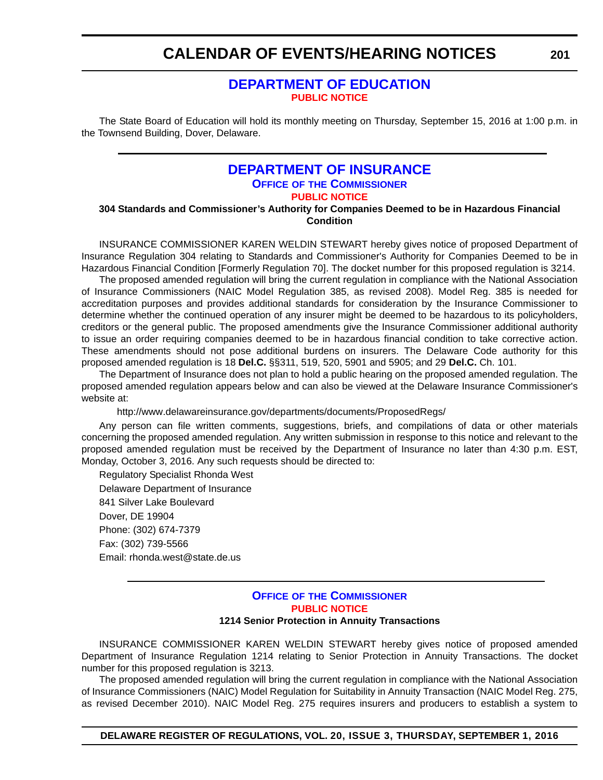### **[DEPARTMENT OF EDUCATION](http://www.doe.k12.de.us/) [PUBLIC NOTICE](#page-4-0)**

The State Board of Education will hold its monthly meeting on Thursday, September 15, 2016 at 1:00 p.m. in the Townsend Building, Dover, Delaware.

### **[DEPARTMENT OF INSURANCE](http://www.delawareinsurance.gov/) OFFICE OF THE COMMISSIONER [PUBLIC NOTICE](#page-4-0)**

**304 Standards and Commissioner's Authority for Companies Deemed to be in Hazardous Financial Condition**

INSURANCE COMMISSIONER KAREN WELDIN STEWART hereby gives notice of proposed Department of Insurance Regulation 304 relating to Standards and Commissioner's Authority for Companies Deemed to be in Hazardous Financial Condition [Formerly Regulation 70]. The docket number for this proposed regulation is 3214.

The proposed amended regulation will bring the current regulation in compliance with the National Association of Insurance Commissioners (NAIC Model Regulation 385, as revised 2008). Model Reg. 385 is needed for accreditation purposes and provides additional standards for consideration by the Insurance Commissioner to determine whether the continued operation of any insurer might be deemed to be hazardous to its policyholders, creditors or the general public. The proposed amendments give the Insurance Commissioner additional authority to issue an order requiring companies deemed to be in hazardous financial condition to take corrective action. These amendments should not pose additional burdens on insurers. The Delaware Code authority for this proposed amended regulation is 18 **Del.C.** §§311, 519, 520, 5901 and 5905; and 29 **Del.C.** Ch. 101.

The Department of Insurance does not plan to hold a public hearing on the proposed amended regulation. The proposed amended regulation appears below and can also be viewed at the Delaware Insurance Commissioner's website at:

http://www.delawareinsurance.gov/departments/documents/ProposedRegs/

Any person can file written comments, suggestions, briefs, and compilations of data or other materials concerning the proposed amended regulation. Any written submission in response to this notice and relevant to the proposed amended regulation must be received by the Department of Insurance no later than 4:30 p.m. EST, Monday, October 3, 2016. Any such requests should be directed to:

Regulatory Specialist Rhonda West Delaware Department of Insurance 841 Silver Lake Boulevard Dover, DE 19904 Phone: (302) 674-7379 Fax: (302) 739-5566 Email: rhonda.west@state.de.us

#### **OFFICE OF [THE COMMISSIONER](http://www.delawareinsurance.gov/) [PUBLIC NOTICE](#page-4-0) 1214 Senior Protection in Annuity Transactions**

INSURANCE COMMISSIONER KAREN WELDIN STEWART hereby gives notice of proposed amended Department of Insurance Regulation 1214 relating to Senior Protection in Annuity Transactions. The docket number for this proposed regulation is 3213.

The proposed amended regulation will bring the current regulation in compliance with the National Association of Insurance Commissioners (NAIC) Model Regulation for Suitability in Annuity Transaction (NAIC Model Reg. 275, as revised December 2010). NAIC Model Reg. 275 requires insurers and producers to establish a system to

**DELAWARE REGISTER OF REGULATIONS, VOL. 20, ISSUE 3, THURSDAY, SEPTEMBER 1, 2016**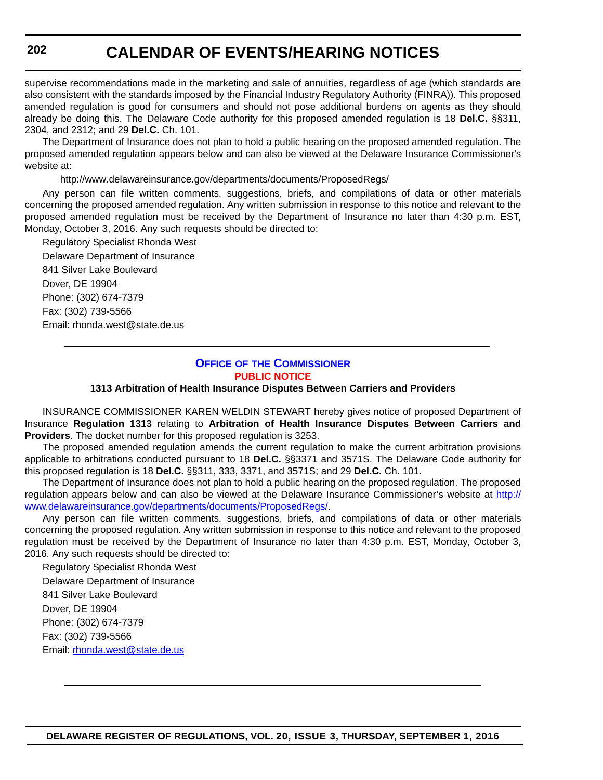supervise recommendations made in the marketing and sale of annuities, regardless of age (which standards are also consistent with the standards imposed by the Financial Industry Regulatory Authority (FINRA)). This proposed amended regulation is good for consumers and should not pose additional burdens on agents as they should already be doing this. The Delaware Code authority for this proposed amended regulation is 18 **Del.C.** §§311, 2304, and 2312; and 29 **Del.C.** Ch. 101.

The Department of Insurance does not plan to hold a public hearing on the proposed amended regulation. The proposed amended regulation appears below and can also be viewed at the Delaware Insurance Commissioner's website at:

http://www.delawareinsurance.gov/departments/documents/ProposedRegs/

Any person can file written comments, suggestions, briefs, and compilations of data or other materials concerning the proposed amended regulation. Any written submission in response to this notice and relevant to the proposed amended regulation must be received by the Department of Insurance no later than 4:30 p.m. EST, Monday, October 3, 2016. Any such requests should be directed to:

Regulatory Specialist Rhonda West Delaware Department of Insurance 841 Silver Lake Boulevard Dover, DE 19904 Phone: (302) 674-7379 Fax: (302) 739-5566 Email: rhonda.west@state.de.us

#### **OFFICE OF [THE COMMISSIONER](http://www.delawareinsurance.gov/) [PUBLIC NOTICE](#page-4-0)**

**1313 Arbitration of Health Insurance Disputes Between Carriers and Providers**

INSURANCE COMMISSIONER KAREN WELDIN STEWART hereby gives notice of proposed Department of Insurance **Regulation 1313** relating to **Arbitration of Health Insurance Disputes Between Carriers and Providers**. The docket number for this proposed regulation is 3253.

The proposed amended regulation amends the current regulation to make the current arbitration provisions applicable to arbitrations conducted pursuant to 18 **Del.C.** §§3371 and 3571S. The Delaware Code authority for this proposed regulation is 18 **Del.C.** §§311, 333, 3371, and 3571S; and 29 **Del.C.** Ch. 101.

The Department of Insurance does not plan to hold a public hearing on the proposed regulation. The proposed regulation appears below and can also be viewed at the Delaware Insurance Commissioner's website at [http://](http://www.delawareinsurance.gov/departments/documents/ProposedRegs/) [www.delawareinsurance.gov/departments/documents/ProposedRegs/](http://www.delawareinsurance.gov/departments/documents/ProposedRegs/).

Any person can file written comments, suggestions, briefs, and compilations of data or other materials concerning the proposed regulation. Any written submission in response to this notice and relevant to the proposed regulation must be received by the Department of Insurance no later than 4:30 p.m. EST, Monday, October 3, 2016. Any such requests should be directed to:

Regulatory Specialist Rhonda West Delaware Department of Insurance 841 Silver Lake Boulevard Dover, DE 19904 Phone: (302) 674-7379 Fax: (302) 739-5566 Email: rhonda.west@state.de.us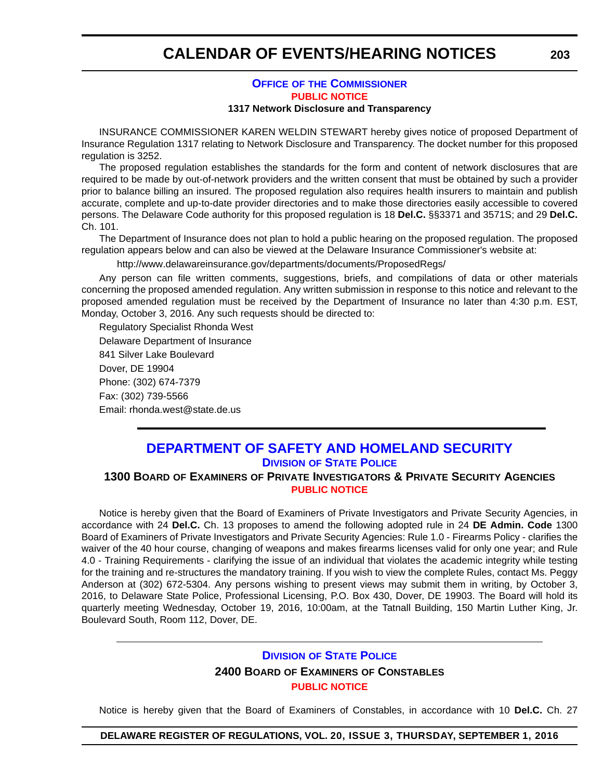### **OFFICE OF [THE COMMISSIONER](http://www.delawareinsurance.gov/) [PUBLIC NOTICE](#page-4-0)**

#### **1317 Network Disclosure and Transparency**

INSURANCE COMMISSIONER KAREN WELDIN STEWART hereby gives notice of proposed Department of Insurance Regulation 1317 relating to Network Disclosure and Transparency. The docket number for this proposed regulation is 3252.

The proposed regulation establishes the standards for the form and content of network disclosures that are required to be made by out-of-network providers and the written consent that must be obtained by such a provider prior to balance billing an insured. The proposed regulation also requires health insurers to maintain and publish accurate, complete and up-to-date provider directories and to make those directories easily accessible to covered persons. The Delaware Code authority for this proposed regulation is 18 **Del.C.** §§3371 and 3571S; and 29 **Del.C.** Ch. 101.

The Department of Insurance does not plan to hold a public hearing on the proposed regulation. The proposed regulation appears below and can also be viewed at the Delaware Insurance Commissioner's website at:

http://www.delawareinsurance.gov/departments/documents/ProposedRegs/

Any person can file written comments, suggestions, briefs, and compilations of data or other materials concerning the proposed amended regulation. Any written submission in response to this notice and relevant to the proposed amended regulation must be received by the Department of Insurance no later than 4:30 p.m. EST, Monday, October 3, 2016. Any such requests should be directed to:

Regulatory Specialist Rhonda West Delaware Department of Insurance 841 Silver Lake Boulevard Dover, DE 19904 Phone: (302) 674-7379 Fax: (302) 739-5566 Email: rhonda.west@state.de.us

### **[DEPARTMENT OF SAFETY AND HOMELAND SECURITY](http://dsp.delaware.gov/) DIVISION OF STATE POLICE**

#### **1300 BOARD OF EXAMINERS OF PRIVATE INVESTIGATORS & PRIVATE SECURITY AGENCIES [PUBLIC NOTICE](#page-4-0)**

Notice is hereby given that the Board of Examiners of Private Investigators and Private Security Agencies, in accordance with 24 **Del.C.** Ch. 13 proposes to amend the following adopted rule in 24 **DE Admin. Code** 1300 Board of Examiners of Private Investigators and Private Security Agencies: Rule 1.0 - Firearms Policy - clarifies the waiver of the 40 hour course, changing of weapons and makes firearms licenses valid for only one year; and Rule 4.0 - Training Requirements - clarifying the issue of an individual that violates the academic integrity while testing for the training and re-structures the mandatory training. If you wish to view the complete Rules, contact Ms. Peggy Anderson at (302) 672-5304. Any persons wishing to present views may submit them in writing, by October 3, 2016, to Delaware State Police, Professional Licensing, P.O. Box 430, Dover, DE 19903. The Board will hold its quarterly meeting Wednesday, October 19, 2016, 10:00am, at the Tatnall Building, 150 Martin Luther King, Jr. Boulevard South, Room 112, Dover, DE.

### **DIVISION [OF STATE POLICE](http://dsp.delaware.gov/)**

### **2400 BOARD OF EXAMINERS OF CONSTABLES [PUBLIC NOTICE](#page-4-0)**

Notice is hereby given that the Board of Examiners of Constables, in accordance with 10 **Del.C.** Ch. 27

**DELAWARE REGISTER OF REGULATIONS, VOL. 20, ISSUE 3, THURSDAY, SEPTEMBER 1, 2016**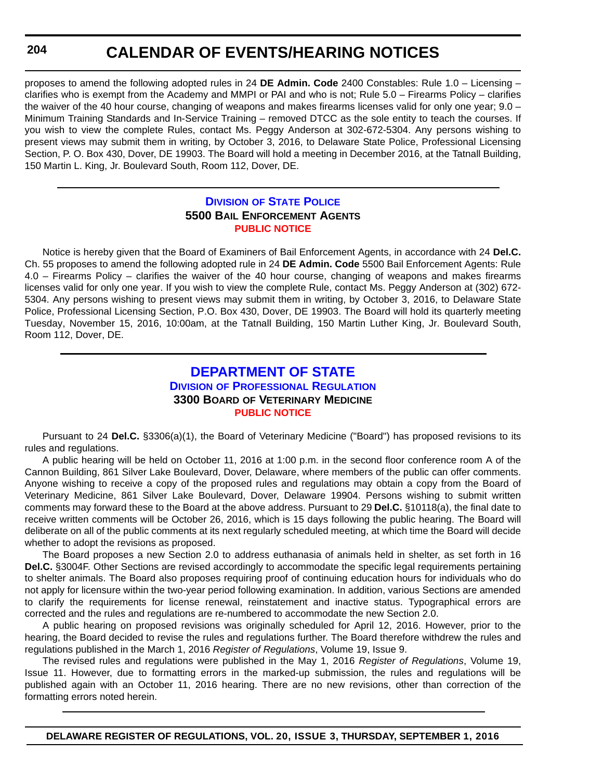proposes to amend the following adopted rules in 24 **DE Admin. Code** 2400 Constables: Rule 1.0 – Licensing – clarifies who is exempt from the Academy and MMPI or PAI and who is not; Rule 5.0 – Firearms Policy – clarifies the waiver of the 40 hour course, changing of weapons and makes firearms licenses valid for only one year; 9.0 – Minimum Training Standards and In-Service Training – removed DTCC as the sole entity to teach the courses. If you wish to view the complete Rules, contact Ms. Peggy Anderson at 302-672-5304. Any persons wishing to present views may submit them in writing, by October 3, 2016, to Delaware State Police, Professional Licensing Section, P. O. Box 430, Dover, DE 19903. The Board will hold a meeting in December 2016, at the Tatnall Building, 150 Martin L. King, Jr. Boulevard South, Room 112, Dover, DE.

#### **DIVISION [OF STATE POLICE](http://dsp.delaware.gov/) 5500 BAIL ENFORCEMENT AGENTS [PUBLIC NOTICE](#page-4-0)**

Notice is hereby given that the Board of Examiners of Bail Enforcement Agents, in accordance with 24 **Del.C.** Ch. 55 proposes to amend the following adopted rule in 24 **DE Admin. Code** 5500 Bail Enforcement Agents: Rule 4.0 – Firearms Policy – clarifies the waiver of the 40 hour course, changing of weapons and makes firearms licenses valid for only one year. If you wish to view the complete Rule, contact Ms. Peggy Anderson at (302) 672- 5304. Any persons wishing to present views may submit them in writing, by October 3, 2016, to Delaware State Police, Professional Licensing Section, P.O. Box 430, Dover, DE 19903. The Board will hold its quarterly meeting Tuesday, November 15, 2016, 10:00am, at the Tatnall Building, 150 Martin Luther King, Jr. Boulevard South, Room 112, Dover, DE.

### **[DEPARTMENT OF STATE](http://dpr.delaware.gov/) DIVISION OF PROFESSIONAL REGULATION 3300 BOARD OF VETERINARY MEDICINE [PUBLIC NOTICE](#page-4-0)**

Pursuant to 24 **Del.C.** §3306(a)(1), the Board of Veterinary Medicine ("Board") has proposed revisions to its rules and regulations.

A public hearing will be held on October 11, 2016 at 1:00 p.m. in the second floor conference room A of the Cannon Building, 861 Silver Lake Boulevard, Dover, Delaware, where members of the public can offer comments. Anyone wishing to receive a copy of the proposed rules and regulations may obtain a copy from the Board of Veterinary Medicine, 861 Silver Lake Boulevard, Dover, Delaware 19904. Persons wishing to submit written comments may forward these to the Board at the above address. Pursuant to 29 **Del.C.** §10118(a), the final date to receive written comments will be October 26, 2016, which is 15 days following the public hearing. The Board will deliberate on all of the public comments at its next regularly scheduled meeting, at which time the Board will decide whether to adopt the revisions as proposed.

The Board proposes a new Section 2.0 to address euthanasia of animals held in shelter, as set forth in 16 **Del.C.** §3004F. Other Sections are revised accordingly to accommodate the specific legal requirements pertaining to shelter animals. The Board also proposes requiring proof of continuing education hours for individuals who do not apply for licensure within the two-year period following examination. In addition, various Sections are amended to clarify the requirements for license renewal, reinstatement and inactive status. Typographical errors are corrected and the rules and regulations are re-numbered to accommodate the new Section 2.0.

A public hearing on proposed revisions was originally scheduled for April 12, 2016. However, prior to the hearing, the Board decided to revise the rules and regulations further. The Board therefore withdrew the rules and regulations published in the March 1, 2016 *Register of Regulations*, Volume 19, Issue 9.

The revised rules and regulations were published in the May 1, 2016 *Register of Regulations*, Volume 19, Issue 11. However, due to formatting errors in the marked-up submission, the rules and regulations will be published again with an October 11, 2016 hearing. There are no new revisions, other than correction of the formatting errors noted herein.